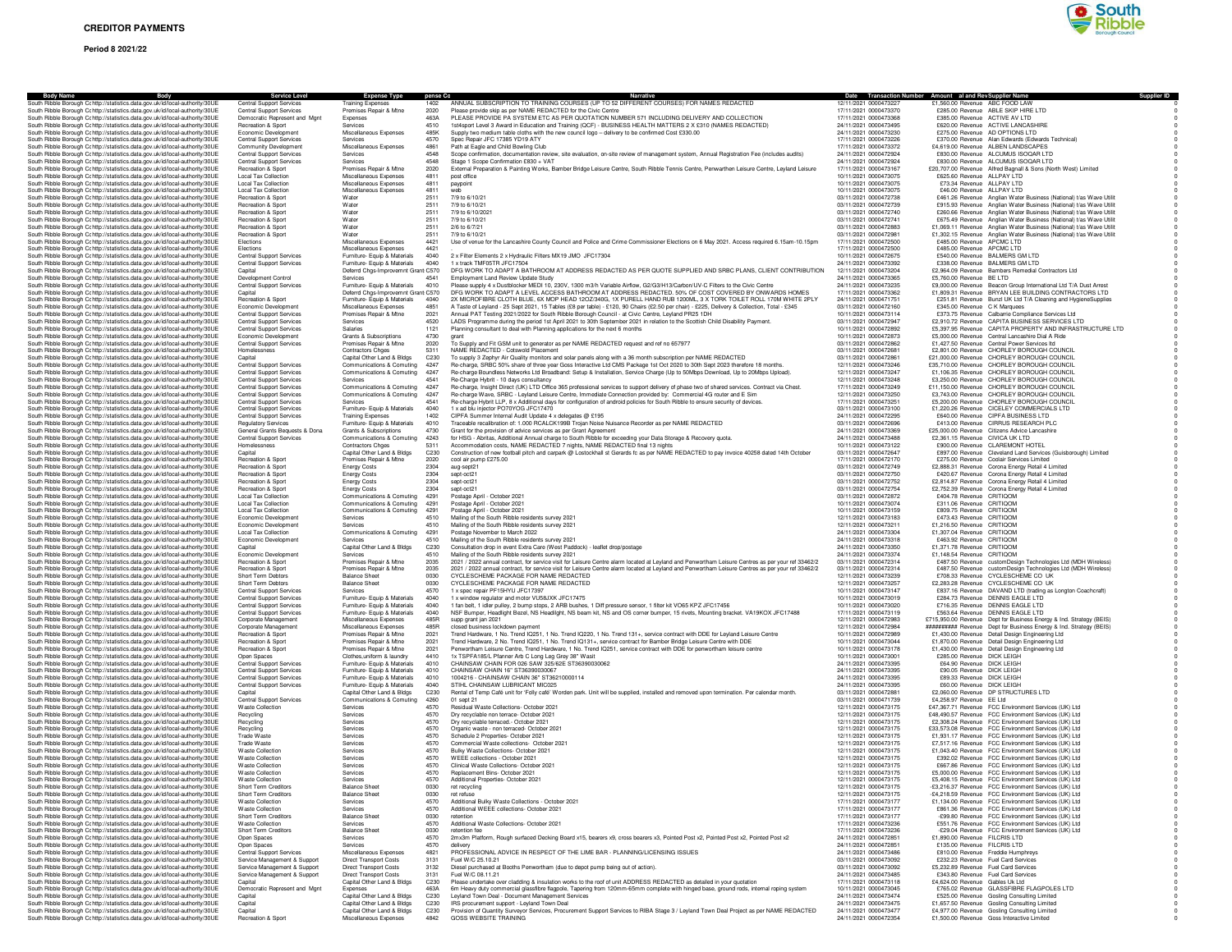# **Period 8 2021/22**



| Body                                                                                                                                                           | <b>Service Level</b>                                               | <b>Expense Type</b>                                          | pense Co                 |                                                                                                                                                                                                                                                                 |                                                | Date Transaction Number Amount al and Rev Supplier Name                                                                                    |
|----------------------------------------------------------------------------------------------------------------------------------------------------------------|--------------------------------------------------------------------|--------------------------------------------------------------|--------------------------|-----------------------------------------------------------------------------------------------------------------------------------------------------------------------------------------------------------------------------------------------------------------|------------------------------------------------|--------------------------------------------------------------------------------------------------------------------------------------------|
| Ribble Borough Cc http://statistics.data.gov.uk/id/local-authority/30UE                                                                                        | <b>Central Support Services</b>                                    | Training Expense                                             |                          | ANNUAL SUBSCRIPTION TO TRAINING COURSES (UP TO 52 DIFFERENT COURSES) FOR NAMES REDACTEI                                                                                                                                                                         | 12/11/2021 000047322                           | £1,560.00 Revenue ABC FOOD LAV                                                                                                             |
| South Ribble Borough Cohttp://statistics.data.gov.uk/id/local-authority/30UE<br>South Ribble Borough Cohttp://statistics.data.gov.uk/id/local-authority/30UE   | <b>Central Support Services</b><br>Democratic Represent and Mgnt   | Premises Repair & Mtne<br>Expenses                           | 2020<br>463A             | Please provide skip as per NAME REDACTED for the Civic Centre<br>PLEASE PROVIDE PA SYSTEM ETC AS PER QUOTATION NUMBER 571 INCLUDING DELIVERY AND COLLECTION                                                                                                     | 17/11/2021 0000473370<br>17/11/2021 0000473368 | £285.00 Revenue ABLE SKIP HIRE LTD<br>£385.00 Revenue ACTIVE AV LTD                                                                        |
| South Ribble Borough Cohttp://statistics.data.gov.uk/id/local-authority/30UE                                                                                   | Recreation & Sport                                                 | Services                                                     | 4510                     | 1st4sport Level 3 Award in Education and Training (QCF) - BUSINESS HEALTH MATTERS 2 X £310 (NAMES REDACTED)                                                                                                                                                     | 24/11/2021 0000473495                          | £620.00 Revenue ACTIVE LANCASHIRE                                                                                                          |
| South Ribble Borough Cohttp://statistics.data.gov.uk/id/local-authority/30UE                                                                                   | Economic Development                                               | Miscellaneous Expenses                                       | 485K                     | Supply two medium table cloths with the new council logo - delivery to be confirmed Cost £330.00                                                                                                                                                                | 24/11/2021 0000473230<br>17/11/2021 0000473226 | £275.00 Revenue AD OPTIONS LTD                                                                                                             |
| South Ribble Borough Cc http://statistics.data.gov.uk/id/local-authority/30UE<br>South Ribble Borough Cc http://statistics.data.gov.uk/id/local-authority/30UE | <b>Central Support Services</b><br>Community Development           | Services<br>Miscellaneous Expenses                           | 4570<br>4861             | Spec Repair JFC 17385 YD19 ATY<br>Path at Eagle and Child Bowling Club                                                                                                                                                                                          | 17/11/2021 0000473372                          | £370.00 Revenue Alan Edwards (Edwards Technical)<br>£4,619,00 Revenue ALBEN LANDSCAPES                                                     |
| South Ribble Borough Cc http://statistics.data.gov.uk/id/local-authority/30UE                                                                                  | <b>Central Support Services</b>                                    | Services                                                     | 4548                     | Scope confirmation, documentation review, site evaluation, on-site review of management system, Annual Registration Fee (includes audits)                                                                                                                       | 24/11/2021 0000472924                          | £830.00 Revenue ALCUMUS ISOQAR LTD                                                                                                         |
| South Ribble Borough Cc http://statistics.data.gov.uk/id/local-authority/30UE<br>South Ribble Borough Cohttp://statistics.data.gov.uk/id/local-authority/30UE  | <b>Central Support Services</b><br>Recreation & Sport              | Services<br>Premises Repair & Mtne                           | 4548<br>2020             | Stage 1 Scope Confirmation £830 + VAT<br>External Preparation & Painting Works, Bamber Bridge Leisure Centre, South Ribble Tennis Centre, Penwarthen Leisure Centre, Leyland Leisure                                                                            | 24/11/2021 0000472924<br>17/11/2021 0000473167 | £830.00 Revenue ALCUMUS ISOQAR LTD<br>£20,707.00 Revenue Alfred Bagnall & Sons (North West) Limited                                        |
| South Ribble Borough Cc http://statistics.data.gov.uk/id/local-authority/30UE                                                                                  | <b>Local Tax Collection</b>                                        | Miscellaneous Expenses                                       | 4811                     | post office                                                                                                                                                                                                                                                     | 10/11/2021 0000473075                          | £625.60 Revenue ALLPAY LTD                                                                                                                 |
| South Ribble Borough Cohttp://statistics.data.gov.uk/id/local-authority/30UE                                                                                   | <b>Local Tax Collection</b>                                        | Miscellaneous Expenses                                       | 4811                     | paypoint                                                                                                                                                                                                                                                        | 10/11/2021 0000473075                          | £73.34 Revenue ALLPAY LTD                                                                                                                  |
| South Ribble Borough Cohttp://statistics.data.gov.uk/id/local-authority/30UE<br>South Ribble Borough Cohttp://statistics.data.gov.uk/id/local-authority/30UE   | <b>Local Tax Collection</b><br><b>Becreation &amp; Sport</b>       | Miscellaneous Expenses<br>Water                              | 4811<br>2511             | web<br>7/9 to 6/10/21                                                                                                                                                                                                                                           | 10/11/2021 0000473075<br>03/11/2021 0000472738 | £46.00 Revenue ALLPAY LTD<br>£461.26 Revenue Anglian Water Business (National) t/as Wave Utilit                                            |
| South Ribble Borough Cc http://statistics.data.gov.uk/id/local-authority/30UE                                                                                  | Recreation & Sport                                                 | Water                                                        | 2511                     | 7/9 to 6/10/21                                                                                                                                                                                                                                                  | 03/11/2021 0000472739                          | £915.93 Revenue Anglian Water Business (National) t/as Wave Utilit                                                                         |
| South Ribble Borough Cc http://statistics.data.gov.uk/id/local-authority/30UE                                                                                  | Recreation & Sport                                                 | Water                                                        | 2511                     | 7/9 to 6/10/2021                                                                                                                                                                                                                                                | 03/11/2021 0000472740                          | £260.66 Revenue Anglian Water Business (National) t/as Wave Utilit                                                                         |
| South Ribble Borough Cc http://statistics.data.gov.uk/id/local-authority/30UE<br>South Ribble Borough Cc http://statistics.data.gov.uk/id/local-authority/30UE | Recreation & Sport<br>Recreation & Sport                           | Water<br>Water                                               | 2511<br>2511             | 7/9 to 6/10/21<br>2/6 to 6/7/21                                                                                                                                                                                                                                 | 03/11/2021 0000472741<br>03/11/2021 0000472883 | £675.49 Revenue Anglian Water Business (National) t/as Wave Utilit<br>£1,069.11 Revenue Anglian Water Business (National) t/as Wave Utilit |
| South Ribble Borough Cc http://statistics.data.gov.uk/id/local-authority/30UE                                                                                  | Recreation & Sport                                                 | Water                                                        | 2511                     | 7/9 to 6/10/21                                                                                                                                                                                                                                                  | 03/11/2021 000047298                           | £1,302.15 Revenue Anglian Water Business (National) t/as Wave Utilit                                                                       |
| South Ribble Borough Cc http://statistics.data.gov.uk/id/local-authority/30UE<br>South Bibble Borough Cr http://statistics.data.gov.uk/id/local-authority/30UE | Elections<br>Elections                                             | Miscellaneous Expenses<br>Miscellaneous Expenses             | 4421<br>4421             | Use of venue for the Lancashire County Council and Police and Crime Commissioner Elections on 6 May 2021. Access required 6.15am-10.15pm                                                                                                                        | 17/11/2021 0000472500<br>17/11/2021 0000472500 | £485.00 Revenue APCMC LTD<br>£485.00 Revenue APCMC LTD                                                                                     |
| South Ribble Borough Cc http://statistics.data.gov.uk/id/local-authority/30UE                                                                                  | Central Support Services                                           | Furniture- Equip & Materials                                 | 4040                     | 2 x Filter Elements 2 x Hydraulic Filters MX19 JMO JFC17304                                                                                                                                                                                                     | 10/11/2021 0000472675                          | £540.00 Revenue BALMERS GM LTD                                                                                                             |
| South Ribble Borough Cc http://statistics.data.gov.uk/id/local-authority/30UE                                                                                  | <b>Central Support Services</b>                                    | Furniture- Equip & Materials                                 | 4040                     | 1 x track TMF05TR JFC17504                                                                                                                                                                                                                                      | 24/11/2021 0000473392                          | £338.00 Revenue BALMERS GM LTD                                                                                                             |
| South Ribble Borough Cc http://statistics.data.gov.uk/id/local-authority/30UE<br>South Ribble Borough Cc http://statistics.data.gov.uk/id/local-authority/30UE | Capital<br>Development Control                                     | Deferrd Chgs-Improvemnt Grant C570<br>Services               | 4541                     | DFG WORK TO ADAPT A BATHROOM AT ADDRESS REDACTED AS PER QUOTE SUPPLIED AND SRBC PLANS, CLIENT CONTRIBUTION<br>Employment Land Review Update Study                                                                                                               | 12/11/2021 0000473204<br>24/11/2021 0000473365 | £2,964.09 Revenue Bambers Remedial Contractors Ltd<br>£5,760.00 Revenue BE LTD                                                             |
| South Ribble Borough Cc http://statistics.data.gov.uk/id/local-authority/30UE                                                                                  | <b>Central Support Services</b>                                    | Furniture- Equip & Materials                                 | 4010                     | Please supply 4 x Dustblocker MEDI 10, 230V, 1300 m3/h Variable Airflow, G2/G3/H13/Carbon/UV-C Filters to the Civic Centre                                                                                                                                      | 24/11/2021 0000473235                          | £9,000.00 Revenue Beacon Group International Ltd T/A Dust Arrest                                                                           |
| South Ribble Borough Cc http://statistics.data.gov.uk/id/local-authority/30UE                                                                                  | Capital                                                            | Deferrd Chgs-Improvemnt Grant C570                           |                          | DFG WORK TO ADAPT A LEVEL ACCESS BATHROOM AT ADDRESS REDACTED. 50% OF COST COVERED BY ONWARDS HOMES                                                                                                                                                             | 17/11/2021 0000473362                          | £1,809.31 Revenue BRYAN LEE BUILDING CONTRACTORS LTD                                                                                       |
| South Ribble Borough Cohttp://statistics.data.gov.uk/id/local-authority/30UE<br>South Ribble Borough Cohttp://statistics.data.gov.uk/id/local-authority/30UE   | Recreation & Sport<br>Economic Development                         | Furniture- Equip & Materials<br>Miscellaneous Expenses       | 4040<br>4851             | 2X MICROFIBRE CLOTH BLUE, 6X MOP HEAD 12OZ/340G, 1X PURELL HAND RUB 1200ML, 3 X TORK TOILET ROLL 170M WHITE 2PLY<br>A Taste of Leyland - 25 Sept 2021, 15 Tables (£8 per table) - £120, 90 Chairs (£2.50 per chair) - £225, Delivery & Collection, Total - £345 | 24/11/2021 0000471751<br>03/11/2021 0000472160 | £251.81 Revenue Bunzl UK Ltd T/A Cleaning and HygieneSupplies<br>£345.00 Revenue C K Marquees                                              |
| South Ribble Borough Cohttp://statistics.data.gov.uk/id/local-authority/30UE                                                                                   | <b>Central Support Services</b>                                    | Premises Repair & Mtne                                       | 2021                     | Annual PAT Testing 2021/2022 for South Ribble Borough Council - at Civic Centre, Levland PR25 1DH                                                                                                                                                               | 10/11/2021 0000473114                          | £373.75 Revenue Calbarrie Compliance Services Ltd                                                                                          |
| South Ribble Borough Cc http://statistics.data.gov.uk/id/local-authority/30UE                                                                                  | <b>Central Support Services</b><br><b>Central Support Services</b> | Services<br>Salaries                                         | 4520<br>1121             | LADS Programme during the period 1st April 2021 to 30th September 2021 in relation to the Scottish Child Disability Payment.                                                                                                                                    | 03/11/2021 0000472947<br>10/11/2021 0000472892 | £2,910.72 Revenue CAPITA BUSINESS SERVICES LTD<br>£5,397.95 Revenue CAPITA PROPERTY AND INFRASTRUCTURE LTD                                 |
| South Ribble Borough Cc http://statistics.data.gov.uk/id/local-authority/30UE<br>South Ribble Borough Cc http://statistics.data.gov.uk/id/local-authority/30UE | Economic Development                                               | Grants & Subscriptions                                       | 4730                     | Planning consultant to deal with Planning applications for the next 6 months<br>grant                                                                                                                                                                           | 10/11/2021 0000472873                          | £5,000.00 Revenue Central Lancashire Dial A Ride                                                                                           |
| South Ribble Borough Cc http://statistics.data.gov.uk/id/local-authority/30UE                                                                                  | <b>Central Support Services</b>                                    | Premises Repair & Mtne                                       | 2020                     | To Supply and Fit GSM unit to generator as per NAME REDACTED request and ref no 657977                                                                                                                                                                          | 03/11/2021 0000472862                          | £1,427.50 Revenue Central Power Services Itd                                                                                               |
| South Ribble Borough Cc http://statistics.data.gov.uk/id/local-authority/30UE<br>South Ribble Borough Cc http://statistics.data.gov.uk/id/local-authority/30UE | Homelessness<br>Capital                                            | <b>Contractors Chges</b><br>Capital Other Land & Bldgs       | 5311<br>C230             | NAME REDACTED - Cotswold Placement<br>To supply 3 Zephyr Air Quality monitors and solar panels along with a 36 month subscription per NAME REDACTED                                                                                                             | 03/11/2021 0000472681<br>03/11/2021 000047286  | £2,801.00 Revenue CHORLEY BOROUGH COUNCIL<br>£21,000.00 Revenue CHORLEY BOROUGH COUNCIL                                                    |
| South Ribble Borough Cohttp://statistics.data.gov.uk/id/local-authority/30UE                                                                                   | <b>Central Support Services</b>                                    | Communications & Comuting                                    | 4247                     | Re-charge, SRBC 50% share of three year Goss Interactive Ltd CMS Package 1st Oct 2020 to 30th Sept 2023 therefore 18 months.                                                                                                                                    | 12/11/2021 0000473246                          | £35,710.00 Revenue CHORLEY BOROUGH COUNCIL                                                                                                 |
| South Ribble Borough Cohttp://statistics.data.gov.uk/id/local-authority/30UE                                                                                   | <b>Central Support Services</b>                                    | Communications & Comuting                                    | 4247                     | Re-charge Boundless Networks Ltd Broadband: Setup & Installation, Service Charge (Up to 50Mbps Download, Up to 20Mbps Upload).                                                                                                                                  | 12/11/2021 0000473247                          | £1,106.35 Revenue CHORLEY BOROUGH COUNCIL                                                                                                  |
| South Ribble Borough Cohttp://statistics.data.gov.uk/id/local-authority/30UE<br>South Ribble Borough Cc http://statistics.data.gov.uk/id/local-authority/30UE  | <b>Central Support Services</b><br>Central Support Services        | Services<br>Communications & Comuting                        | 4541<br>4247             | Re-Charge Hybrit - 10 days consultancy<br>Re-charge, Insight Direct (UK) LTD Office 365 professional services to support delivery of phase two of shared services. Contract via Chest.                                                                          | 12/11/2021 0000473248<br>17/11/2021 0000473249 | £3,250,00 Revenue CHORLEY BOROUGH COUNCIL<br>£11,150.00 Revenue CHORLEY BOROUGH COUNCIL                                                    |
| South Ribble Borough Cc http://statistics.data.gov.uk/id/local-authority/30UE                                                                                  | Central Support Services                                           | Communications & Comuting                                    | 4247                     | Re-charge Wave, SRBC - Leyland Leisure Centre, Immediate Connection provided by: Commercial 4G router and E Sim                                                                                                                                                 | 12/11/2021 0000473250                          | £3,743.00 Revenue CHORLEY BOROUGH COUNCIL                                                                                                  |
| South Ribble Borough Cohttp://statistics.data.gov.uk/id/local-authority/30UE                                                                                   | <b>Central Support Services</b>                                    | Services                                                     | 4541                     | Re-charge Hybrit LLP, 8 x Additional days for configuration of android policies for South Ribble to ensure security of devices.                                                                                                                                 | 17/11/2021 0000473251                          | £5,200.00 Revenue CHORLEY BOROUGH COUNCIL                                                                                                  |
| South Ribble Borough Cohttp://statistics.data.gov.uk/id/local-authority/30UE<br>South Ribble Borough Cc http://statistics.data.gov.uk/id/local-authority/30UE  | Central Support Services<br><b>Central Support Services</b>        | Furniture- Equip & Materials<br><b>Training Expenses</b>     | 4040<br>1402             | 1 x ad blu injector PO70YOG JFC17470<br>CIPFA Summer Internal Audit Update 4 x delegates @ £195                                                                                                                                                                 | 03/11/2021 0000473100<br>24/11/2021 0000472295 | £1,220.26 Revenue CICELEY COMMERCIALS LTD<br>£640.00 Revenue CIPFA BUSINESS LTD                                                            |
| South Ribble Borough Cc http://statistics.data.gov.uk/id/local-authority/30UE                                                                                  | <b>Regulatory Services</b>                                         | Furniture- Equip & Materials                                 | 4010                     | Traceable recalibration of: 1.000 RCALCK199B Trojan Noise Nuisance Recorder as per NAME REDACTED                                                                                                                                                                | 03/11/2021 0000472696                          | £413.00 Revenue CIRRUS RESEARCH PLC                                                                                                        |
| South Ribble Borough Cohttp://statistics.data.gov.uk/id/local-authority/30UE                                                                                   | General Grants Beguests & Dona                                     | Grants & Subscriptions                                       | 4730                     | Grant for the provision of advice services as per Grant Agreement                                                                                                                                                                                               | 24/11/2021 0000473369<br>24/11/2021 0000473488 | £25,000.00 Revenue Citizens Advice Lancashire                                                                                              |
| South Ribble Borough Cohttp://statistics.data.gov.uk/id/local-authority/30UE<br>South Ribble Borough Cc http://statistics.data.gov.uk/id/local-authority/30UE  | <b>Central Support Services</b><br>Homelessness                    | Communications & Comuting<br>Contractors Chges               | 4243<br>5311             | for HSG - Abritas, Additional Annual charge to South Ribble for exceeding your Data Storage & Recovery quota.<br>Accommodation costs, NAME REDACTED 7 nights, NAME REDACTED final 13 nights                                                                     | 10/11/2021 0000473122                          | £2,361.15 Revenue CIVICA UK LTD<br>£900.00 Revenue CLAREMONT HOTEL                                                                         |
| South Ribble Borough Cc http://statistics.data.gov.uk/id/local-authority/30UE                                                                                  | Capital                                                            | Capital Other Land & Bldgs                                   | C230                     | Construction of new football pitch and carpark @ Lostockhall st Gerards fc as per NAME REDACTED to pay invoice 40258 dated 14th October                                                                                                                         | 03/11/2021 0000472647                          | £897.00 Revenue Cleveland Land Services (Guisborough) Limited                                                                              |
| South Ribble Borough Cc http://statistics.data.gov.uk/id/local-authority/30UE<br>South Ribble Borough Cc http://statistics.data.gov.uk/id/local-authority/30UE | Recreation & Sport<br>Recreation & Sport                           | Premises Repair & Mtne                                       | 2020<br>2304             | cool air pump £275.00                                                                                                                                                                                                                                           | 17/11/2021 0000472170<br>03/11/2021 0000472749 | £275.00 Revenue Coolair Services Limited                                                                                                   |
| South Ribble Borough Cc http://statistics.data.gov.uk/id/local-authority/30UE                                                                                  | Recreation & Sport                                                 | <b>Energy Costs</b><br><b>Energy Costs</b>                   | 2304                     | aug-sept21<br>sept-oct21                                                                                                                                                                                                                                        | 03/11/2021 0000472750                          | £2,888.31 Revenue Corona Energy Retail 4 Limited<br>£420.67 Revenue Corona Energy Retail 4 Limited                                         |
| South Ribble Borough Cc http://statistics.data.gov.uk/id/local-authority/30UE                                                                                  | Recreation & Sport                                                 | <b>Energy Costs</b>                                          | 2304                     | sept-oct21                                                                                                                                                                                                                                                      | 03/11/2021 0000472752                          | £2,814.87 Revenue Corona Energy Retail 4 Limited                                                                                           |
| South Ribble Borough Cohttp://statistics.data.gov.uk/id/local-authority/30UE<br>South Ribble Borough Cohttp://statistics.data.gov.uk/id/local-authority/30UE   | Recreation & Sport<br><b>Local Tax Collection</b>                  | <b>Energy Costs</b><br>Communications & Comuting             | 2304<br>4291             | sept-oct21<br>Postage April - October 2021                                                                                                                                                                                                                      | 03/11/2021 0000472754<br>03/11/2021 0000472872 | £2,752.39 Revenue Corona Energy Retail 4 Limited<br>£404.78 Revenue CRITIQOM                                                               |
| South Ribble Borough Cc http://statistics.data.gov.uk/id/local-authority/30UE                                                                                  | <b>Local Tax Collection</b>                                        | Communications & Comuting                                    | 4291                     | Postage April - October 2021                                                                                                                                                                                                                                    | 10/11/2021 0000473074                          | £311.06 Revenue CRITIQOM                                                                                                                   |
| South Ribble Borough Cc http://statistics.data.gov.uk/id/local-authority/30UE                                                                                  | <b>Local Tax Collection</b>                                        | Communications & Comuting                                    | 4291                     | Postage April - October 2021                                                                                                                                                                                                                                    | 10/11/2021 0000473159                          | £809.75 Revenue CRITIQOM                                                                                                                   |
| South Ribble Borough Cc http://statistics.data.gov.uk/id/local-authority/30UE<br>South Ribble Borough Cc http://statistics.data.gov.uk/id/local-authority/30UE | Economic Developmen<br>Economic Development                        | Services<br>Services                                         | 4510<br>4510             | Mailing of the South Ribble residents survey 2021<br>Mailing of the South Ribble residents survey 2021                                                                                                                                                          | 12/11/2021 0000473183<br>12/11/2021 0000473211 | £473.43 Revenue CRITIQOM<br>£1,216.50 Revenue CRITIQOM                                                                                     |
| South Ribble Borough Cc http://statistics.data.gov.uk/id/local-authority/30UE                                                                                  | <b>Local Tax Collection</b>                                        | Communications & Comuting                                    | 4291                     | Postage November to March 2022                                                                                                                                                                                                                                  | 24/11/2021 0000473304                          | £1,307.04 Revenue CRITIQOM                                                                                                                 |
| South Ribble Borough Cc http://statistics.data.gov.uk/id/local-authority/30UE                                                                                  | Economic Development                                               | Services                                                     | 4510                     | Mailing of the South Ribble residents survey 2021                                                                                                                                                                                                               | 24/11/2021 0000473318                          | £463.92 Revenue CRITIQOM                                                                                                                   |
| South Ribble Borough Cc http://statistics.data.gov.uk/id/local-authority/30UE<br>South Ribble Borough Cohttp://statistics.data.gov.uk/id/local-authority/30UE  | Capital<br>Economic Development                                    | Capital Other Land & Bldgs<br>Services                       | C230<br>4510             | Consultation drop in event Extra Care (West Paddock) - leaflet drop/postage<br>Mailing of the South Ribble residents survey 2021                                                                                                                                | 24/11/2021 0000473350<br>24/11/2021 0000473374 | £1,371.78 Revenue CRITIQOM<br>£1.148.54 Revenue CRITIQOM                                                                                   |
| South Ribble Borough Cohttp://statistics.data.gov.uk/id/local-authority/30UE                                                                                   | Recreation & Sport                                                 | Premises Repair & Mtne                                       | 2035                     | 2021 / 2022 annual contract, for service visit for Leisure Centre alarm located at Levland and Penwortham Leisure Centres as per vour ref 33462/2                                                                                                               | 03/11/2021 0000472314                          | £487.50 Revenue customDesign Technologies Ltd (MDH Wireless)                                                                               |
| South Ribble Borough Cc http://statistics.data.gov.uk/id/local-authority/30UE                                                                                  | Recreation & Sport                                                 | Premises Repair & Mtne                                       | 2035<br>0030             | 2021 / 2022 annual contract, for service visit for Leisure Centre alarm located at Leyland and Penwortham Leisure Centres as per your ref 33462/2<br>CYCLESCHEME PACKAGE FOR NAME REDACTED                                                                      | 03/11/2021 0000472314<br>12/11/2021 0000473239 | £487.50 Revenue customDesign Technologies Ltd (MDH Wireless)                                                                               |
| South Ribble Borough Cc http://statistics.data.gov.uk/id/local-authority/30UE<br>South Ribble Borough Cc http://statistics.data.gov.uk/id/local-authority/30UE | Short Term Debtors<br>Short Term Debtors                           | <b>Balance Sheet</b><br><b>Balance Shee</b>                  | 0030                     | CYCLESCHEME PACKAGE FOR NAME REDACTED                                                                                                                                                                                                                           | 12/11/2021 0000473257                          | £708.33 Revenue CYCLESCHEME CO UK<br>£2,283.28 Revenue CYCLESCHEME CO UK                                                                   |
| South Ribble Borough Cc http://statistics.data.gov.uk/id/local-authority/30UE                                                                                  | <b>Central Support Services</b>                                    | Services                                                     | 4570                     | 1 x spec repair PF15HYU JFC17397                                                                                                                                                                                                                                | 10/11/2021 0000473147                          | £837.16 Revenue DAVAND LTD (trading as Longton Coachcraft)                                                                                 |
| South Ribble Borough Cc http://statistics.data.gov.uk/id/local-authority/30UE<br>South Ribble Borough Cc http://statistics.data.gov.uk/id/local-authority/30UE | <b>Central Support Services</b><br><b>Central Support Services</b> | Furniture- Equip & Materials<br>Furniture- Equip & Materials | 4040<br>4040             | 1 x window regulator and motor VU58JXK JFC17475<br>1 fan belt, 1 idler pulley, 2 bump stops, 2 ARB bushes, 1 Diff pressure sensor, 1 filter kit VO65 KPZ JFC17456                                                                                               | 10/11/2021 0000473019<br>10/11/2021 0000473020 | £284.73 Revenue DENNIS EAGLE LTD<br>£716.35 Revenue DENNIS EAGLE LTD                                                                       |
| South Ribble Borough Cohttp://statistics.data.gov.uk/id/local-authority/30UE                                                                                   | Central Support Services                                           | Furniture- Equip & Materials                                 | 4040                     | NSF Bumper, Headlight Bezel, NS Headilght, NS beam kit, NS and OS comer bumper, 15 rivets, Mounting bracket. VA19KOX JFC17488                                                                                                                                   | 17/11/2021 0000473119                          | £563.64 Revenue DENNIS EAGLE LTD                                                                                                           |
| South Ribble Borough Cohttp://statistics.data.gov.uk/id/local-authority/30UE                                                                                   | Corporate Management                                               | Miscellaneous Expenses                                       | 485R                     | supp grant jan 2021                                                                                                                                                                                                                                             | 12/11/2021 0000472983                          | £715,950.00 Revenue Dept for Business Energy & Ind. Strategy (BEIS)                                                                        |
| South Ribble Borough Cc http://statistics.data.gov.uk/id/local-authority/30UE<br>South Ribble Borough Cc http://statistics.data.gov.uk/id/local-authority/30UE | Corporate Management<br>Recreation & Sport                         | Miscellaneous Expenses<br>Premises Repair & Mtne             | 485 <sub>R</sub><br>2021 | closed business lockdown payment<br>Trend Hardware, 1 No. Trend IQ251, 1 No. Trend IQ220, 1 No. Trend 131+, service contract with DDE for Leyland Leisure Centre                                                                                                | 12/11/2021 0000472984<br>10/11/2021 0000472989 | ########## Revenue  Dept for Business Energy & Ind. Strategy (BEIS)<br>£1,430.00 Revenue Detail Design Engineering Ltd                     |
| South Ribble Borough Cc http://statistics.data.gov.uk/id/local-authority/30UE                                                                                  | Recreation & Sport                                                 | Premises Repair & Mtne                                       | 2021                     | Trend Hardware, 2 No. Trend IQ251, 1 No. Trend IQ131+, service contract for Bamber Bridge Leisure Centre with DDE                                                                                                                                               | 10/11/2021 0000473044                          | £1,870.00 Revenue Detail Design Engineering Ltd                                                                                            |
| South Ribble Borough Cc http://statistics.data.gov.uk/id/local-authority/30UE                                                                                  | Recreation & Sport                                                 | Premises Repair & Mtne                                       | 2021                     | Penwortham Leisure Centre, Trend Hardware, 1 No. Trend IQ251, service contract with DDE for penwortham leisure centre                                                                                                                                           | 10/11/2021 0000473178                          | £1,430.00 Revenue Detail Design Engineering Ltd                                                                                            |
| South Ribble Borough Cc http://statistics.data.gov.uk/id/local-authority/30UE<br>South Ribble Borough Cc http://statistics.data.gov.uk/id/local-authority/30UE | Open Spaces<br><b>Central Support Services</b>                     | Clothes, uniform & laundry<br>Furniture- Equip & Materials   | 4410<br>4010             | 1x TSPFA185/L Pfanner Arb C Long Leg Grey 38" Wasit<br>CHAINSAW CHAIN FOR 026 SAW 325/62E ST36390030062                                                                                                                                                         | 10/11/2021 000047300<br>24/11/2021 0000473395  | £285.00 Revenue DICK LEIGH<br>£64.90 Revenue DICK LEIGH                                                                                    |
| South Ribble Borough Cohttp://statistics.data.gov.uk/id/local-authority/30UE                                                                                   | <b>Central Support Services</b>                                    | Furniture- Equip & Materials                                 | 4010                     | CHAINSAW CHAIN 16" ST36390030067                                                                                                                                                                                                                                | 24/11/2021 0000473395                          | £90.05 Revenue DICK LEIGH                                                                                                                  |
| South Ribble Borough Cohttp://statistics.data.gov.uk/id/local-authority/30UE                                                                                   | <b>Central Support Services</b>                                    | Furniture- Equip & Materials                                 | 4010<br>4040             | 1004216 - CHAINSAW CHAIN 36" ST36210000114<br>STIHL CHAINSAW LUBRICANT MIC025                                                                                                                                                                                   | 24/11/2021 0000473395                          | £89.33 Revenue DICK LEIGH                                                                                                                  |
| South Ribble Borough Cohttp://statistics.data.gov.uk/id/local-authority/30UE<br>South Ribble Borough Cc http://statistics.data.gov.uk/id/local-authority/30UE  | <b>Central Support Services</b><br>Capital                         | Furniture- Equip & Materials<br>Capital Other Land & Bldgs   | C230                     | Rental of Temp Café unit for 'Folly café' Worden park. Unit will be supplied, installed and removed upon termination. Per calendar month.                                                                                                                       | 24/11/2021 0000473395<br>03/11/2021 0000472881 | £60.00 Revenue DICK LEIGH<br>£2,060.00 Revenue DP STRUCTURES LTD                                                                           |
| South Ribble Borough Cc http://statistics.data.gov.uk/id/local-authority/30UE                                                                                  | <b>Central Support Services</b>                                    | Communications & Comuting                                    | 4260                     | 01 sept 21                                                                                                                                                                                                                                                      | 03/11/2021 0000471739                          | £4,258.97 Revenue EE Ltd                                                                                                                   |
| South Ribble Borough Cc http://statistics.data.gov.uk/id/local-authority/30UE<br>South Ribble Borough Cc http://statistics.data.gov.uk/id/local-authority/30UE | <b>Waste Collection</b><br>Recycling                               | Services<br>Services                                         | 4570<br>4570             | Residual Waste Collections- October 2021<br>Dry recyclable non terrace- October 2021                                                                                                                                                                            | 12/11/2021 0000473175<br>12/11/2021 0000473175 | £47,367.71 Revenue FCC Environment Services (UK) Ltd<br>£48,490.57 Revenue FCC Environment Services (UK) Ltd                               |
| South Ribble Borough Cc http://statistics.data.gov.uk/id/local-authority/30UE                                                                                  | Recycling                                                          | Services                                                     | 4570                     | Dry recyclable terraced.- October 2021                                                                                                                                                                                                                          | 12/11/2021 0000473175                          | £2,308.24 Revenue FCC Environment Services (UK) Ltd                                                                                        |
| South Ribble Borough Cohttp://statistics.data.gov.uk/id/local-authority/30UE                                                                                   | Recycling                                                          | Services                                                     | 4570                     | Organic waste - non terraced- October 2021                                                                                                                                                                                                                      | 12/11/2021 0000473175                          | £33,573.08 Revenue FCC Environment Services (UK) Ltd                                                                                       |
| South Ribble Borough Cohttp://statistics.data.gov.uk/id/local-authority/30UE<br>South Ribble Borough Cohttp://statistics.data.gov.uk/id/local-authority/30UE   | <b>Trade Waste</b><br>Trade Waste                                  | Services<br>Services                                         | 4570<br>4570             | Schedule 2 Properties- October 2021<br>Commercial Waste collections- October 2021                                                                                                                                                                               | 12/11/2021 0000473175<br>12/11/2021 0000473175 | £1.931.17 Bevenue ECC Environment Services (UK) Ltd.<br>£7.517.16 Revenue FCC Environment Services (UK) Ltd                                |
| South Ribble Borough Cohttp://statistics.data.gov.uk/id/local-authority/30UE                                                                                   | <b>Waste Collection</b>                                            | Services                                                     | 4570                     | Bulky Waste Collections- October 2021                                                                                                                                                                                                                           | 12/11/2021 0000473175                          | £1,043,40 Revenue FCC Environment Services (UK) Ltd                                                                                        |
| South Ribble Borough Cc http://statistics.data.gov.uk/id/local-authority/30UE                                                                                  | <b>Waste Collection</b>                                            | Services                                                     | 4570                     | WEEE collections - October 2021                                                                                                                                                                                                                                 | 12/11/2021 0000473175                          | £392.02 Revenue FCC Environment Services (UK) Ltd                                                                                          |
| South Ribble Borough Cc http://statistics.data.gov.uk/id/local-authority/30UE<br>South Ribble Borough Cohttp://statistics.data.gov.uk/id/local-authority/30UE  | Waste Collection<br><b>Waste Collection</b>                        | Services<br>Services                                         | 4570<br>4570             | Clinical Waste Collections- October 2021<br>Replacement Bins- October 2021                                                                                                                                                                                      | 12/11/2021 0000473175<br>12/11/2021 0000473175 | £667.86 Revenue FCC Environment Services (UK) Ltd<br>£5,000.00 Revenue FCC Environment Services (UK) Ltd                                   |
| South Ribble Borough Cc http://statistics.data.gov.uk/id/local-authority/30UE                                                                                  | <b>Waste Collection</b>                                            | Services                                                     | 4570                     | Additional Properties- October 2021                                                                                                                                                                                                                             | 12/11/2021 0000473175                          | £5,408.15 Revenue FCC Environment Services (UK) Ltd                                                                                        |
| South Ribble Borough Cc http://statistics.data.gov.uk/id/local-authority/30UE<br>South Ribble Borough Cohttp://statistics.data.gov.uk/id/local-authority/30UE  | Short Term Creditors<br>Short Term Creditors                       | <b>Balance Sheet</b><br><b>Balance Sheet</b>                 | 0030<br>0030             | ret recycling<br>ret refuse                                                                                                                                                                                                                                     | 12/11/2021 0000473175<br>12/11/2021 0000473175 | -£3,216.37 Revenue FCC Environment Services (UK) Ltd<br>-£4,218.59 Revenue FCC Environment Services (UK) Ltd                               |
| South Ribble Borough Cohttp://statistics.data.gov.uk/id/local-authority/30UE                                                                                   | Waste Collection                                                   | Services                                                     | 4570                     | Additional Bulky Waste Collections - October 2021                                                                                                                                                                                                               | 17/11/2021 0000473177                          | £1.134.00 Revenue FCC Environment Services (UK) Ltd                                                                                        |
| South Ribble Borough Cc http://statistics.data.gov.uk/id/local-authority/30UE                                                                                  | Waste Collection                                                   | Services                                                     | 4570                     | Additional WEEE collections- October 2021                                                                                                                                                                                                                       | 17/11/2021 0000473177                          | £861.36 Revenue FCC Environment Services (UK) Ltd                                                                                          |
| South Ribble Borough Cohttp://statistics.data.gov.uk/id/local-authority/30UE                                                                                   | Short Term Creditors                                               | <b>Balance Sheet</b>                                         | 0030                     | retention                                                                                                                                                                                                                                                       | 17/11/2021 0000473177<br>17/11/2021 0000473236 | -£99.80 Revenue FCC Environment Services (UK) Ltd<br>£551.76 Revenue FCC Environment Services (UK) Ltd                                     |
| South Ribble Borough Cc http://statistics.data.gov.uk/id/local-authority/30UE<br>South Ribble Borough Cohttp://statistics.data.gov.uk/id/local-authority/30UE  | Waste Collection<br>Short Term Creditors                           | Services<br><b>Balance Sheet</b>                             | 4570<br>0030             | Additional Waste Collections- October 2021<br>retention fee                                                                                                                                                                                                     | 17/11/2021 0000473236                          | -£29.04 Revenue FCC Environment Services (UK) Ltd                                                                                          |
| South Ribble Borough Cohttp://statistics.data.gov.uk/id/local-authority/30UE                                                                                   | Open Spaces                                                        | Services                                                     | 4570                     | 2xmx3m Platform, Rough surfaced Decking Board x15, bearers x9, cross bearers x3, Pointed Post x2, Pointed Post x2, Pointed Post x2,                                                                                                                             | 24/11/2021 0000472851                          | £1,890.00 Revenue FILCRIS LTD                                                                                                              |
| South Ribble Borough Cc http://statistics.data.gov.uk/id/local-authority/30UE<br>South Ribble Borough Cohttp://statistics.data.gov.uk/id/local-authority/30UE  | Open Spaces<br><b>Central Support Services</b>                     | Services<br>Miscellaneous Expenses                           | 4570<br>4821             | delivery<br>PROFESSIONAL ADVICE IN RESPECT OF THE LIME BAR - PLANNING/LICENSING ISSUES                                                                                                                                                                          | 24/11/2021 0000472851<br>24/11/2021 0000473486 | £135.00 Revenue FILCRIS LTD<br>£810.00 Revenue Freddie Humphrevs                                                                           |
| South Bibble Borough Cr http://statistics.data.gov.uk/id/local-authority/30UE                                                                                  | Service Management & Support                                       | Direct Transport Costs                                       | 3131                     | Fuel W/C 25.10.21                                                                                                                                                                                                                                               | 03/11/2021 0000473092                          | £232.23 Revenue Fuel Card Services                                                                                                         |
| South Ribble Borough Cc http://statistics.data.gov.uk/id/local-authority/30UE                                                                                  | Service Management & Support                                       | <b>Direct Transport Costs</b>                                | 3132                     | Diesel purchased at Booths Penwortham (due to depot pump being out of action).<br>Fuel W/C 08 11 21                                                                                                                                                             | 03/11/2021 0000473092<br>24/11/2021 0000473485 | £5,232.89 Revenue Fuel Card Services<br>£343.80 Bevenue Fuel Card Services                                                                 |
| South Ribble Borough Cohttp://statistics.data.gov.uk/id/local-authority/30UE<br>South Ribble Borough Cohttp://statistics.data.gov.uk/id/local-authority/30UE   | Service Management & Support<br>Capital                            | <b>Direct Transport Costs</b><br>Capital Other Land & Bldgs  | 3131<br>C <sub>230</sub> | Please undertake over cladding & insulation works to the roof of unit ADDRESS REDACTED as detailed in your quotation                                                                                                                                            | 17/11/2021 0000473118                          | £4,624.00 Revenue Gables Uk Ltd                                                                                                            |
| South Ribble Borough Cohttp://statistics.data.gov.uk/id/local-authority/30UE                                                                                   | Democratic Represent and Mgnt                                      | Expenses                                                     | 463A                     | 6m Heavy duty commercial glassfibre flagpole, Tapering from 120mm-65mm complete with hinged base, ground rods, internal roping system                                                                                                                           | 10/11/2021 0000473045                          | £765.02 Revenue GLASSFIBRE FLAGPOLES LTD                                                                                                   |
| South Ribble Borough Cc http://statistics.data.gov.uk/id/local-authority/30UE<br>South Ribble Borough Cohttp://statistics.data.gov.uk/id/local-authority/30UE  | Capital                                                            | Capital Other Land & Bldgs                                   | C230<br>C230             | Leyland Town Deal - Document Management Services                                                                                                                                                                                                                | 24/11/2021 0000473474<br>24/11/2021 0000473475 | £525.00 Revenue Gosling Consulting Limited<br>£1,657.50 Revenue Gosling Consulting Limited                                                 |
| South Ribble Borough Cc http://statistics.data.gov.uk/id/local-authority/30UE                                                                                  | Capital<br>Capital                                                 | Capital Other Land & Bldgs<br>Capital Other Land & Bldgs     | C230                     | IRS procurement support - Leyland Town Deal<br>Provision of Quantity Surveyor Services, Procurement Support Services to RIBA Stage 3 / Leyland Town Deal Project as per NAME REDACTED                                                                           | 24/11/2021 0000473477                          | £4,977.00 Revenue Gosling Consulting Limited                                                                                               |
| South Ribble Borough Cc http://statistics.data.gov.uk/id/local-authority/30UE                                                                                  | <b>Becreation &amp; Sport</b>                                      | Miscellaneous Expenses                                       | 4842                     | <b>GOSS WEBSITE TRAINING</b>                                                                                                                                                                                                                                    | 24/11/2021 0000472354                          | £1,500.00 Revenue Goss Interactive Limited                                                                                                 |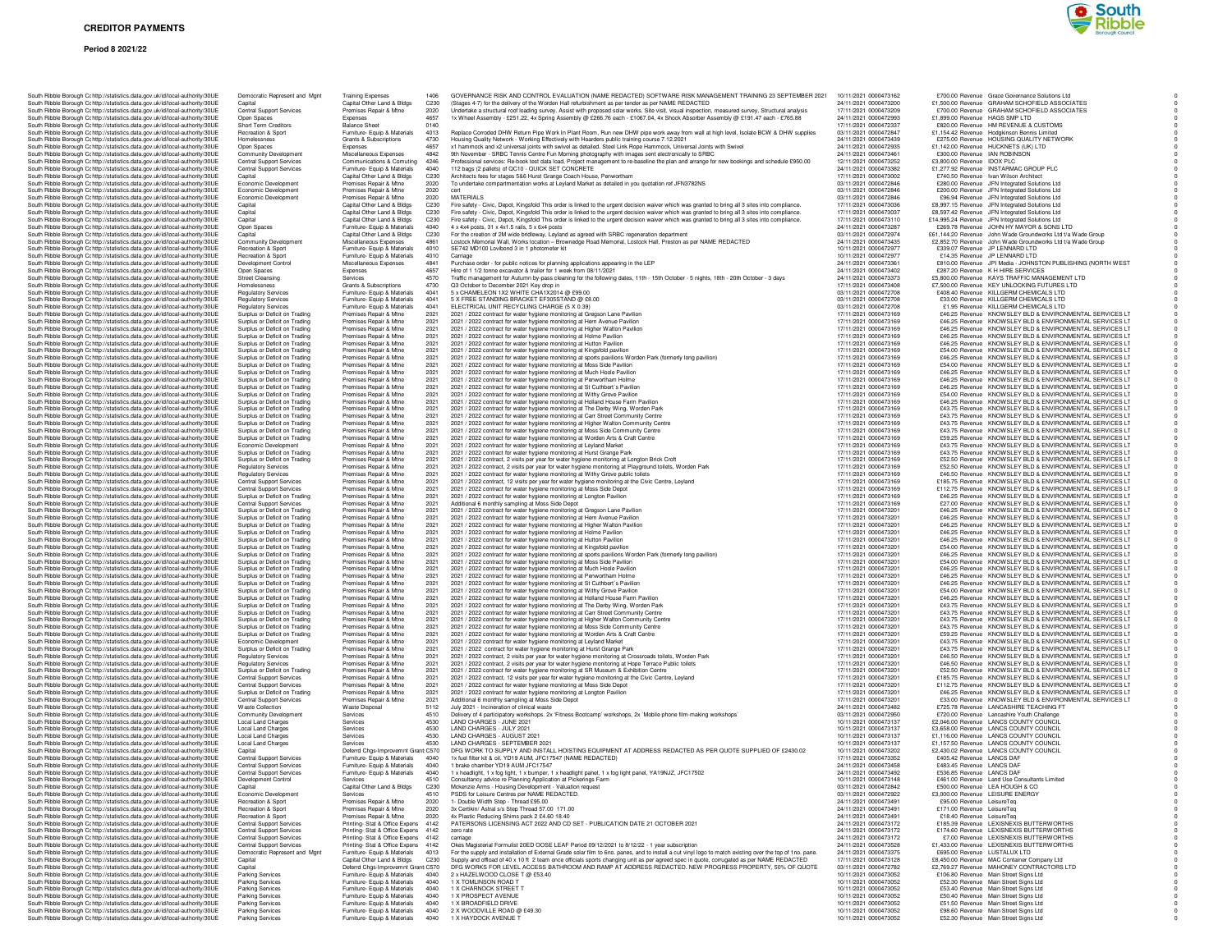#### **Period 8 2021/22**



| South Ribble Borough Cc http://statistics.data.gov.uk/id/local-authority/30UE                                                                                  | Democratic Represent and Mgnt                                      | <b>Training Expenses</b>                                                 |                          | GOVERNANCE RISK AND CONTROL EVALUATION (NAME REDACTED) SOFTWARE RISK MANAGEMENT TRAINING 23 SEPTEMBER 2021                                                                                                                                                                                           | 10/11/2021 0000473162                          | £700.00 Revenue Grace Governance Solutions Ltd                                                                            |
|----------------------------------------------------------------------------------------------------------------------------------------------------------------|--------------------------------------------------------------------|--------------------------------------------------------------------------|--------------------------|------------------------------------------------------------------------------------------------------------------------------------------------------------------------------------------------------------------------------------------------------------------------------------------------------|------------------------------------------------|---------------------------------------------------------------------------------------------------------------------------|
| South Ribble Borough Cc http://statistics.data.gov.uk/id/local-authority/30UE<br>South Ribble Borough Cc http://statistics.data.gov.uk/id/local-authority/30UE | Capital<br><b>Central Support Services</b>                         | Capital Other Land & Bldgs<br>Premises Repair & Mtne                     | C230<br>2020             | (Stages 4-7) for the delivery of the Worden Hall refurbishment as per tender as per NAME REDACTED<br>Undertake a structural roof loading survey. Assist with proposed solar works. Site visit, visual inspection, measured survey, Structural analysis                                               | 24/11/2021 0000473200<br>17/11/2021 0000473209 | £1,500.00 Revenue GRAHAM SCHOFIELD ASSOCIATES<br>£700.00 Revenue GRAHAM SCHOFIELD ASSOCIATES                              |
| South Ribble Borough Cc http://statistics.data.gov.uk/id/local-authority/30UE                                                                                  | Open Spaces                                                        | Expenses                                                                 | 4657                     | 1x Wheel Assembly - £251.22, 4x Spring Assembly @ £266.76 each - £1067.04, 4x Shock Absorber Assembly @ £191.47 each - £765.88                                                                                                                                                                       | 24/11/2021 0000472993                          | £1,899.00 Revenue HAGS SMP LTD                                                                                            |
| South Ribble Borough Cc http://statistics.data.gov.uk/id/local-authority/30UE                                                                                  | Short Term Creditors                                               | <b>Balance Sheet</b>                                                     | 0140<br>4013             |                                                                                                                                                                                                                                                                                                      | 17/11/2021 0000472337<br>03/11/2021 0000472847 | £820.00 Revenue HM REVENUE & CUSTOMS                                                                                      |
| South Ribble Borough Cc http://statistics.data.gov.uk/id/local-authority/30UE<br>South Ribble Borough Cc http://statistics.data.gov.uk/id/local-authority/30UE | Recreation & Sport<br>Homelessness                                 | Furniture- Equip & Materials<br>Grants & Subscriptions                   | 4730                     | Replace Corroded DHW Return Pipe Work In Plant Room, Run new DHW pipe work away from wall at high level, Isolate BCW & DHW supplies<br>Housing Quality Network - Working Effectively with Hoarders public training course 7.12.2021                                                                  | 24/11/2021 0000473439                          | £1,154.42 Revenue Hodgkinson Bennis Limited<br>£275.00 Revenue HOUSING QUALITY NETWORK                                    |
| South Ribble Borough Cc http://statistics.data.gov.uk/id/local-authority/30UE                                                                                  | Open Spaces                                                        | Expenses                                                                 | 4657                     | x1 hammock and x2 universal joints with swivel as detailed. Steel Link Rope Hammock, Universal Joints with Swivel                                                                                                                                                                                    | 24/11/2021 0000472935                          | £1,142.00 Revenue HUCKNETS (UK) LTD                                                                                       |
| South Ribble Borough Cc http://statistics.data.gov.uk/id/local-authority/30UE<br>South Ribble Borough Cc http://statistics.data.gov.uk/id/local-authority/30UE | Community Development<br><b>Central Support Services</b>           | Miscellaneous Expenses<br>Communications & Comuting                      | 4842<br>4246             | 9th November - SRBC Tennis Centre Fun Morning photography with images sent electronically to SRBC<br>Professional services: Re-book test data load, Project management to re-baseline the plan and arrange for new bookings and schedule £950.00                                                     | 24/11/2021 0000473461<br>12/11/2021 0000473252 | £300.00 Revenue IAN ROBINSON<br>£3,800.00 Revenue IDOX PLC                                                                |
| South Ribble Borough Cc http://statistics.data.gov.uk/id/local-authority/30UE                                                                                  | <b>Central Support Services</b>                                    | Furniture- Equip & Materials                                             | 4040                     | 112 bags (2 pallets) of QC10 - QUICK SET CONCRETE                                                                                                                                                                                                                                                    | 24/11/2021 0000473382                          | £1,277.92 Revenue INSTARMAC GROUP PLC                                                                                     |
| South Ribble Borough Cc http://statistics.data.gov.uk/id/local-authority/30UE<br>South Ribble Borough Ct http://statistics.data.gov.uk/id/local-authority/30UE | Capital<br>Economic Development                                    | Capital Other Land & Bldgs<br>Premises Repair & Mtne                     | C230<br>2020             | Architects fees for stages 5&6 Hurst Grange Coach House, Penwortham<br>To undertake compartmentation works at Leyland Market as detailed in you quotation ref JFN3782NS                                                                                                                              | 17/11/2021 0000473002<br>03/11/2021 0000472846 | £740.50 Bevenue Ivan Wilson Architect<br>£280.00 Bevenue JEN Integrated Solutions Ltd.                                    |
| South Ribble Borough Cc http://statistics.data.gov.uk/id/local-authority/30UE                                                                                  | Economic Development                                               | Premises Repair & Mtne                                                   | 2020                     |                                                                                                                                                                                                                                                                                                      | 03/11/2021 0000472846                          | £200.00 Revenue JFN Integrated Solutions Ltd                                                                              |
| South Ribble Borough Cc http://statistics.data.gov.uk/id/local-authority/30UE                                                                                  | Economic Development                                               | Premises Repair & Mtne                                                   | 2020                     | <b>MATERIALS</b>                                                                                                                                                                                                                                                                                     | 03/11/2021 0000472846                          | £96.94 Revenue JFN Integrated Solutions Ltd                                                                               |
| South Ribble Borough Cc http://statistics.data.gov.uk/id/local-authority/30UE<br>South Ribble Borough Cc http://statistics.data.gov.uk/id/local-authority/30UE | Capital<br>Capital                                                 | Capital Other Land & Bldgs<br>Capital Other Land & Bldgs                 | C230<br>C230             | Fire safety - Civic, Depot, Kingsfold This order is linked to the urgent decision waiver which was granted to bring all 3 sites into compliance.<br>Fire safety - Civic, Depot, Kingsfold This order is linked to the urgent decision waiver which was granted to bring all 3 sites into compliance. | 17/11/2021 0000473036<br>17/11/2021 0000473037 | £8,997.15 Revenue JFN Integrated Solutions Ltd<br>£8,597.42 Revenue JFN Integrated Solutions Ltd                          |
| South Ribble Borough Cc http://statistics.data.gov.uk/id/local-authority/30UE                                                                                  | Capital                                                            | Capital Other Land & Bldgs                                               | C230                     | Fire safety - Civic, Depot, Kingsfold This order is linked to the urgent decision waiver which was granted to bring all 3 sites into compliance.                                                                                                                                                     | 17/11/2021 0000473110                          | £14,995.24 Revenue JFN Integrated Solutions Ltd                                                                           |
| South Ribble Borough Cc http://statistics.data.gov.uk/id/local-authority/30UE                                                                                  | Open Spaces                                                        | Furniture- Equip & Materials                                             | 4040                     | 4 x 4x4 posts, 31 x 4x1.5 rails, 5 x 6x4 posts                                                                                                                                                                                                                                                       | 24/11/2021 0000473287<br>03/11/2021 0000472974 | £269.78 Revenue JOHN HY MAYOR & SONS LTD                                                                                  |
| South Ribble Borough Cc http://statistics.data.gov.uk/id/local-authority/30UE<br>South Ribble Borough Cc http://statistics.data.gov.uk/id/local-authority/30UE | Capital<br>Community Development                                   | Capital Other Land & Bldgs<br>Miscellaneous Expenses                     | C <sub>230</sub><br>4861 | For the creation of 2M wide bridleway, Leyland as agreed with SRBC regeneration department<br>Lostock Memorial Wall, Works location - Brownedge Road Memorial, Lostock Hall, Preston as per NAME REDACTED                                                                                            | 24/11/2021 0000473435                          | £61,144.20 Revenue John Wade Groundworks Ltd t/a Wade Group<br>£2.852.70 Revenue John Wade Groundworks Ltd t/a Wade Group |
| South Ribble Borough Cc http://statistics.data.gov.uk/id/local-authority/30UE                                                                                  | Recreation & Sport                                                 | Furniture- Equip & Materials                                             | 4010                     | SE742 MD100 Lovibond 3 in 1 photometer kit                                                                                                                                                                                                                                                           | 10/11/2021 0000472977                          | £339.07 Revenue JP LENNARD LTD                                                                                            |
| South Ribble Borough Cc http://statistics.data.gov.uk/id/local-authority/30UE<br>South Ribble Borough C: http://statistics.data.gov.uk/id/local-authority/30UE | Recreation & Sport<br>Development Control                          | Furniture- Equip & Materials<br>Miscellaneous Expenses                   | 4010<br>4841             | Carriage<br>Purchase order - for public notices for planning applications appearing in the LEP                                                                                                                                                                                                       | 10/11/2021 0000472977<br>24/11/2021 0000473361 | £14.35 Revenue JP LENNARD LTD<br>£810.00 Revenue JPI Media - JOHNSTON PUBLISHING (NORTH WEST                              |
| South Ribble Borough Cc http://statistics.data.gov.uk/id/local-authority/30UE                                                                                  | Open Spaces                                                        | Expenses                                                                 | 4657                     | Hire of 1 1/2 tonne excavator & trailer for 1 week from 08/11/2021                                                                                                                                                                                                                                   | 24/11/2021 0000473402                          | £287.20 Revenue K H HIRE SERVICES                                                                                         |
| South Ribble Borough Cc http://statistics.data.gov.uk/id/local-authority/30UE                                                                                  | <b>Street Cleansing</b>                                            | Services                                                                 | 4570                     | Traffic management for Autumn by-pass cleaning for the following dates, 11th - 15th October - 5 nights, 18th - 20th October - 3 days                                                                                                                                                                 | 24/11/2021 0000473373                          | £5,800.00 Revenue KAYS TRAFFIC MANAGEMENT LTD                                                                             |
| South Ribble Borough Cc http://statistics.data.gov.uk/id/local-authority/30UE<br>South Ribble Borough Cc http://statistics.data.gov.uk/id/local-authority/30UE | Homelessness<br><b>Regulatory Services</b>                         | Grants & Subscriptions<br>Furniture- Equip & Materials                   | 4730<br>4041             | Q3 October to December 2021 Key drop in<br>5 x CHAMELEON 1X2 WHITE CHA1X2014 @ £99.00                                                                                                                                                                                                                | 17/11/2021 0000473408<br>03/11/2021 0000472708 | £7,500.00 Revenue KEY UNLOCKING FUTURES LTD<br>£408.40 Revenue KILLGERM CHEMICALS LTD                                     |
| South Ribble Borough Ct http://statistics.data.gov.uk/id/local-authority/30UE                                                                                  | <b>Regulatory Services</b>                                         | Furniture- Equip & Materials                                             | 4041                     | 5 X FREE STANDING BRACKET FE305STAND @ £8.00                                                                                                                                                                                                                                                         | 03/11/2021 0000472708                          | £33.00 Revenue KILLGERM CHEMICALS LTD                                                                                     |
| South Ribble Borough Cc http://statistics.data.gov.uk/id/local-authority/30UE                                                                                  | <b>Regulatory Services</b>                                         | Furniture- Equip & Materials                                             | 4041<br>2021             | ELECTRICAL UNIT RECYCLING CHARGE (5 X 0.39)                                                                                                                                                                                                                                                          | 03/11/2021 0000472708<br>17/11/2021 0000473169 | £1.95 Revenue KILLGERM CHEMICALS LTD<br>£46.25 Revenue KNOWSLEY BLD & ENVIRONMENTAL SERVICES LT                           |
| South Ribble Borough Cc http://statistics.data.gov.uk/id/local-authority/30UE<br>South Ribble Borough Cc http://statistics.data.gov.uk/id/local-authority/30UE | Surplus or Deficit on Trading<br>Surplus or Deficit on Trading     | Premises Repair & Mtne<br>Premises Repair & Mtne                         | 2021                     | 2021 / 2022 contract for water hygiene monitoring at Gregson Lane Pavilion<br>2021 / 2022 contract for water hygiene monitoring at Hern Avenue Pavilion                                                                                                                                              | 17/11/2021 0000473169                          | £46.25 Revenue KNOWSLEY BLD & ENVIRONMENTAL SERVICES LT                                                                   |
| South Ribble Borough Cc http://statistics.data.gov.uk/id/local-authority/30UE                                                                                  | Surplus or Deficit on Trading                                      | Premises Repair & Mtne                                                   | 2021                     | 2021 / 2022 contract for water hygiene monitoring at Higher Walton Pavilion                                                                                                                                                                                                                          | 17/11/2021 0000473169                          | £46.25 Revenue KNOWSLEY BLD & ENVIRONMENTAL SERVICES LT                                                                   |
| South Ribble Borough Cc http://statistics.data.gov.uk/id/local-authority/30UE<br>South Ribble Borough Cc http://statistics.data.gov.uk/id/local-authority/30UE | Surplus or Deficit on Trading<br>Surplus or Deficit on Trading     | Premises Repair & Mtne<br>Premises Repair & Mtne                         | 2021<br>2021             | 2021 / 2022 contract for water hygiene monitoring at Holme Pavilion<br>2021 / 2022 contract for water hygiene monitoring at Hutton Pavilion                                                                                                                                                          | 17/11/2021 0000473169<br>17/11/2021 0000473169 | £46.25 Revenue KNOWSLEY BLD & ENVIRONMENTAL SERVICES LT<br>£46.25 Revenue KNOWSLEY BLD & ENVIRONMENTAL SERVICES LT        |
| South Ribble Borough Cc http://statistics.data.gov.uk/id/local-authority/30UE                                                                                  | Surplus or Deficit on Trading                                      | Premises Repair & Mtne                                                   | 2021                     | 2021 / 2022 contract for water hygiene monitoring at Kingsfold pavilion                                                                                                                                                                                                                              | 17/11/2021 0000473169                          | £54.00 Revenue KNOWSLEY BLD & ENVIRONMENTAL SERVICES LT                                                                   |
| South Ribble Borough Cc http://statistics.data.gov.uk/id/local-authority/30UE                                                                                  | Surplus or Deficit on Trading                                      | Premises Repair & Mtne                                                   | 2021                     | 2021 / 2022 contract for water hygiene monitoring at sports pavilions Worden Park (formerly long pavilion)                                                                                                                                                                                           | 17/11/2021 0000473169                          | £46.25 Revenue KNOWSLEY BLD & ENVIRONMENTAL SERVICES LT                                                                   |
| South Ribble Borough Ct http://statistics.data.gov.uk/id/local-authority/30UE<br>South Ribble Borough Cc http://statistics.data.gov.uk/id/local-authority/30UE | Surplus or Deficit on Trading<br>Surplus or Deficit on Trading     | Premises Repair & Mtne<br>Premises Repair & Mtne                         | 2021<br>2021             | 2021 / 2022 contract for water hygiene monitoring at Moss Side Pavilion<br>2021 / 2022 contract for water hygiene monitoring at Much Hoole Pavilion                                                                                                                                                  | 17/11/2021 0000473169<br>17/11/2021 0000473169 | £54.00 Revenue KNOWSLEY BLD & ENVIRONMENTAL SERVICES LT<br>£46.25 Revenue KNOWSLEY BLD & ENVIRONMENTAL SERVICES LT        |
| South Ribble Borough Cc http://statistics.data.gov.uk/id/local-authority/30UE                                                                                  | Surplus or Deficit on Trading                                      | Premises Repair & Mtne                                                   | 2021                     | 2021 / 2022 contract for water hygiene monitoring at Penwortham Holme                                                                                                                                                                                                                                | 17/11/2021 0000473169                          | £46.25 Revenue KNOWSLEY BLD & ENVIRONMENTAL SERVICES LT                                                                   |
| South Ribble Borough Cc http://statistics.data.gov.uk/id/local-authority/30UE                                                                                  | Surplus or Deficit on Trading                                      | Premises Repair & Mtne                                                   | 2021                     | 2021 / 2022 contract for water hygiene monitoring at St Cuthbert's Pavilion                                                                                                                                                                                                                          | 17/11/2021 0000473169                          | £46.25 Revenue KNOWSLEY BLD & ENVIRONMENTAL SERVICES LT                                                                   |
| South Ribble Borough Cr http://statistics.data.gov.uk/id/local-authority/30UE<br>South Ribble Borough Cc http://statistics.data.gov.uk/id/local-authority/30UE | Surplus or Deficit on Trading<br>Surplus or Deficit on Trading     | Premises Repair & Mtne<br>Premises Repair & Mtne                         | 2021<br>2021             | 2021 / 2022 contract for water hygiene monitoring at Withy Grove Pavilion<br>2021 / 2022 contract for water hygiene monitoring at Holland House Farm Pavilion                                                                                                                                        | 17/11/2021 0000473169<br>17/11/2021 0000473169 | £54.00 Revenue KNOWSLEY BLD & ENVIRONMENTAL SERVICES LT<br>£46.25 Revenue KNOWSLEY BLD & ENVIRONMENTAL SERVICES LT        |
| South Ribble Borough Cc http://statistics.data.gov.uk/id/local-authority/30UE                                                                                  | Surplus or Deficit on Trading                                      | Premises Repair & Mtne                                                   | 2021                     | 2021 / 2022 contract for water hygiene monitoring at The Derby Wing, Worden Park                                                                                                                                                                                                                     | 17/11/2021 0000473169                          | £43.75 Revenue KNOWSLEY BLD & ENVIRONMENTAL SERVICES LT                                                                   |
| South Ribble Borough Cc http://statistics.data.gov.uk/id/local-authority/30UE                                                                                  | Surplus or Deficit on Trading<br>Surplus or Deficit on Trading     | Premises Repair & Mtne<br>Premises Repair & Mtne                         | 2021<br>2021             | 2021 / 2022 contract for water hygiene monitoring at Carr Street Community Centre                                                                                                                                                                                                                    | 17/11/2021 0000473169<br>17/11/2021 0000473169 | £43.75 Revenue KNOWSLEY BLD & ENVIRONMENTAL SERVICES LT<br>£43.75 Revenue KNOWSLEY BLD & ENVIRONMENTAL SERVICES LT        |
| South Ribble Borough Cc http://statistics.data.gov.uk/id/local-authority/30UE<br>South Ribble Borough Cc http://statistics.data.gov.uk/id/local-authority/30UE | Surplus or Deficit on Trading                                      | Premises Repair & Mtne                                                   | 2021                     | 2021 / 2022 contract for water hygiene monitoring at Higher Walton Community Centre<br>2021 / 2022 contract for water hygiene monitoring at Moss Side Community Centre                                                                                                                               | 17/11/2021 0000473169                          | £43.75 Revenue KNOWSLEY BLD & ENVIRONMENTAL SERVICES LT                                                                   |
| South Ribble Borough Cc http://statistics.data.gov.uk/id/local-authority/30UE                                                                                  | Surplus or Deficit on Trading                                      | Premises Repair & Mtne                                                   | 2021                     | 2021 / 2022 contract for water hygiene monitoring at Worden Arts & Craft Centre                                                                                                                                                                                                                      | 17/11/2021 0000473169                          | £59.25 Revenue KNOWSLEY BLD & ENVIRONMENTAL SERVICES LT                                                                   |
| South Ribble Borough C: http://statistics.data.gov.uk/id/local-authority/30UE<br>South Ribble Borough Cc http://statistics.data.gov.uk/id/local-authority/30UE | Economic Development<br>Surplus or Deficit on Trading              | Premises Repair & Mtne<br>Premises Repair & Mtne                         | 2021<br>2021             | 2021 / 2022 contract for water hygiene monitoring at Leyland Market<br>2021 / 2022 contract for water hygiene monitoring at Hurst Grange Park                                                                                                                                                        | 17/11/2021 0000473169<br>17/11/2021 0000473169 | £43.75 Revenue KNOWSLEY BLD & ENVIRONMENTAL SERVICES LT<br>£43.75 Revenue KNOWSLEY BLD & ENVIRONMENTAL SERVICES LT        |
| South Ribble Borough Cc http://statistics.data.gov.uk/id/local-authority/30UE                                                                                  | Surplus or Deficit on Trading                                      | Premises Repair & Mtne                                                   | 2021                     | 2021 / 2022 contract, 2 visits per year for water hygiene monitoring at Longton Brick Croft                                                                                                                                                                                                          | 17/11/2021 0000473169                          | £52.50 Revenue KNOWSLEY BLD & ENVIRONMENTAL SERVICES LT                                                                   |
| South Ribble Borough Cohttp://statistics.data.gov.uk/id/local-authority/30UE                                                                                   | <b>Regulatory Services</b>                                         | Premises Repair & Mtne                                                   | 2021                     | 2021 / 2022 contract, 2 visits per year for water hygiene monitoring at Playground toilets. Worden Park                                                                                                                                                                                              | 17/11/2021 0000473169<br>17/11/2021 0000473169 | £52.50 Revenue KNOWSLEY BLD & ENVIRONMENTAL SERVICES LT                                                                   |
| South Ribble Borough Cc http://statistics.data.gov.uk/id/local-authority/30UE<br>South Ribble Borough Cr http://statistics.data.gov.uk/id/local-authority/30UE | <b>Regulatory Services</b><br><b>Central Support Services</b>      | Premises Repair & Mtne<br>Premises Repair & Mtne                         | 2021<br>2021             | 2021 / 2022 contract for water hygiene monitoring at Withy Grove public toilets<br>2021 / 2022 contract, 12 visits per year for water hygiene monitoring at the Civic Centre, Leyland                                                                                                                | 17/11/2021 0000473169                          | £46.50 Revenue KNOWSLEY BLD & ENVIRONMENTAL SERVICES LT<br>£185.75 Revenue KNOWSLEY BLD & ENVIRONMENTAL SERVICES LT       |
| South Ribble Borough Cc http://statistics.data.gov.uk/id/local-authority/30UE                                                                                  | Central Support Services                                           | Premises Repair & Mtne                                                   | 2021                     | 2021 / 2022 contract for water hygiene monitoring at Moss Side Depot                                                                                                                                                                                                                                 | 17/11/2021 0000473169                          | £112.75 Revenue KNOWSLEY BLD & ENVIRONMENTAL SERVICES LT                                                                  |
| South Ribble Borough Cc http://statistics.data.gov.uk/id/local-authority/30UE                                                                                  | Surplus or Deficit on Trading                                      | Premises Repair & Mtne                                                   | 2021                     | 2021 / 2022 contract for water hygiene monitoring at Longton Pavilion                                                                                                                                                                                                                                | 17/11/2021 0000473169<br>17/11/2021 0000473169 | £46.25 Revenue KNOWSLEY BLD & ENVIRONMENTAL SERVICES LT                                                                   |
| South Ribble Borough Cc http://statistics.data.gov.uk/id/local-authority/30UE<br>South Ribble Borough Cc http://statistics.data.gov.uk/id/local-authority/30UE | <b>Central Support Services</b><br>Surplus or Deficit on Trading   | Premises Repair & Mtne<br>Premises Repair & Mtne                         | 2021<br>2021             | Additional 6 monthly sampling at Moss Side Depot<br>2021 / 2022 contract for water hygiene monitoring at Gregson Lane Pavilion                                                                                                                                                                       | 17/11/2021 0000473201                          | £27.00 Revenue KNOWSLEY BLD & ENVIRONMENTAL SERVICES LT<br>£46.25 Revenue KNOWSLEY BLD & ENVIRONMENTAL SERVICES LT        |
| South Ribble Borough Cc http://statistics.data.gov.uk/id/local-authority/30UE                                                                                  | Surplus or Deficit on Trading                                      | Premises Repair & Mtne                                                   | 2021                     | 2021 / 2022 contract for water hygiene monitoring at Hern Avenue Pavilion                                                                                                                                                                                                                            | 17/11/2021 0000473201                          | £46.25 Revenue KNOWSLEY BLD & ENVIRONMENTAL SERVICES LT                                                                   |
| South Ribble Borough Cc http://statistics.data.gov.uk/id/local-authority/30UE<br>South Ribble Borough Cc http://statistics.data.gov.uk/id/local-authority/30UE | Surplus or Deficit on Trading<br>Surplus or Deficit on Trading     | Premises Repair & Mtne<br>Premises Repair & Mtne                         | 2021<br>2021             | 2021 / 2022 contract for water hygiene monitoring at Higher Walton Pavilion<br>2021 / 2022 contract for water hygiene monitoring at Holme Pavilion                                                                                                                                                   | 17/11/2021 0000473201<br>17/11/2021 0000473201 | £46.25 Revenue KNOWSLEY BLD & ENVIRONMENTAL SERVICES LT<br>£46.25 Revenue KNOWSLEY BLD & ENVIRONMENTAL SERVICES LT        |
| South Ribble Borough Cc http://statistics.data.gov.uk/id/local-authority/30UE                                                                                  | Surplus or Deficit on Trading                                      | Premises Repair & Mtne                                                   | 2021                     | 2021 / 2022 contract for water hygiene monitoring at Hutton Pavilion                                                                                                                                                                                                                                 | 17/11/2021 0000473201                          | £46.25 Revenue KNOWSLEY BLD & ENVIRONMENTAL SERVICES LT                                                                   |
| South Ribble Borough Cc http://statistics.data.gov.uk/id/local-authority/30UE                                                                                  | Surplus or Deficit on Trading                                      | Premises Repair & Mtne                                                   | 2021                     | 2021 / 2022 contract for water hygiene monitoring at Kingsfold pavilion                                                                                                                                                                                                                              | 17/11/2021 0000473201                          | £54.00 Revenue KNOWSLEY BLD & ENVIRONMENTAL SERVICES LT                                                                   |
| South Ribble Borough Cc http://statistics.data.gov.uk/id/local-authority/30UE<br>South Ribble Borough Cc http://statistics.data.gov.uk/id/local-authority/30UE | Surplus or Deficit on Trading<br>Surplus or Deficit on Trading     | Premises Repair & Mtne<br>Premises Repair & Mtne                         | 2021<br>2021             | 2021 / 2022 contract for water hygiene monitoring at sports pavilions Worden Park (formerly long pavilion)<br>2021 / 2022 contract for water hygiene monitoring at Moss Side Pavilion                                                                                                                | 17/11/2021 0000473201<br>17/11/2021 0000473201 | £46.25 Revenue KNOWSLEY BLD & ENVIRONMENTAL SERVICES LT<br>£54.00 Revenue KNOWSLEY BLD & ENVIRONMENTAL SERVICES LT        |
| South Ribble Borough Cc http://statistics.data.gov.uk/id/local-authority/30UE                                                                                  | Surplus or Deficit on Trading                                      | Premises Repair & Mtne                                                   | 2021                     | 2021 / 2022 contract for water hygiene monitoring at Much Hoole Pavilion                                                                                                                                                                                                                             | 17/11/2021 0000473201                          | £46.25 Revenue KNOWSLEY BLD & ENVIRONMENTAL SERVICES LT                                                                   |
| South Ribble Borough Cc http://statistics.data.gov.uk/id/local-authority/30UE<br>South Ribble Borough Cc http://statistics.data.gov.uk/id/local-authority/30UE | Surplus or Deficit on Trading<br>Surplus or Deficit on Trading     | Premises Repair & Mtne<br>Premises Repair & Mtne                         | 2021<br>2021             | 2021 / 2022 contract for water hygiene monitoring at Penwortham Holme<br>2021 / 2022 contract for water hygiene monitoring at St Cuthbert's Pavilion                                                                                                                                                 | 17/11/2021 0000473201<br>17/11/2021 0000473201 | £46.25 Revenue KNOWSLEY BLD & ENVIRONMENTAL SERVICES LT<br>£46.25 Revenue KNOWSLEY BLD & ENVIRONMENTAL SERVICES LT        |
| South Ribble Borough Cc http://statistics.data.gov.uk/id/local-authority/30UE                                                                                  | Surplus or Deficit on Trading                                      | Premises Repair & Mtne                                                   | 2021                     | 2021 / 2022 contract for water hygiene monitoring at Withy Grove Pavilion                                                                                                                                                                                                                            | 17/11/2021 0000473201                          | £54.00 Revenue KNOWSLEY BLD & ENVIRONMENTAL SERVICES LT                                                                   |
| South Ribble Borough Cc http://statistics.data.gov.uk/id/local-authority/30UE                                                                                  | Surplus or Deficit on Trading                                      | Premises Repair & Mtne                                                   | 2021                     | 2021 / 2022 contract for water hygiene monitoring at Holland House Farm Pavilion                                                                                                                                                                                                                     | 17/11/2021 0000473201                          | £46.25 Revenue KNOWSLEY BLD & ENVIRONMENTAL SERVICES LT                                                                   |
| South Ribble Borough Cr http://statistics.data.gov.uk/id/local-authority/30UE<br>South Ribble Borough Cc http://statistics.data.gov.uk/id/local-authority/30UE | Surplus or Deficit on Trading<br>Surplus or Deficit on Trading     | Premises Repair & Mtne<br>Premises Repair & Mtne                         | 2021<br>2021             | 2021 / 2022 contract for water hygiene monitoring at The Derby Wing, Worden Park<br>2021 / 2022 contract for water hygiene monitoring at Carr Street Community Centre                                                                                                                                | 17/11/2021 0000473201<br>17/11/2021 0000473201 | £43.75 Revenue KNOWSLEY BLD & ENVIRONMENTAL SERVICES LT<br>£43.75 Revenue KNOWSLEY BLD & ENVIRONMENTAL SERVICES LT        |
| South Ribble Borough Cc http://statistics.data.gov.uk/id/local-authority/30UE                                                                                  | Surplus or Deficit on Trading                                      | Premises Repair & Mtne                                                   | 2021                     | 2021 / 2022 contract for water hygiene monitoring at Higher Walton Community Centre                                                                                                                                                                                                                  | 17/11/2021 0000473201                          | £43.75 Revenue KNOWSLEY BLD & ENVIRONMENTAL SERVICES LT                                                                   |
| South Ribble Borough Cc http://statistics.data.gov.uk/id/local-authority/30UE                                                                                  | Surplus or Deficit on Trading<br>Surplus or Deficit on Trading     | Premises Repair & Mtne<br>Premises Repair & Mtne                         | 2021<br>2021             | 2021 / 2022 contract for water hygiene monitoring at Moss Side Community Centre                                                                                                                                                                                                                      | 17/11/2021 0000473201<br>17/11/2021 0000473201 | £43.75 Revenue KNOWSLEY BLD & ENVIRONMENTAL SERVICES LT<br>£59.25 Revenue KNOWSLEY BLD & ENVIRONMENTAL SERVICES LT        |
| South Ribble Borough Cc http://statistics.data.gov.uk/id/local-authority/30UE<br>South Ribble Borough Cc http://statistics.data.gov.uk/id/local-authority/30UE | Economic Development                                               | Premises Repair & Mtne                                                   | 2021                     | 2021 / 2022 contract for water hygiene monitoring at Worden Arts & Craft Centre<br>2021 / 2022 contract for water hygiene monitoring at Leyland Market                                                                                                                                               | 17/11/2021 0000473201                          | £43.75 Revenue KNOWSLEY BLD & ENVIRONMENTAL SERVICES LT                                                                   |
| South Ribble Borough Cc http://statistics.data.gov.uk/id/local-authority/30UE                                                                                  | Surplus or Deficit on Trading                                      | Premises Repair & Mtne                                                   | 2021                     | 2021 / 2022 contract for water hygiene monitoring at Hurst Grange Park                                                                                                                                                                                                                               | 17/11/2021 0000473201                          | £43.75 Revenue KNOWSLEY BLD & ENVIRONMENTAL SERVICES LT                                                                   |
| South Ribble Borough Cc http://statistics.data.gov.uk/id/local-authority/30UE<br>South Ribble Borough Ct http://statistics.data.gov.uk/id/local-authority/30UE | <b>Regulatory Services</b><br><b>Regulatory Services</b>           | Premises Repair & Mtne<br>Premises Repair & Mtne                         | 2021<br>2021             | 2021 / 2022 contract, 2 visits per year for water hygiene monitoring at Crossroads toilets, Worden Park<br>2021 / 2022 contract, 2 visits per year for water hygiene monitoring at Hope Terrace Public toilets                                                                                       | 17/11/2021 0000473201<br>17/11/2021 0000473201 | £46.50 Revenue KNOWSLEY BLD & ENVIRONMENTAL SERVICES LT<br>£46.50 Revenue KNOWSLEY BLD & ENVIRONMENTAL SERVICES LT        |
| South Ribble Borough Cc http://statistics.data.gov.uk/id/local-authority/30UE                                                                                  | Surplus or Deficit on Trading                                      | Premises Repair & Mtne                                                   | 2021                     | 2021 / 2022 contract for water hygiene monitoring at SR Museum & Exhibition Centre                                                                                                                                                                                                                   | 17/11/2021 0000473201                          | £52.50 Revenue KNOWSLEY BLD & ENVIRONMENTAL SERVICES LT                                                                   |
| South Ribble Borough Cc http://statistics.data.gov.uk/id/local-authority/30UE<br>South Ribble Borough Cc http://statistics.data.gov.uk/id/local-authority/30UE | Central Support Services<br><b>Central Support Services</b>        | Premises Repair & Mtne<br>Premises Repair & Mtne                         | 2021<br>2021             | 2021 / 2022 contract, 12 visits per year for water hygiene monitoring at the Civic Centre, Leyland<br>2021 / 2022 contract for water hygiene monitoring at Moss Side Depot                                                                                                                           | 17/11/2021 0000473201<br>17/11/2021 0000473201 | £185.75 Revenue KNOWSLEY BLD & ENVIRONMENTAL SERVICES LT<br>£112.75 Revenue KNOWSLEY BLD & ENVIRONMENTAL SERVICES LT      |
| South Ribble Borough Cc http://statistics.data.gov.uk/id/local-authority/30UE                                                                                  | Surplus or Deficit on Trading                                      | Premises Repair & Mtne                                                   | 2021                     | 2021 / 2022 contract for water hygiene monitoring at Longton Pavilion                                                                                                                                                                                                                                | 17/11/2021 0000473201                          | £46.25 Revenue KNOWSLEY BLD & ENVIRONMENTAL SERVICES LT                                                                   |
| South Ribble Borough Cc http://statistics.data.gov.uk/id/local-authority/30UE                                                                                  | <b>Central Support Services</b>                                    | Premises Repair & Mtne                                                   | 2021                     | Additional 6 monthly sampling at Moss Side Depot                                                                                                                                                                                                                                                     | 17/11/2021 0000473201                          | £33.00 Revenue KNOWSLEY BLD & ENVIRONMENTAL SERVICES LT                                                                   |
| South Ribble Borough Cc http://statistics.data.gov.uk/id/local-authority/30UE<br>South Ribble Borough Cc http://statistics.data.gov.uk/id/local-authority/30UE | <b>Waste Collection</b><br>Community Development                   | Waste Disposal<br>Services                                               | 5112<br>4510             | July 2021 - Incineration of clinical waste<br>Delivery of 4 participatory workshops. 2x 'Fitness Bootcamp' workshops, 2x 'Mobile phone film-making workshops'                                                                                                                                        | 24/11/2021 0000473482<br>03/11/2021 0000472950 | £725.78 Revenue LANCASHIRE TEACHING FT<br>£720.00 Revenue Lancashire Youth Challenge                                      |
| South Ribble Borough Cc http://statistics.data.gov.uk/id/local-authority/30UE                                                                                  | Local Land Charges                                                 | Services                                                                 | 4530                     | LAND CHARGES - JUNE 2021                                                                                                                                                                                                                                                                             | 10/11/2021 0000473137                          | £2,046.00 Revenue LANCS COUNTY COUNCIL                                                                                    |
| South Ribble Borough Cr http://statistics.data.gov.uk/id/local-authority/30UE                                                                                  | <b>Local Land Charges</b>                                          | Services<br>Services                                                     | 4530<br>4530             | LAND CHARGES - JULY 2021<br>LAND CHARGES - AUGUST 2021                                                                                                                                                                                                                                               | 10/11/2021 0000473137<br>10/11/2021 0000473137 | £3,658.00 Revenue LANCS COUNTY COUNCIL                                                                                    |
| South Ribble Borough Cc http://statistics.data.gov.uk/id/local-authority/30UE<br>South Ribble Borough Cc http://statistics.data.gov.uk/id/local-authority/30UE | Local Land Charges<br>Local Land Charges                           | Services                                                                 | 4530                     | LAND CHARGES - SEPTEMBER 2021                                                                                                                                                                                                                                                                        | 10/11/2021 0000473137                          | £1,116.00 Revenue LANCS COUNTY COUNCIL<br>£1,157.50 Revenue LANCS COUNTY COUNCIL                                          |
| South Ribble Borough Cc http://statistics.data.gov.uk/id/local-authority/30UE                                                                                  | Capital                                                            | Deferrd Chgs-Improvemnt Grant C570                                       |                          | DFG WORK TO SUPPLY AND INSTALL HOISTING EQUIPMENT AT ADDRESS REDACTED AS PER QUOTE SUPPLIED OF £2430.02                                                                                                                                                                                              | 10/11/2021 0000473202                          | £2,430.02 Revenue LANCS COUNTY COUNCIL                                                                                    |
| South Ribble Borough Cc http://statistics.data.gov.uk/id/local-authority/30UE<br>South Ribble Borough Cc http://statistics.data.gov.uk/id/local-authority/30UE | <b>Central Support Services</b><br><b>Central Support Services</b> | Furniture- Equip & Materials 4040<br>Furniture- Equip & Materials        | 4040                     | 1x fuel filter kit & oil, YD19 AUM, JFC17547 (NAME REDACTED)<br>1 brake chamber YD19 AUM JFC17547                                                                                                                                                                                                    | 17/11/2021 0000473352<br>24/11/2021 0000473458 | £405.42 Revenue LANCS DAF<br>£483.45 Revenue LANCS DAF                                                                    |
| South Ribble Borough Cohttp://statistics.data.gov.uk/id/local-authority/30UE                                                                                   | <b>Central Support Services</b>                                    | Furniture- Equip & Materials                                             | 4040                     | 1 x headlight, 1 x fog light, 1 x bumper, 1 x headlight panel, 1 x fog light panel, YA19NJZ, JFC17502                                                                                                                                                                                                | 24/11/2021 0000473492                          | £536.85 Revenue LANCS DAF                                                                                                 |
| South Ribble Borough Cc http://statistics.data.gov.uk/id/local-authority/30UE                                                                                  | Development Control                                                | Services                                                                 | 4510                     | Consultancy advice re Planning Application at Pickerings Farm                                                                                                                                                                                                                                        | 10/11/2021 0000473148<br>03/11/2021 0000472842 | £461.00 Revenue Land Use Consultants Limited                                                                              |
| South Ribble Borough Cc http://statistics.data.gov.uk/id/local-authority/30UE<br>South Ribble Borough Cc http://statistics.data.gov.uk/id/local-authority/30UE | Capital<br>Fronomic Development                                    | Capital Other Land & Bldgs<br>Services                                   | C230<br>4510             | Mckenzie Arms - Housing Development - Valuation request<br>PSDS for Leisure Centres per NAME REDACTED.                                                                                                                                                                                               | 03/11/2021 0000472922                          | £500.00 Revenue LEA HOUGH & CO<br>£3,000.00 Revenue LEISURE ENERGY                                                        |
| South Ribble Borough Cc http://statistics.data.gov.uk/id/local-authority/30UE                                                                                  | Recreation & Sport                                                 | Premises Repair & Mtne                                                   | 2020                     | 1- Double Width Step - Thread £95.00                                                                                                                                                                                                                                                                 | 24/11/2021 0000473491                          | £95.00 Revenue LeisureTeg                                                                                                 |
| South Ribble Borough Cc http://statistics.data.gov.uk/id/local-authority/30UE<br>South Ribble Borough Cc http://statistics.data.gov.uk/id/local-authority/30UE | Recreation & Sport<br>Recreation & Sport                           | Premises Repair & Mtne<br>Premises Repair & Mtne                         | 2020<br>2020             | 3x Certikin/ Astral s/s Step Thread 57.00 171.00<br>4x Plastic Reducing Shims pack 2 £4.60 18.40                                                                                                                                                                                                     | 24/11/2021 0000473491<br>24/11/2021 0000473491 | £171.00 Revenue LeisureTeq<br>£18.40 Revenue LeisureTeq                                                                   |
| South Ribble Borough Cc http://statistics.data.gov.uk/id/local-authority/30UE                                                                                  | <b>Central Support Services</b>                                    | Printing-Stat & Office Expens 4142                                       |                          | PATERSONS LICENSING ACT 2022 AND CD SET - PUBLICATION DATE 21 OCTOBER 2021                                                                                                                                                                                                                           | 24/11/2021 0000473172                          | £185.39 Revenue LEXISNEXIS BUTTERWORTHS                                                                                   |
| South Ribble Borough Cc http://statistics.data.gov.uk/id/local-authority/30UE                                                                                  | <b>Central Support Services</b>                                    | Printing-Stat & Office Expens 4142                                       |                          | zero rate                                                                                                                                                                                                                                                                                            | 24/11/2021 0000473172                          | £174.60 Revenue LEXISNEXIS BUTTERWORTHS                                                                                   |
| South Ribble Borough Cc http://statistics.data.gov.uk/id/local-authority/30UE<br>South Ribble Borough Cohttp://statistics.data.gov.uk/id/local-authority/30UE  | <b>Central Support Services</b><br><b>Central Support Services</b> | Printing-Stat & Office Expens 4142<br>Printing-Stat & Office Expens 4142 |                          | carriage<br>Okes Magisterial Formulist 20ED OOSE LEAF Period 09/12/2021 to 8/12/22 - 1 year subscription                                                                                                                                                                                             | 24/11/2021 0000473172<br>24/11/2021 0000473528 | £7.00 Revenue LEXISNEXIS BUTTERWORTHS<br>£1,433.00 Revenue LEXISNEXIS BUTTERWORTHS                                        |
| South Ribble Borough Cc http://statistics.data.gov.uk/id/local-authority/30UE                                                                                  | Democratic Represent and Mgnt                                      | Furniture- Equip & Materials                                             | 4013                     | For the supply and installation of External Grade solar film to 6no. panes, and to install a cut vinyl logo to match existing over the top of 1no. pane.                                                                                                                                             | 24/11/2021 0000473375                          | £695.00 Revenue LUSTALUX LTD                                                                                              |
| South Ribble Borough Cc http://statistics.data.gov.uk/id/local-authority/30UE                                                                                  | Capital                                                            | Capital Other Land & Bldgs<br>Deferrd Chgs-Improvemnt Grant C570         | C <sub>230</sub>         | Supply and offload of 40 x 10 ft 2 team once officials sports changing unit as per agreed spec in quote, corrugated as per NAME REDACTED                                                                                                                                                             | 17/11/2021 0000473128<br>03/11/2021 0000472782 | £8,450.00 Revenue MAC Container Company Ltd                                                                               |
| South Ribble Borough Cc http://statistics.data.gov.uk/id/local-authority/30UE<br>South Ribble Borough Cc http://statistics.data.gov.uk/id/local-authority/30UE | Capital<br><b>Parking Services</b>                                 | Furniture- Equip & Materials                                             | 4040                     | DFG WORKS FOR LEVEL ACCESS BATHROOM AND RAMP AT ADDRESS REDACTED. NEW PROGRESS PROPERTY, 50% OF QUOTE<br>2 x HAZELWOOD CLOSE T @ £53.40                                                                                                                                                              | 10/11/2021 0000473052                          | £2,769.27 Revenue MAHONEY CONTRACTORS LTD<br>£106.80 Revenue Main Street Signs Ltd                                        |
| South Ribble Borough Cc http://statistics.data.gov.uk/id/local-authority/30UE                                                                                  | Parking Services                                                   | Furniture- Equip & Materials                                             | 4040                     | 1 X TOMLINSON ROAD T                                                                                                                                                                                                                                                                                 | 10/11/2021 0000473052                          | £52.30 Revenue Main Street Signs Ltd                                                                                      |
| South Ribble Borough Cc http://statistics.data.gov.uk/id/local-authority/30UE<br>South Ribble Borough Cc http://statistics.data.gov.uk/id/local-authority/30UE | Parking Services<br>Parking Services                               | Furniture- Equip & Materials<br>Furniture- Equip & Materials             | 4040<br>4040             | 1 X CHARNOCK STREET T<br>1 X PROSPECT AVENUE                                                                                                                                                                                                                                                         | 10/11/2021 0000473052<br>10/11/2021 0000473052 | £53.40 Revenue Main Street Signs Ltd<br>£50.40 Revenue Main Street Signs Ltd                                              |
| Couth Dibble Bo<br>and the California distinction above an                                                                                                     |                                                                    |                                                                          |                          | Y RROADEIELD DRIVE                                                                                                                                                                                                                                                                                   |                                                | <b>CE1 EO Douanua Main Chroni C</b>                                                                                       |

| ND CONTROL EVALUATION (NAME REDACTED) SOFTWARE RISK MANAGEMENT TRAINING 23 SEPTEMBER 2021                                                                                                                                            | 10/11/2021 0000473162                          |                                                        | £700.00 Revenue Grace Governance Solutions Ltd                                                                     |                           |
|--------------------------------------------------------------------------------------------------------------------------------------------------------------------------------------------------------------------------------------|------------------------------------------------|--------------------------------------------------------|--------------------------------------------------------------------------------------------------------------------|---------------------------|
| ary of the Worden Hall refurbishment as per tender as per NAME REDACTED                                                                                                                                                              | 24/11/2021 0000473200<br>17/11/2021 0000473209 |                                                        | £1,500.00 Revenue GRAHAM SCHOFIELD ASSOCIATES                                                                      |                           |
| of loading survey. Assist with proposed solar works. Site visit, visual inspection, measured survey, Structural analysis<br>51.22, 4x Spring Assembly @ £266.76 each - £1067.04, 4x Shock Absorber Assembly @ £191.47 each - £765.88 | 24/11/2021 0000472993                          | £1,899.00 Revenue HAGS SMP LTD                         | £700.00 Revenue GRAHAM SCHOFIELD ASSOCIATES                                                                        |                           |
|                                                                                                                                                                                                                                      | 17/11/2021 0000472337                          |                                                        | £820.00 Revenue HM REVENUE & CUSTOMS                                                                               |                           |
| Return Pipe Work In Plant Room, Run new DHW pipe work away from wall at high level, Isolate BCW & DHW supplies                                                                                                                       | 03/11/2021 0000472847                          |                                                        | £1.154.42 Revenue Hodakinson Bennis Limited                                                                        |                           |
| - Working Effectively with Hoarders public training course 7.12.2021                                                                                                                                                                 | 24/11/2021 0000473439                          |                                                        | £275.00 Revenue HOUSING QUALITY NETWORK                                                                            |                           |
| ersal joints with swivel as detailed. Steel Link Rope Hammock, Universal Joints with Swivel                                                                                                                                          | 24/11/2021 0000472935                          |                                                        | £1,142.00 Revenue HUCKNETS (UK) LTD                                                                                |                           |
| ennis Centre Fun Morning photography with images sent electronically to SRBC                                                                                                                                                         | 24/11/2021 0000473461                          | £300.00 Revenue IAN ROBINSON                           |                                                                                                                    |                           |
| -book test data load, Project management to re-baseline the plan and arrange for new bookings and schedule £950.00<br>C10 - QUICK SET CONCRETE                                                                                       | 12/11/2021 0000473252<br>24/11/2021 0000473382 | £3,800.00 Revenue IDOX PLC                             | £1,277.92 Revenue INSTARMAC GROUP PLC                                                                              |                           |
| 5&6 Hurst Grange Coach House, Penwortham                                                                                                                                                                                             | 17/11/2021 0000473002                          |                                                        | £740.50 Revenue Ivan Wilson Architect                                                                              |                           |
| ntation works at Leyland Market as detailed in you quotation ref JFN3782NS                                                                                                                                                           | 03/11/2021 0000472846                          |                                                        | £280.00 Revenue JFN Integrated Solutions Ltd                                                                       |                           |
|                                                                                                                                                                                                                                      | 03/11/2021 0000472846                          |                                                        | £200.00 Revenue JFN Integrated Solutions Ltd                                                                       |                           |
|                                                                                                                                                                                                                                      | 03/11/2021 0000472846                          |                                                        | £96.94 Revenue JFN Integrated Solutions Ltd                                                                        |                           |
| Kingsfold This order is linked to the urgent decision waiver which was granted to bring all 3 sites into compliance.                                                                                                                 | 17/11/2021 0000473036                          |                                                        | £8,997.15 Revenue JFN Integrated Solutions Ltd                                                                     |                           |
| Kingsfold This order is linked to the urgent decision waiver which was granted to bring all 3 sites into compliance.                                                                                                                 | 17/11/2021 0000473037                          |                                                        | £8,597.42 Revenue JFN Integrated Solutions Ltd                                                                     | $\Omega$                  |
| Kingsfold This order is linked to the urgent decision waiver which was granted to bring all 3 sites into compliance.                                                                                                                 | 17/11/2021 0000473110                          |                                                        | £14,995.24 Revenue JFN Integrated Solutions Ltd                                                                    |                           |
| rails, 5 x 6x4 posts                                                                                                                                                                                                                 | 24/11/2021 0000473287                          |                                                        | £269.78 Revenue JOHN HY MAYOR & SONS LTD                                                                           |                           |
| de bridleway, Leyland as agreed with SRBC regeneration department                                                                                                                                                                    | 03/11/2021 0000472974                          |                                                        | £61,144.20 Revenue John Wade Groundworks Ltd t/a Wade Group                                                        |                           |
| Vorks location - Brownedge Road Memorial, Lostock Hall, Preston as per NAME REDACTED<br>3 in 1 photometer kit                                                                                                                        | 24/11/2021 0000473435<br>10/11/2021 0000472977 |                                                        | £2,852.70 Revenue John Wade Groundworks Ltd t/a Wade Group<br>£339.07 Revenue JP LENNARD LTD                       |                           |
|                                                                                                                                                                                                                                      | 10/11/2021 0000472977                          |                                                        | £14.35 Bevenue JP LENNARD LTD                                                                                      |                           |
| ic notices for planning applications appearing in the LEP                                                                                                                                                                            | 24/11/2021 0000473361                          |                                                        | £810.00 Revenue JPI Media - JOHNSTON PUBLISHING (NORTH WEST                                                        |                           |
| ator & trailer for 1 week from 08/11/2021                                                                                                                                                                                            | 24/11/2021 0000473402                          |                                                        | £287.20 Revenue K H HIRE SERVICES                                                                                  |                           |
| utumn by-pass cleaning for the following dates, 11th - 15th October - 5 nights, 18th - 20th October - 3 days                                                                                                                         | 24/11/2021 0000473373                          |                                                        | £5,800.00 Revenue KAYS TRAFFIC MANAGEMENT LTD                                                                      |                           |
| 2021 Key drop in                                                                                                                                                                                                                     | 17/11/2021 0000473408                          |                                                        | £7,500.00 Revenue KEY UNLOCKING FUTURES LTD                                                                        |                           |
| HITE CHA1X2014 @ £99.00                                                                                                                                                                                                              | 03/11/2021 0000472708                          |                                                        | £408.40 Revenue KILLGERM CHEMICALS LTD                                                                             |                           |
| RACKET EF305STAND @ £8.00                                                                                                                                                                                                            | 03/11/2021 0000472708<br>03/11/2021 0000472708 |                                                        | £33.00 Revenue KILLGERM CHEMICALS LTD<br>£1.95 Revenue KILLGERM CHEMICALS LTD                                      |                           |
| YCLING CHARGE (5 X 0.39)<br>water hygiene monitoring at Gregson Lane Pavilion                                                                                                                                                        | 17/11/2021 0000473169                          |                                                        | £46.25 Revenue KNOWSLEY BLD & ENVIRONMENTAL SERVICES LT                                                            | $^{\circ}$<br>$^{\circ}$  |
|                                                                                                                                                                                                                                      | 17/11/2021 0000473169                          |                                                        | £46.25 Revenue KNOWSLEY BLD & ENVIRONMENTAL SERVICES LT                                                            |                           |
| water hygiene monitoring at Hern Avenue Pavilion<br>water hygiene monitoring at Higher Walton Pavilion                                                                                                                               | 17/11/2021 0000473169                          |                                                        | £46.25 Revenue KNOWSLEY BLD & ENVIRONMENTAL SERVICES LT                                                            |                           |
| water hygiene monitoring at Holme Pavilion                                                                                                                                                                                           | 17/11/2021 0000473169                          |                                                        | £46.25 Revenue KNOWSLEY BLD & ENVIRONMENTAL SERVICES LT                                                            | $\mathbf 0$               |
| water hygiene monitoring at Hutton Pavilion                                                                                                                                                                                          | 17/11/2021 0000473169                          |                                                        | £46.25 Revenue KNOWSLEY BLD & ENVIRONMENTAL SERVICES LT                                                            |                           |
| water hygiene monitoring at Kingsfold pavilion                                                                                                                                                                                       | 17/11/2021 0000473169                          |                                                        | £54.00 Revenue KNOWSLEY BLD & ENVIRONMENTAL SERVICES LT                                                            |                           |
| water hygiene monitoring at sports pavilions Worden Park (formerly long pavilion)                                                                                                                                                    | 17/11/2021 0000473169                          |                                                        | £46.25 Revenue KNOWSLEY BLD & ENVIRONMENTAL SERVICES LT                                                            |                           |
| water hygiene monitoring at Moss Side Pavilion                                                                                                                                                                                       | 17/11/2021 0000473169                          |                                                        | £54.00 Revenue KNOWSLEY BLD & ENVIRONMENTAL SERVICES LT                                                            | $\circ$                   |
| water hygiene monitoring at Much Hoole Pavilion                                                                                                                                                                                      | 17/11/2021 0000473169                          |                                                        | £46.25 Revenue KNOWSLEY BLD & ENVIRONMENTAL SERVICES LT                                                            | $\mathbf 0$               |
| water hygiene monitoring at Penwortham Holme                                                                                                                                                                                         | 17/11/2021 0000473169                          |                                                        | £46.25 Revenue KNOWSLEY BLD & ENVIRONMENTAL SERVICES LT                                                            | $^{\circ}$                |
| water hygiene monitoring at St Cuthbert's Pavilion                                                                                                                                                                                   | 17/11/2021 0000473169                          |                                                        | £46.25 Revenue KNOWSLEY BLD & ENVIRONMENTAL SERVICES LT                                                            | $\mathbf 0$               |
| water hygiene monitoring at Withy Grove Pavilion                                                                                                                                                                                     | 17/11/2021 0000473169                          |                                                        | £54.00 Revenue KNOWSLEY BLD & ENVIRONMENTAL SERVICES LT                                                            | $\mathbf 0$               |
| water hygiene monitoring at Holland House Farm Pavilion                                                                                                                                                                              | 17/11/2021 0000473169                          |                                                        | £46.25 Revenue KNOWSLEY BLD & ENVIRONMENTAL SERVICES LT                                                            |                           |
| water hygiene monitoring at The Derby Wing, Worden Park                                                                                                                                                                              | 17/11/2021 0000473169                          |                                                        | £43.75 Revenue KNOWSLEY BLD & ENVIRONMENTAL SERVICES LT                                                            |                           |
| water hygiene monitoring at Carr Street Community Centre                                                                                                                                                                             | 17/11/2021 0000473169                          |                                                        | £43.75 Revenue KNOWSLEY BLD & ENVIRONMENTAL SERVICES LT<br>£43.75 Revenue KNOWSLEY BLD & ENVIRONMENTAL SERVICES LT | $\mathbf 0$               |
| water hygiene monitoring at Higher Walton Community Centre                                                                                                                                                                           | 17/11/2021 0000473169<br>17/11/2021 0000473169 |                                                        | £43.75 Revenue KNOWSLEY BLD & ENVIRONMENTAL SERVICES LT                                                            |                           |
| water hygiene monitoring at Moss Side Community Centre                                                                                                                                                                               | 17/11/2021 0000473169                          |                                                        | £59.25 Revenue KNOWSLEY BLD & ENVIRONMENTAL SERVICES LT                                                            | $^{\circ}$<br>$\mathbf 0$ |
| water hygiene monitoring at Worden Arts & Craft Centre<br>water hygiene monitoring at Leyland Market                                                                                                                                 | 17/11/2021 0000473169                          |                                                        | £43.75 Revenue KNOWSLEY BLD & ENVIRONMENTAL SERVICES LT                                                            | $\circ$                   |
| water hygiene monitoring at Hurst Grange Park                                                                                                                                                                                        | 17/11/2021 0000473169                          |                                                        | £43.75 Revenue KNOWSLEY BLD & ENVIRONMENTAL SERVICES LT                                                            | $\circ$                   |
| isits per year for water hygiene monitoring at Longton Brick Croft                                                                                                                                                                   | 17/11/2021 0000473169                          |                                                        | £52.50 Revenue KNOWSLEY BLD & ENVIRONMENTAL SERVICES LT                                                            |                           |
| isits per year for water hygiene monitoring at Playground toilets, Worden Park                                                                                                                                                       | 17/11/2021 0000473169                          |                                                        | £52.50 Revenue KNOWSLEY BLD & ENVIRONMENTAL SERVICES LT                                                            |                           |
| water hygiene monitoring at Withy Grove public toilets                                                                                                                                                                               | 17/11/2021 0000473169                          |                                                        | £46.50 Revenue KNOWSLEY BLD & ENVIRONMENTAL SERVICES LT                                                            | $\circ$                   |
| visits per year for water hygiene monitoring at the Civic Centre, Leyland                                                                                                                                                            | 17/11/2021 0000473169                          |                                                        | £185.75 Revenue KNOWSLEY BLD & ENVIRONMENTAL SERVICES LT                                                           |                           |
| water hygiene monitoring at Moss Side Depot                                                                                                                                                                                          | 17/11/2021 0000473169                          |                                                        | £112.75 Revenue KNOWSLEY BLD & ENVIRONMENTAL SERVICES LT                                                           |                           |
| water hygiene monitoring at Longton Pavilion                                                                                                                                                                                         | 17/11/2021 0000473169                          |                                                        | £46.25 Revenue KNOWSLEY BLD & ENVIRONMENTAL SERVICES LT                                                            | $^{\circ}$                |
| pling at Moss Side Depot                                                                                                                                                                                                             | 17/11/2021 0000473169                          |                                                        | £27.00 Revenue KNOWSLEY BLD & ENVIRONMENTAL SERVICES LT                                                            | $\circ$                   |
| water hygiene monitoring at Gregson Lane Pavilion                                                                                                                                                                                    | 17/11/2021 0000473201                          |                                                        | £46.25 Revenue KNOWSLEY BLD & ENVIRONMENTAL SERVICES LT<br>£46.25 Revenue KNOWSLEY BLD & ENVIRONMENTAL SERVICES LT | $\mathbf 0$               |
| water hygiene monitoring at Hern Avenue Pavilion                                                                                                                                                                                     | 17/11/2021 0000473201<br>17/11/2021 0000473201 |                                                        | £46.25 Revenue KNOWSLEY BLD & ENVIRONMENTAL SERVICES LT                                                            | $\circ$                   |
| water hygiene monitoring at Higher Walton Pavilion<br>water hygiene monitoring at Holme Pavilion                                                                                                                                     | 17/11/2021 0000473201                          |                                                        | £46.25 Revenue KNOWSLEY BLD & ENVIRONMENTAL SERVICES LT                                                            |                           |
| water hygiene monitoring at Hutton Pavilion                                                                                                                                                                                          | 17/11/2021 0000473201                          |                                                        | £46.25 Revenue KNOWSLEY BLD & ENVIRONMENTAL SERVICES LT                                                            | $\circ$                   |
| water hygiene monitoring at Kingsfold pavilion                                                                                                                                                                                       | 17/11/2021 0000473201                          |                                                        | £54.00 Revenue KNOWSLEY BLD & ENVIRONMENTAL SERVICES LT                                                            | $\circ$                   |
| water hygiene monitoring at sports pavilions Worden Park (formerly long pavilion)                                                                                                                                                    | 17/11/2021 0000473201                          |                                                        | £46.25 Revenue KNOWSLEY BLD & ENVIRONMENTAL SERVICES LT                                                            |                           |
| water hygiene monitoring at Moss Side Pavilion                                                                                                                                                                                       | 17/11/2021 0000473201                          |                                                        | £54.00 Revenue KNOWSLEY BLD & ENVIRONMENTAL SERVICES LT                                                            | $^{\circ}$                |
| water hygiene monitoring at Much Hoole Pavilion                                                                                                                                                                                      | 17/11/2021 0000473201                          |                                                        | £46.25 Revenue KNOWSLEY BLD & ENVIRONMENTAL SERVICES LT                                                            | $\circ$                   |
| water hygiene monitoring at Penwortham Holme                                                                                                                                                                                         | 17/11/2021 0000473201                          |                                                        | £46.25 Revenue KNOWSLEY BLD & ENVIRONMENTAL SERVICES LT                                                            | $\bf{0}$                  |
| water hygiene monitoring at St Cuthbert's Pavilion                                                                                                                                                                                   | 17/11/2021 0000473201                          |                                                        | £46.25 Revenue KNOWSLEY BLD & ENVIRONMENTAL SERVICES LT                                                            |                           |
| water hygiene monitoring at Withy Grove Pavilion                                                                                                                                                                                     | 17/11/2021 0000473201                          |                                                        | £54.00 Revenue KNOWSLEY BLD & ENVIRONMENTAL SERVICES LT                                                            |                           |
| water hygiene monitoring at Holland House Farm Pavilion                                                                                                                                                                              | 17/11/2021 0000473201                          |                                                        | £46.25 Revenue KNOWSLEY BLD & ENVIRONMENTAL SERVICES LT                                                            | $\bf{0}$                  |
| water hygiene monitoring at The Derby Wing, Worden Park                                                                                                                                                                              | 17/11/2021 0000473201                          |                                                        | £43.75 Revenue KNOWSLEY BLD & ENVIRONMENTAL SERVICES LT                                                            | $\circ$                   |
| water hygiene monitoring at Carr Street Community Centre                                                                                                                                                                             | 17/11/2021 0000473201<br>17/11/2021 0000473201 |                                                        | £43.75 Revenue KNOWSLEY BLD & ENVIRONMENTAL SERVICES LT<br>£43.75 Revenue KNOWSLEY BLD & ENVIRONMENTAL SERVICES LT | $^{\circ}$                |
| water hygiene monitoring at Higher Walton Community Centre                                                                                                                                                                           | 17/11/2021 0000473201                          |                                                        |                                                                                                                    | $\circ$                   |
| water hygiene monitoring at Moss Side Community Centre<br>water hygiene monitoring at Worden Arts & Craft Centre                                                                                                                     | 17/11/2021 0000473201                          |                                                        | £43.75 Revenue KNOWSLEY BLD & ENVIRONMENTAL SERVICES LT<br>£59.25 Revenue KNOWSLEY BLD & ENVIRONMENTAL SERVICES LT | $\circ$                   |
| water hygiene monitoring at Leyland Market                                                                                                                                                                                           | 17/11/2021 0000473201                          |                                                        | £43.75 Revenue KNOWSLEY BLD & ENVIRONMENTAL SERVICES LT                                                            |                           |
| water hygiene monitoring at Hurst Grange Park                                                                                                                                                                                        | 17/11/2021 0000473201                          |                                                        | £43.75 Revenue KNOWSLEY BLD & ENVIRONMENTAL SERVICES LT                                                            |                           |
| isits per year for water hygiene monitoring at Crossroads toilets, Worden Park                                                                                                                                                       | 17/11/2021 0000473201                          |                                                        | £46.50 Revenue KNOWSLEY BLD & ENVIRONMENTAL SERVICES LT                                                            |                           |
| isits per year for water hygiene monitoring at Hope Terrace Public toilets                                                                                                                                                           | 17/11/2021 0000473201                          |                                                        | £46.50 Revenue KNOWSLEY BLD & ENVIRONMENTAL SERVICES LT                                                            |                           |
| water hygiene monitoring at SR Museum & Exhibition Centre                                                                                                                                                                            | 17/11/2021 0000473201                          |                                                        | £52.50 Revenue KNOWSLEY BLD & ENVIRONMENTAL SERVICES LT                                                            | $\circ$                   |
| visits per year for water hygiene monitoring at the Civic Centre, Leyland                                                                                                                                                            | 17/11/2021 0000473201                          |                                                        | £185.75 Revenue KNOWSLEY BLD & ENVIRONMENTAL SERVICES LT                                                           | $^{\circ}$                |
| water hygiene monitoring at Moss Side Depot                                                                                                                                                                                          | 17/11/2021 0000473201                          |                                                        | £112.75 Revenue KNOWSLEY BLD & ENVIRONMENTAL SERVICES LT                                                           |                           |
| water hygiene monitoring at Longton Pavilion<br>pling at Moss Side Depot                                                                                                                                                             | 17/11/2021 0000473201<br>17/11/2021 0000473201 |                                                        | £46.25 Revenue KNOWSLEY BLD & ENVIRONMENTAL SERVICES LT<br>£33.00 Revenue KNOWSLEY BLD & ENVIRONMENTAL SERVICES LT | $\bf{0}$<br>$\circ$       |
| f clinical waste                                                                                                                                                                                                                     | 24/11/2021 0000473482                          |                                                        | £725.78 Revenue LANCASHIRE TEACHING FT                                                                             |                           |
| workshops. 2x 'Fitness Bootcamp' workshops, 2x 'Mobile phone film-making workshops'                                                                                                                                                  | 03/11/2021 0000472950                          |                                                        | £720.00 Revenue Lancashire Youth Challenge                                                                         |                           |
| E 2021                                                                                                                                                                                                                               | 10/11/2021 0000473137                          |                                                        | £2,046.00 Revenue LANCS COUNTY COUNCIL                                                                             |                           |
| / 2021                                                                                                                                                                                                                               | 10/11/2021 0000473137                          |                                                        | £3,658.00 Revenue LANCS COUNTY COUNCIL                                                                             |                           |
| <b>UST 2021</b>                                                                                                                                                                                                                      | 10/11/2021 0000473137                          |                                                        | £1,116.00 Revenue LANCS COUNTY COUNCIL                                                                             |                           |
| TEMBER 2021                                                                                                                                                                                                                          | 10/11/2021 0000473137                          |                                                        | £1.157.50 Revenue LANCS COUNTY COUNCIL                                                                             |                           |
| Y AND INSTALL HOISTING EQUIPMENT AT ADDRESS REDACTED AS PER QUOTE SUPPLIED OF £2430.02                                                                                                                                               | 10/11/2021 0000473202                          |                                                        | £2,430.02 Revenue LANCS COUNTY COUNCIL                                                                             |                           |
| 9 AUM, JFC17547 (NAME REDACTED)                                                                                                                                                                                                      | 17/11/2021 0000473352                          | £405.42 Revenue LANCS DAF                              |                                                                                                                    | $\Omega$                  |
| UM JFC17547<br>t, 1 x bumper, 1 x headlight panel, 1 x fog light panel, YA19NJZ, JFC17502                                                                                                                                            | 24/11/2021 0000473458<br>24/11/2021 0000473492 | £483.45 Revenue LANCS DAF<br>£536.85 Revenue LANCS DAF |                                                                                                                    |                           |
|                                                                                                                                                                                                                                      |                                                |                                                        |                                                                                                                    | $\circ$                   |
| anning Application at Pickerings Farm<br>J Development - Valuation request                                                                                                                                                           | 10/11/2021 0000473148<br>03/11/2021 0000472842 |                                                        | £461.00 Revenue Land Use Consultants Limited<br>£500.00 Revenue LEA HOUGH & CO                                     |                           |
| s per NAME REDACTED.                                                                                                                                                                                                                 | 03/11/2021 0000472922                          | £3,000.00 Bevenue LEISURE ENERGY                       |                                                                                                                    |                           |
| hread £95.00                                                                                                                                                                                                                         | 24/11/2021 0000473491                          | £95.00 Revenue LeisureTeg                              |                                                                                                                    |                           |
| p Thread 57.00 171.00                                                                                                                                                                                                                | 24/11/2021 0000473491                          | £171.00 Revenue LeisureTeg                             |                                                                                                                    |                           |
| ns pack 2 £4.60 18.40                                                                                                                                                                                                                | 24/11/2021 0000473491                          | £18.40 Revenue LeisureTeg                              |                                                                                                                    | $\circ$                   |
| IG ACT 2022 AND CD SET - PUBLICATION DATE 21 OCTOBER 2021                                                                                                                                                                            | 24/11/2021 0000473172                          |                                                        | £185.39 Revenue LEXISNEXIS BUTTERWORTHS                                                                            | $\mathbf 0$               |
|                                                                                                                                                                                                                                      | 24/11/2021 0000473172                          |                                                        | £174.60 Revenue LEXISNEXIS BUTTERWORTHS                                                                            |                           |
|                                                                                                                                                                                                                                      | 24/11/2021 0000473172                          |                                                        | £7.00 Revenue LEXISNEXIS BUTTERWORTHS                                                                              | $\circ$                   |
| st 20ED OOSE LEAF Period 09/12/2021 to 8/12/22 - 1 year subscription                                                                                                                                                                 | 24/11/2021 0000473528                          |                                                        | £1,433.00 Revenue LEXISNEXIS BUTTERWORTHS                                                                          |                           |
| ation of External Grade solar film to 6no. panes, and to install a cut vinyl logo to match existing over the top of 1no. pane.                                                                                                       | 24/11/2021 0000473375                          | F695.00 Bevenue I USTALUX LTD                          |                                                                                                                    |                           |
| x 10 ft 2 team once officials sports changing unit as per agreed spec in quote, corrugated as per NAME REDACTED                                                                                                                      | 17/11/2021 0000473128                          |                                                        | £8.450.00 Revenue MAC Container Company Ltd                                                                        | $^{\circ}$                |
| EL ACCESS BATHROOM AND RAMP AT ADDRESS REDACTED. NEW PROGRESS PROPERTY, 50% OF QUOTE                                                                                                                                                 |                                                |                                                        | £2,769.27 Revenue MAHONEY CONTRACTORS LTD                                                                          | $\circ$                   |
|                                                                                                                                                                                                                                      | 03/11/2021 0000472782                          |                                                        |                                                                                                                    |                           |
| ET@ £53.40                                                                                                                                                                                                                           | 10/11/2021 0000473052                          |                                                        | £106.80 Revenue Main Street Signs Ltd                                                                              | $^{\circ}$                |
|                                                                                                                                                                                                                                      | 10/11/2021 0000473052                          |                                                        | £52.30 Revenue Main Street Signs Ltd                                                                               | $^{\circ}$<br>$\mathbf 0$ |
| T T<br>ΙE                                                                                                                                                                                                                            | 10/11/2021 0000473052<br>10/11/2021 0000473052 |                                                        | £53.40 Revenue Main Street Signs Ltd<br>£50.40 Revenue Main Street Signs Ltd                                       | $\bf{0}$                  |
|                                                                                                                                                                                                                                      | 10/11/2021 0000473052                          |                                                        | £51.50 Revenue Main Street Signs Ltd                                                                               | $\circ$                   |
| @ £49.30<br>iТ.                                                                                                                                                                                                                      | 10/11/2021 0000473052<br>10/11/2021 0000473052 |                                                        | £98.60 Revenue Main Street Signs Ltd<br>£52.30 Revenue Main Street Signs Ltd                                       | $\mathbf 0$<br>$^{\circ}$ |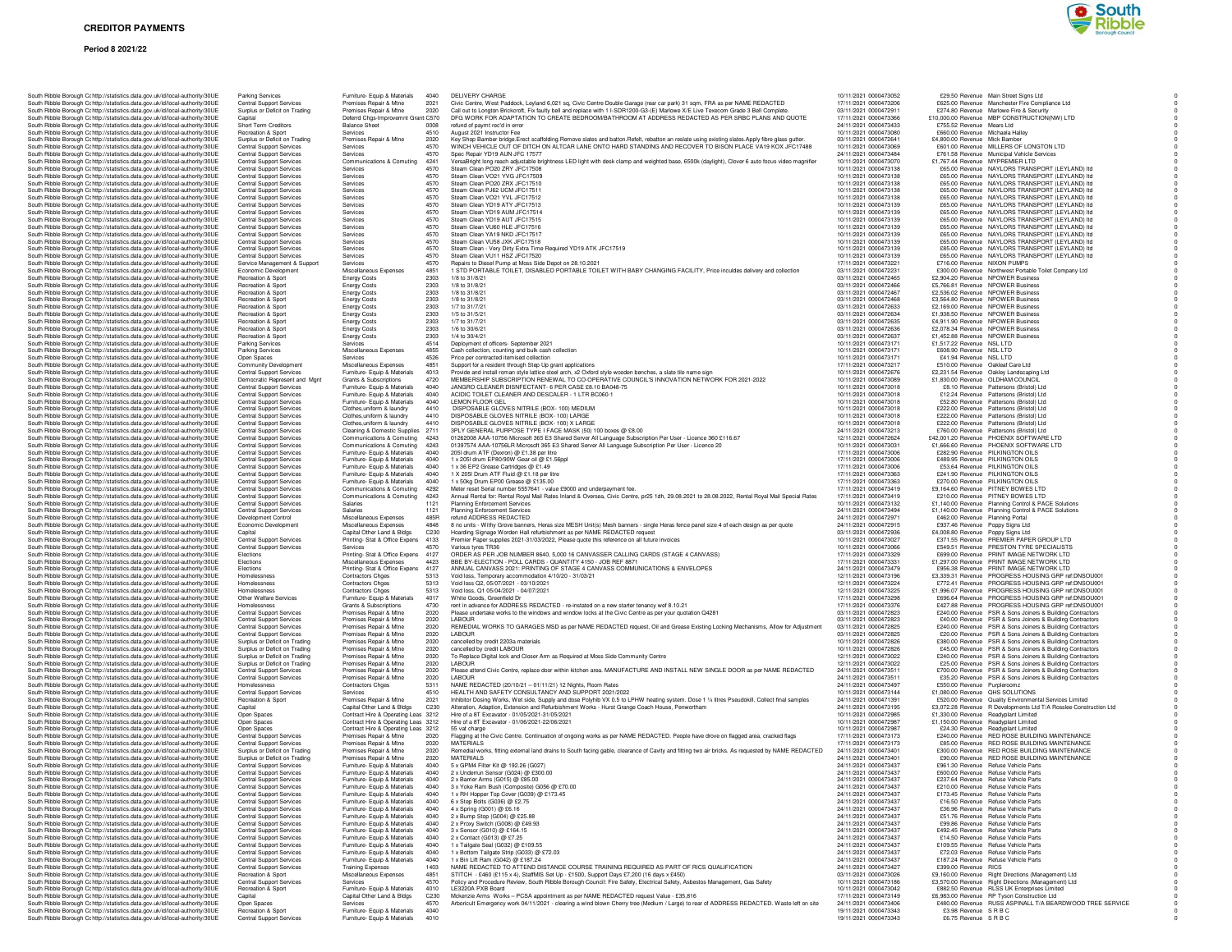### **Period 8 2021/22**



|  |  |                                                                              | South Ribble Borough Cc http://statistics.data.gov.uk/id/local-authority/30UE                                                                                  | Parking Services                                                   | Furniture- Equip & Materials                                      | 4040         | DELIVERY CHARGE                                                                                            |
|--|--|------------------------------------------------------------------------------|----------------------------------------------------------------------------------------------------------------------------------------------------------------|--------------------------------------------------------------------|-------------------------------------------------------------------|--------------|------------------------------------------------------------------------------------------------------------|
|  |  |                                                                              | South Ribble Borough Cc http://statistics.data.gov.uk/id/local-authority/30UE                                                                                  | <b>Central Support Services</b>                                    | Premises Repair & Mtne                                            | 2021         | Civic Centre, West Paddock, Leyland 6,021 sq, Civic Cent                                                   |
|  |  |                                                                              | South Ribble Borough Ct http://statistics.data.gov.uk/id/local-authority/30UE                                                                                  | Surplus or Deficit on Trading<br>Capital                           | Premises Repair & Mtne<br>Deferrd Chgs-Improvemnt Grant C570      | 2020         | Call out to Longton Brickcroft, Fix faulty bell and replace wi<br>DFG WORK FOR ADAPTATION TO CREATE BEDROO |
|  |  |                                                                              | South Ribble Borough Cc http://statistics.data.gov.uk/id/local-authority/30UE<br>South Ribble Borough Cc http://statistics.data.gov.uk/id/local-authority/30UE | Short Term Creditors                                               | <b>Balance Sheet</b>                                              | 0008         | refund of paymt rec'd in error                                                                             |
|  |  |                                                                              | South Ribble Borough Cc http://statistics.data.gov.uk/id/local-authority/30UE                                                                                  | Recreation & Sport                                                 | Services                                                          | 4510         | August 2021 Instructor Fee                                                                                 |
|  |  |                                                                              | South Ribble Borough C: http://statistics.data.gov.uk/id/local-authority/30UE                                                                                  | Surplus or Deficit on Trading                                      | Premises Repair & Mtne                                            | 2020         | Key Shop Bamber bridge. Erect scaffolding. Remove slates                                                   |
|  |  |                                                                              | South Ribble Borough Cc http://statistics.data.gov.uk/id/local-authority/30UE<br>South Ribble Borough Cc http://statistics.data.gov.uk/id/local-authority/30UE | Central Support Services<br>Central Support Services               | Services<br>Services                                              | 4570<br>4570 | WINCH VEHICLE OUT OF DITCH ON ALTCAR LANE O<br>Spec Repair YD19 AUN JFC 17577                              |
|  |  |                                                                              | South Ribble Borough Cc http://statistics.data.gov.uk/id/local-authority/30UE                                                                                  | <b>Central Support Services</b>                                    | Communications & Comuting                                         | 4241         | VersaBright long reach adjustable brightness LED light wit                                                 |
|  |  |                                                                              | South Ribble Borough Cc http://statistics.data.gov.uk/id/local-authority/30UE                                                                                  | <b>Central Support Services</b>                                    | Services                                                          | 4570         | Steam Clean PO20 ZRY JFC17508                                                                              |
|  |  |                                                                              | South Ribble Borough Cc http://statistics.data.gov.uk/id/local-authority/30UE                                                                                  | Central Support Services                                           | Services                                                          | 4570         | Steam Clean VO21 YVG JFC17509                                                                              |
|  |  |                                                                              | South Ribble Borough Cc http://statistics.data.gov.uk/id/local-authority/30UE<br>South Ribble Borough Cc http://statistics.data.gov.uk/id/local-authority/30UE | <b>Central Support Services</b><br>Central Support Services        | Services<br>Services                                              | 4570<br>4570 | Steam Clean PO20 ZRX JFC17510<br>Steam Clean PJ62 UCM JFC17511                                             |
|  |  |                                                                              | South Ribble Borough Cc http://statistics.data.gov.uk/id/local-authority/30UE                                                                                  | Central Support Services                                           | Services                                                          | 4570         | Steam Clean VO21 YVL JFC17512                                                                              |
|  |  |                                                                              | South Ribble Borough Cc http://statistics.data.gov.uk/id/local-authority/30UE                                                                                  | Central Support Services                                           | Services                                                          | 4570         | Steam Clean YD19 ATY JFC17513                                                                              |
|  |  |                                                                              | South Ribble Borough Cc http://statistics.data.gov.uk/id/local-authority/30UE                                                                                  | Central Support Services                                           | Services                                                          | 4570         | Steam Clean YD19 AUM JFC17514                                                                              |
|  |  |                                                                              | South Ribble Borough Cc http://statistics.data.gov.uk/id/local-authority/30UE<br>South Ribble Borough Cc http://statistics.data.gov.uk/id/local-authority/30UE | <b>Central Support Services</b><br><b>Central Support Services</b> | Services<br>Services                                              | 4570<br>4570 | Steam Clean YD19 AUT JFC17515<br>Steam Clean VU60 HLE JFC17516                                             |
|  |  |                                                                              | South Ribble Borough Cc http://statistics.data.gov.uk/id/local-authority/30UE                                                                                  | <b>Central Support Services</b>                                    | Services                                                          | 4570         | Steam Clean YA19 NKD JFC17517                                                                              |
|  |  |                                                                              | South Ribble Borough Cc http://statistics.data.gov.uk/id/local-authority/30UE                                                                                  | <b>Central Support Services</b>                                    | Services                                                          | 4570         | Steam Clean VU58 JXK JFC17518                                                                              |
|  |  |                                                                              | South Ribble Borough Cc http://statistics.data.gov.uk/id/local-authority/30UE                                                                                  | Central Support Services                                           | Services                                                          | 4570         | Steam Clean - Very Dirty Extra Time Required YD19 ATK                                                      |
|  |  |                                                                              | South Ribble Borough Cc http://statistics.data.gov.uk/id/local-authority/30UE<br>South Ribble Borough Cohttp://statistics.data.gov.uk/id/local-authority/30UE  | Central Support Services                                           | Services                                                          | 4570         | Steam Clean VU11 HSZ JFC17520                                                                              |
|  |  |                                                                              | South Ribble Borough Cc http://statistics.data.gov.uk/id/local-authority/30UE                                                                                  | Service Management & Support<br>Economic Development               | Services<br>Miscellaneous Expenses                                | 4570<br>4851 | Repairs to Diesel Pump at Moss Side Depot on 28.10.2021<br>1 STD PORTABLE TOILET, DISABLED PORTABLE TOI    |
|  |  |                                                                              | South Ribble Borough Cc http://statistics.data.gov.uk/id/local-authority/30UE                                                                                  | Recreation & Sport                                                 | <b>Energy Costs</b>                                               | 2303         | 1/8 to 31/8/21                                                                                             |
|  |  |                                                                              | South Ribble Borough Cc http://statistics.data.gov.uk/id/local-authority/30UE                                                                                  | Recreation & Sport                                                 | <b>Energy Costs</b>                                               | 2303         | 1/8 to 31/8/21                                                                                             |
|  |  |                                                                              | South Ribble Borough Cohttp://statistics.data.gov.uk/id/local-authority/30UE                                                                                   | Recreation & Sport<br>Recreation & Sport                           | <b>Energy Costs</b>                                               | 2303<br>2303 | 1/8 to 31/8/21<br>1/8 to 31/8/21                                                                           |
|  |  |                                                                              | South Ribble Borough Cc http://statistics.data.gov.uk/id/local-authority/30UE<br>South Ribble Borough Cc http://statistics.data.gov.uk/id/local-authority/30UE | Recreation & Sport                                                 | <b>Energy Costs</b><br><b>Energy Costs</b>                        | 2303         | 1/7 to 31/7/21                                                                                             |
|  |  |                                                                              | South Ribble Borough Cc http://statistics.data.gov.uk/id/local-authority/30UE                                                                                  | Recreation & Sport                                                 | <b>Energy Costs</b>                                               | 2303         | 1/5 to 31/5/21                                                                                             |
|  |  |                                                                              | South Ribble Borough Cc http://statistics.data.gov.uk/id/local-authority/30UE                                                                                  | Recreation & Sport                                                 | <b>Energy Costs</b>                                               | 2303         | 1/7 to 31/7/21                                                                                             |
|  |  |                                                                              | South Ribble Borough Cc http://statistics.data.gov.uk/id/local-authority/30UE                                                                                  | Recreation & Sport                                                 | <b>Energy Costs</b>                                               | 2303         | 1/6 to 30/6/21                                                                                             |
|  |  |                                                                              | South Ribble Borough Cc http://statistics.data.gov.uk/id/local-authority/30UE<br>South Ribble Borough Cc http://statistics.data.gov.uk/id/local-authority/30UE | Recreation & Sport<br><b>Parking Services</b>                      | <b>Energy Costs</b>                                               | 2303<br>4514 | 1/4 to 30/4/21<br>Deployment of officers- September 2021                                                   |
|  |  |                                                                              | South Ribble Borough Cc http://statistics.data.gov.uk/id/local-authority/30UE                                                                                  | <b>Parking Services</b>                                            | Services<br>Miscellaneous Expenses                                | 4855         | Cash collection, counting and bulk cash collection                                                         |
|  |  |                                                                              | South Ribble Borough Cc http://statistics.data.gov.uk/id/local-authority/30UE                                                                                  | Open Spaces                                                        | Services                                                          | 4526         | Price per contracted itemised collection                                                                   |
|  |  |                                                                              | South Ribble Borough Cc http://statistics.data.gov.uk/id/local-authority/30UE                                                                                  | Community Development                                              | Miscellaneous Expenses                                            | 4851         | Support for a resident through Step Up grant applications                                                  |
|  |  |                                                                              | South Ribble Borough Cc http://statistics.data.gov.uk/id/local-authority/30UE                                                                                  | Central Support Services                                           | Furniture- Equip & Materials                                      | 4013         | Provide and install roman style lattice steel arch, x2 Oxford<br>MEMBERSHIP SUBSCRIPTION RENEWAL TO CO-OPE |
|  |  |                                                                              | South Ribble Borough Cc http://statistics.data.gov.uk/id/local-authority/30UE                                                                                  | Democratic Represent and Mgnt                                      | Grants & Subscriptions                                            | 4720         | JANGRO CLEANER DISNFECTANT- 6 PER CASE £8.1                                                                |
|  |  |                                                                              | South Ribble Borough Cc http://statistics.data.gov.uk/id/local-authority/30UE<br>South Ribble Borough Cc http://statistics.data.gov.uk/id/local-authority/30UE | <b>Central Support Services</b><br>Central Support Services        | Furniture- Equip & Materials<br>Furniture- Equip & Materials      | 4040<br>4040 | ACIDIC TOILET CLEANER AND DESCALER - 1 LTR BC                                                              |
|  |  |                                                                              | South Ribble Borough Cc http://statistics.data.gov.uk/id/local-authority/30UE                                                                                  | <b>Central Support Services</b>                                    | Furniture- Equip & Materials                                      | 4040         | LEMON FLOOR GEL                                                                                            |
|  |  |                                                                              | South Ribble Borough Cc http://statistics.data.gov.uk/id/local-authority/30UE                                                                                  | <b>Central Support Services</b>                                    | Clothes.uniform & laundry                                         | 4410         | DISPOSABLE GLOVES NITRILE (BOX- 100) MEDIUM                                                                |
|  |  |                                                                              | South Ribble Borough Cc http://statistics.data.gov.uk/id/local-authority/30UE                                                                                  | Central Support Services                                           | Clothes, uniform & laundry                                        | 4410         | DISPOSABLE GLOVES NITRILE (BOX- 100) LARGE                                                                 |
|  |  |                                                                              | South Ribble Borough Cc http://statistics.data.gov.uk/id/local-authority/30UE                                                                                  | Central Support Services                                           | Clothes, uniform & laundry                                        | 4410         | DISPOSABLE GLOVES NITRILE (BOX- 100) X LARGE                                                               |
|  |  |                                                                              | South Ribble Borough Cc http://statistics.data.gov.uk/id/local-authority/30UE<br>South Ribble Borough Cc http://statistics.data.gov.uk/id/local-authority/30UE | <b>Central Support Services</b><br>Central Support Services        | Cleaning & Domestic Supplies<br>Communications & Comuting         | 2711<br>4243 | 3PLY GENERAL PURPOSE TYPE I FACE MASK (50) 10<br>01262008 AAA-10756 Microsoft 365 E3 Shared Server All     |
|  |  |                                                                              | South Ribble Borough Cc http://statistics.data.gov.uk/id/local-authority/30UE                                                                                  | Central Support Services                                           | Communications & Comuting                                         | 4243         | 01397574 AAA-10756LR Microsoft 365 E3 Shared Server                                                        |
|  |  |                                                                              | South Ribble Borough Cc http://statistics.data.gov.uk/id/local-authority/30UE                                                                                  | Central Support Services                                           | Furniture- Equip & Materials                                      | 4040         | 2051 drum ATF (Dexron) @ £1.38 per litre                                                                   |
|  |  |                                                                              | South Ribble Borough Cc http://statistics.data.gov.uk/id/local-authority/30UE                                                                                  | <b>Central Support Services</b>                                    | Furniture- Equip & Materials                                      | 4040         | 1 x 205l drum EP80/90W Gear oil @ £1.56ppl                                                                 |
|  |  |                                                                              | South Ribble Borough Cc http://statistics.data.gov.uk/id/local-authority/30UE                                                                                  | <b>Central Support Services</b>                                    | Furniture- Equip & Materials                                      | 4040         | 1 x 36 EP2 Grease Cartridges @ £1.49                                                                       |
|  |  |                                                                              | South Ribble Borough Cc http://statistics.data.gov.uk/id/local-authority/30UE<br>South Ribble Borough Cc http://statistics.data.gov.uk/id/local-authority/30UE | Central Support Services<br><b>Central Support Services</b>        | Furniture- Equip & Materials<br>Furniture- Equip & Materials      | 4040<br>4040 | 1 X 205I Drum ATF Fluid @ £1.18 per litre<br>1 x 50kg Drum EP00 Grease @ £135.00                           |
|  |  |                                                                              | South Ribble Borough Cc http://statistics.data.gov.uk/id/local-authority/30UE                                                                                  | Central Support Services                                           | Communications & Comuting                                         | 4292         | Meter reset Serial number 5557641 - value £9000 and und                                                    |
|  |  |                                                                              | South Ribble Borough Cc http://statistics.data.gov.uk/id/local-authority/30UE                                                                                  | Central Support Services                                           | Communications & Comuting                                         | 4243         | Annual Rental for: Rental Royal Mail Rates Inland & Overs                                                  |
|  |  |                                                                              | South Ribble Borough C: http://statistics.data.gov.uk/id/local-authority/30UE                                                                                  | Central Support Services                                           | Salaries                                                          | 1121         | <b>Planning Enforcement Services</b>                                                                       |
|  |  |                                                                              | South Ribble Borough Cc http://statistics.data.gov.uk/id/local-authority/30UE                                                                                  | <b>Central Support Services</b>                                    | Salaries                                                          | 1121<br>485R | <b>Planning Enforcement Services</b><br>refund ADDRESS REDACTED                                            |
|  |  |                                                                              | South Ribble Borough Cc http://statistics.data.gov.uk/id/local-authority/30UE<br>South Ribble Borough Cc http://statistics.data.gov.uk/id/local-authority/30UE | Development Control<br>Economic Development                        | Miscellaneous Expenses<br>Miscellaneous Expenses                  | 4848         | 8 no units - Withy Grove banners, Heras size MESH Unit(s                                                   |
|  |  |                                                                              | South Ribble Borough Cc http://statistics.data.gov.uk/id/local-authority/30UE                                                                                  | Capital                                                            | Capital Other Land & Bldgs                                        | C230         | Hoarding Signage Worden Hall refurbishment as per NAM                                                      |
|  |  |                                                                              | South Ribble Borough Cc http://statistics.data.gov.uk/id/local-authority/30UE                                                                                  | <b>Central Support Services</b>                                    | Printing- Stat & Office Expens                                    | 4133         | Premier Paper supplies 2021-31/03/2022, Please quote thi                                                   |
|  |  |                                                                              | South Ribble Borough Cc http://statistics.data.gov.uk/id/local-authority/30UE                                                                                  | Central Support Services                                           | Services                                                          | 4570         | Various tyres TR36                                                                                         |
|  |  |                                                                              | South Ribble Borough Cc http://statistics.data.gov.uk/id/local-authority/30UE<br>South Ribble Borough Cc http://statistics.data.gov.uk/id/local-authority/30UE | Elections<br>Elections                                             | Printing- Stat & Office Expens<br>Miscellaneous Expenses          | 4127<br>4423 | ORDER AS PER JOB NUMBER 8640, 5,000 16 CANVAS<br>BBE BY-ELECTION - POLL CARDS - QUANTITY 4150 -            |
|  |  |                                                                              | South Ribble Borough Cc http://statistics.data.gov.uk/id/local-authority/30UE                                                                                  | Elections                                                          | Printing- Stat & Office Expens                                    | 4127         | ANNUAL CANVASS 2021: PRINTING OF STAGE 4 CAN                                                               |
|  |  |                                                                              | South Ribble Borough Cc http://statistics.data.gov.uk/id/local-authority/30UE                                                                                  | Homelessness                                                       | <b>Contractors Chges</b>                                          | 5313         | Void loss, Temporary accommodation 4/10/20 - 31/03/21                                                      |
|  |  |                                                                              | South Ribble Borough Cc http://statistics.data.gov.uk/id/local-authority/30UE                                                                                  | Homelessness                                                       | Contractors Chges                                                 | 5313         | Void loss Q2, 05/07/2021 - 03/10/2021                                                                      |
|  |  |                                                                              | South Ribble Borough Cc http://statistics.data.gov.uk/id/local-authority/30UE                                                                                  | Homelessness                                                       | <b>Contractors Chges</b><br>Furniture- Equip & Materials          | 5313<br>4017 | Void loss, Q1 05/04/2021 - 04/07/2021                                                                      |
|  |  |                                                                              | South Ribble Borough Cc http://statistics.data.gov.uk/id/local-authority/30UE<br>South Ribble Borough Cc http://statistics.data.gov.uk/id/local-authority/30UE | Other Welfare Services<br>Homelessness                             | Grants & Subscriptions                                            | 4730         | White Goods, Greenfield Dr<br>rent in advance for ADDRESS REDACTED - re-instated or                        |
|  |  |                                                                              | South Ribble Borough Cc http://statistics.data.gov.uk/id/local-authority/30UE                                                                                  | Central Support Services                                           | Premises Repair & Mtne                                            | 2020         | Please undertake works to the windows and window locks                                                     |
|  |  |                                                                              | South Ribble Borough Cc http://statistics.data.gov.uk/id/local-authority/30UE                                                                                  | Central Support Services                                           | Premises Repair & Mtne                                            | 2020         | LABOUR                                                                                                     |
|  |  |                                                                              | South Ribble Borough Cc http://statistics.data.gov.uk/id/local-authority/30UE                                                                                  | <b>Central Support Services</b>                                    | Premises Repair & Mtne                                            | 2020         | REMEDIAL WORKS TO GARAGES MSD as per NAME F                                                                |
|  |  |                                                                              | South Ribble Borough Cc http://statistics.data.gov.uk/id/local-authority/30UE<br>South Ribble Borough Cc http://statistics.data.gov.uk/id/local-authority/30UE | Central Support Services<br>Surplus or Deficit on Trading          | Premises Repair & Mtne<br>Premises Repair & Mtne                  | 2020<br>2020 | LABOUR<br>cancelled by credit 2203a materials                                                              |
|  |  |                                                                              | South Ribble Borough Cc http://statistics.data.gov.uk/id/local-authority/30UE                                                                                  | Surplus or Deficit on Trading                                      | Premises Repair & Mtne                                            | 2020         | cancelled by credit LABOUR                                                                                 |
|  |  |                                                                              | South Ribble Borough Cc http://statistics.data.gov.uk/id/local-authority/30UE                                                                                  | Surplus or Deficit on Trading                                      | Premises Repair & Mtne                                            | 2020         | To Replace Digital lock and Closer Arm as Required at Mo                                                   |
|  |  |                                                                              | South Ribble Borough Cc http://statistics.data.gov.uk/id/local-authority/30UE                                                                                  | Surplus or Deficit on Trading                                      | Premises Repair & Mtne                                            | 2020         | LABOUR                                                                                                     |
|  |  |                                                                              | South Ribble Borough Cc http://statistics.data.gov.uk/id/local-authority/30UE                                                                                  | Central Support Services                                           | Premises Repair & Mtne                                            | 2020         | Please attend Civic Centre, replace door within kitchen are<br>LABOUR                                      |
|  |  |                                                                              | South Ribble Borough Cc http://statistics.data.gov.uk/id/local-authority/30UE<br>South Ribble Borough Cc http://statistics.data.gov.uk/id/local-authority/30UE | Central Support Services<br>Homelessness                           | Premises Repair & Mtne<br><b>Contractors Choes</b>                | 2020<br>5311 | NAME REDACTED (20/10/21 - 01/11/21) 12 Nights, Roo                                                         |
|  |  |                                                                              | South Ribble Borough Cc http://statistics.data.gov.uk/id/local-authority/30UE                                                                                  | Central Support Services                                           | Services                                                          | 4510         | HEALTH AND SAFETY CONSULTANCY AND SUPPORT                                                                  |
|  |  |                                                                              | South Ribble Borough Cc http://statistics.data.gov.uk/id/local-authority/30UE                                                                                  | Recreation & Sport                                                 | Premises Repair & Mtne                                            | 2021         | Inhibitor Dosing Works, Wet side, Supply and dose Polyhil                                                  |
|  |  |                                                                              | South Ribble Borough Cc http://statistics.data.gov.uk/id/local-authority/30UE                                                                                  | Capital                                                            | Capital Other Land & Bldgs<br>Contract Hire & Operating Leas 3212 | C230         | Alteration, Adaption, Extension and Refurbishment Works                                                    |
|  |  |                                                                              | South Ribble Borough Cc http://statistics.data.gov.uk/id/local-authority/30UE<br>South Ribble Borough Cc http://statistics.data.gov.uk/id/local-authority/30UE | Open Spaces<br>Open Spaces                                         | Contract Hire & Operating Leas 3212                               |              | Hire of a 8T Excavator - 01/05/2021-31/05/2021<br>Hire of a 8T Excavator - 01/06/2021-22/06/2021           |
|  |  |                                                                              | South Ribble Borough Cc http://statistics.data.gov.uk/id/local-authority/30UE                                                                                  | Open Spaces                                                        | Contract Hire & Operating Leas 3212                               |              | 55 vat charge                                                                                              |
|  |  |                                                                              | South Ribble Borough Cc http://statistics.data.gov.uk/id/local-authority/30UE                                                                                  | <b>Central Support Services</b>                                    | Premises Repair & Mtne                                            | 2020         | Flagging at the Civic Centre. Continuation of ongoing work                                                 |
|  |  |                                                                              | South Ribble Borough Cc http://statistics.data.gov.uk/id/local-authority/30UE                                                                                  | <b>Central Support Services</b>                                    | Premises Repair & Mtne                                            | 2020         | <b>MATERIALS</b>                                                                                           |
|  |  |                                                                              | South Ribble Borough Cc http://statistics.data.gov.uk/id/local-authority/30UE                                                                                  | Surplus or Deficit on Trading                                      | Premises Repair & Mtne<br>Premises Repair & Mtne                  | 2020         | Remedial works, fitting external land drains to South facing<br><b>MATERIALS</b>                           |
|  |  |                                                                              | South Ribble Borough Cc http://statistics.data.gov.uk/id/local-authority/30UE<br>South Ribble Borough Cc http://statistics.data.gov.uk/id/local-authority/30UE | Surplus or Deficit on Trading<br><b>Central Support Services</b>   | Furniture- Equip & Materials                                      | 2020<br>4040 | 5 x GPM4 Filter Kit @ 192.26 (G027)                                                                        |
|  |  |                                                                              | South Ribble Borough C: http://statistics.data.gov.uk/id/local-authority/30UE                                                                                  | <b>Central Support Services</b>                                    | Furniture- Equip & Materials                                      | 4040         | 2 x Underrun Sensor (G024) @ £300.00                                                                       |
|  |  |                                                                              | South Bibble Borough Cr http://statistics.data.gov.uk/id/local-authority/30UE                                                                                  | Central Support Servi                                              | Fumiture- Fouin & Materials                                       | 4040         | 2 x Barrier Arms (G015) @ £85.00                                                                           |
|  |  |                                                                              | South Ribble Borough C: http://statistics.data.gov.uk/id/local-authority/30UE                                                                                  | Central Support Services                                           | Furniture- Equip & Materials                                      | 4040         | 3 x Yoke Ram Bush (Composite) G056 @ £70.00                                                                |
|  |  |                                                                              | South Ribble Borough Cc http://statistics.data.gov.uk/id/local-authority/30UE<br>South Ribble Borough Cc http://statistics.data.gov.uk/id/local-authority/30UE | Central Support Services                                           | Furniture- Equip & Materials                                      | 4040<br>4040 | 1 x RH Hopper Top Cover (G039) @ £173.45                                                                   |
|  |  |                                                                              | South Ribble Borough Cr http://statistics.data.gov.uk/id/local-authority/30UE                                                                                  | Central Support Services<br>Central Support Services               | Furniture- Equip & Materials<br>Furniture- Equip & Materials      | 4040         | 6 x Step Bolts (G036) @ £2.75<br>4 x Spring (G001) @ £6.16                                                 |
|  |  |                                                                              | South Ribble Borough Cc http://statistics.data.gov.uk/id/local-authority/30UE                                                                                  | <b>Central Support Services</b>                                    | Furniture- Equip & Materials                                      | 4040         | 2 x Bump Stop (G004) @ £25.88                                                                              |
|  |  |                                                                              | South Ribble Borough Cc http://statistics.data.gov.uk/id/local-authority/30UE                                                                                  | <b>Central Support Services</b>                                    | Furniture- Equip & Materials                                      | 4040         | 2 x Proxy Switch (G008) @ £49.93                                                                           |
|  |  |                                                                              | South Ribble Borough Cc http://statistics.data.gov.uk/id/local-authority/30UE                                                                                  | Central Support Services                                           | Furniture- Equip & Materials                                      | 4040         | 3 x Sensor (G010) @ £164.15                                                                                |
|  |  |                                                                              | South Ribble Borough Cc http://statistics.data.gov.uk/id/local-authority/30UE                                                                                  | <b>Central Support Services</b><br><b>Central Support Services</b> | Furniture- Equip & Materials<br>Furniture- Equip & Materials      | 4040<br>4040 | 2 x Contact (G013) @ £7.25                                                                                 |
|  |  |                                                                              | South Ribble Borough Cc http://statistics.data.gov.uk/id/local-authority/30UE<br>South Ribble Borough Cc http://statistics.data.gov.uk/id/local-authority/30UE | Central Support Services                                           | Furniture- Equip & Materials                                      | 4040         | 1 x Tailgate Seal (G032) @ £109.55<br>1 x Bottom Tailgate Strip (G033) @ £72.03                            |
|  |  |                                                                              | South Ribble Borough Cc http://statistics.data.gov.uk/id/local-authority/30UE                                                                                  | Central Support Services                                           | Furniture- Equip & Materials                                      | 4040         | 1 x Bin Lift Ram (G042) @ £187.24                                                                          |
|  |  |                                                                              | South Ribble Borough C: http://statistics.data.gov.uk/id/local-authority/30UE                                                                                  | Central Support Services                                           | <b>Training Expenses</b>                                          | 1403         | NAME REDACTED TO ATTEND DISTANCE COURSE T                                                                  |
|  |  |                                                                              | South Ribble Borough Cr http://statistics.data.gov.uk/id/local-authority/30UE                                                                                  | Recreation & Sport                                                 | Miscellaneous Expenses                                            | 4851         | STITCH - £460 (£115 x 4), StaffMIS Set Up - £1500, Sup                                                     |
|  |  |                                                                              | South Ribble Borough C: http://statistics.data.gov.uk/id/local-authority/30UE                                                                                  | Central Support Services                                           | Services                                                          | 4570         | Policy and Procedure Review, South Ribble Borough Cour                                                     |
|  |  |                                                                              | South Ribble Borough Cc http://statistics.data.gov.uk/id/local-authority/30UE<br>South Ribble Borough Cc http://statistics.data.gov.uk/id/local-authority/30UE | Recreation & Sport<br>Capital                                      | Furniture- Equip & Materials<br>Capital Other Land & Bldgs        | 4010<br>C230 | LE3220A PXB Board<br>Mckenzie Arms Works - PCSA appointment as per NAMI                                    |
|  |  |                                                                              | South Ribble Borough Cohttp://statistics.data.gov.uk/id/local-authority/30UE                                                                                   | Open Spaces                                                        | Services                                                          | 4570         | Arboricult Emergency work 04/11/2021 - clearing a wind b                                                   |
|  |  |                                                                              | South Ribble Borough Cc http://statistics.data.gov.uk/id/local-authority/30UE                                                                                  | Recreation & Sport                                                 | Furniture- Equip & Materials                                      | 4040         |                                                                                                            |
|  |  | South Dibble Demuah Cristor//etatieties data gou uk/id/local authority/2011E |                                                                                                                                                                | Control Sunnort Sor                                                | Furniture, Fauin & Material                                       | 4010         |                                                                                                            |

| South Ribble Borough Cohttp://statistics.data.gov.uk/id/local-authority/30UE  | Parking Services                | Furniture- Equip & Materials 4040   |                  | DELIVERY CHARGE                                                                                                                                   | 10/11/2021 0000473052 | £29.50 Revenue Main Street Signs Ltd                              |
|-------------------------------------------------------------------------------|---------------------------------|-------------------------------------|------------------|---------------------------------------------------------------------------------------------------------------------------------------------------|-----------------------|-------------------------------------------------------------------|
| South Ribble Borough Cohttp://statistics.data.gov.uk/id/local-authority/30UE  | Central Support Services        | Premises Repair & Mtne              | 2021             | Civic Centre, West Paddock, Leyland 6,021 sq, Civic Centre Double Garage (rear car park) 31 sqm, FRA as per NAME REDACTED                         | 17/11/2021 0000473206 | £625.00 Revenue Manchester Fire Compliance Ltd                    |
| South Ribble Borough Cc http://statistics.data.gov.uk/id/local-authority/30UE | Surplus or Deficit on Trading   | Premises Repair & Mtne              | 2020             | Call out to Longton Brickcroft, Fix faulty bell and replace with 1 I-SDR1200-G3-(E) Marlowe X/E Live Texecom Grade 3 Bell Complete.               | 03/11/2021 0000472911 | £274.80 Revenue Marlowe Fire & Security                           |
| South Ribble Borough Cc http://statistics.data.gov.uk/id/local-authority/30UE | Capital                         | Deferrd Chgs-Improvemnt Grant C570  |                  | DFG WORK FOR ADAPTATION TO CREATE BEDROOM/BATHROOM AT ADDRESS REDACTED AS PER SRBC PLANS AND QUOTE                                                | 17/11/2021 0000473366 | £10,000.00 Revenue MBP CONSTRUCTION(NW) LTD                       |
| South Ribble Borough Cc http://statistics.data.gov.uk/id/local-authority/30UE | Short Term Creditors            | <b>Balance Sheet</b>                | 0008             | refund of paymt rec'd in error                                                                                                                    | 24/11/2021 0000473433 | £755.52 Revenue Mears Ltd                                         |
| South Ribble Borough Ct http://statistics.data.gov.uk/id/local-authority/30UE | Recreation & Sport              | Services                            | 4510             | August 2021 Instructor Fee                                                                                                                        | 10/11/2021 0000473080 | £660.00 Revenue Michaela Halley                                   |
| South Ribble Borough Cc http://statistics.data.gov.uk/id/local-authority/30UE | Surplus or Deficit on Trading   | Premises Repair & Mtne              | 2020             | Key Shop Bamber bridge.Erect scaffolding.Remove slates and batton.Refelt, rebatton an reslate using existing slates.Apply fibre glass gutter.     | 03/11/2021 0000472641 | £4,800.00 Revenue Mick Bamber                                     |
| South Ribble Borough Cc http://statistics.data.gov.uk/id/local-authority/30UE | Central Support Services        | Services                            | 4570             | WINCH VEHICLE OUT OF DITCH ON ALTCAR LANE ONTO HARD STANDING AND RECOVER TO BISON PLACE VA19 KOX JFC17488                                         | 10/11/2021 0000473069 | £601.00 Revenue MILLERS OF LONGTON LTD                            |
| South Ribble Borough Cc http://statistics.data.gov.uk/id/local-authority/30UE | <b>Central Support Services</b> | Services                            | 4570             | Spec Repair YD19 AUN JFC 17577                                                                                                                    | 24/11/2021 0000473484 | £761.58 Revenue Municipal Vehicle Services                        |
| South Ribble Borough Cc http://statistics.data.gov.uk/id/local-authority/30UE | <b>Central Support Services</b> | Communications & Comuting           | 4241             | VersaBright long reach adjustable brightness LED light with desk clamp and weighted base, 6500k (daylight), Clover 6 auto focus video magnifier   | 10/11/2021 0000473070 | £1,767.44 Revenue MYPREMIER LTD                                   |
| South Ribble Borough Cohttp://statistics.data.gov.uk/id/local-authority/30UE  | Central Support Services        | Services                            | 4570             | Steam Clean PO20 ZRY JFC17508                                                                                                                     | 10/11/2021 0000473138 | £65.00 Revenue NAYLORS TRANSPORT (LEYLAND) Itd                    |
| South Ribble Borough Cc http://statistics.data.gov.uk/id/local-authority/30UE | Central Support Services        | Services                            | 4570             | Steam Clean VO21 YVG JFC17509                                                                                                                     | 10/11/2021 0000473138 | £65.00 Revenue NAYLORS TRANSPORT (LEYLAND) Itd                    |
| South Ribble Borough Cc http://statistics.data.gov.uk/id/local-authority/30UE | Central Support Services        | Services                            | 4570             | Steam Clean PO20 ZRX JFC17510                                                                                                                     | 10/11/2021 0000473138 | £65.00 Bevenue NAYLORS TRANSPORT (LEYLAND) ltd.                   |
| South Ribble Borough Cc http://statistics.data.gov.uk/id/local-authority/30UE | <b>Central Support Services</b> | Services                            | 4570             | Steam Clean PJ62 UCM JFC17511                                                                                                                     | 10/11/2021 0000473138 | £65.00 Revenue NAYLORS TRANSPORT (LEYLAND) Itd                    |
| South Ribble Borough C: http://statistics.data.gov.uk/id/local-authority/30UE | Central Support Services        | Services                            | 4570             | Steam Clean VO21 YVL JFC17512                                                                                                                     | 10/11/2021 0000473138 | £65.00 Revenue NAYLORS TRANSPORT (LEYLAND) Itd                    |
| South Ribble Borough Cc http://statistics.data.gov.uk/id/local-authority/30UE | <b>Central Support Services</b> | Services                            | 4570             | Steam Clean YD19 ATY JFC17513                                                                                                                     | 10/11/2021 0000473139 | £65.00 Revenue NAYLORS TRANSPORT (LEYLAND) Itd                    |
| South Ribble Borough Cc http://statistics.data.gov.uk/id/local-authority/30UE | Central Support Services        | Services                            | 4570             | Steam Clean YD19 AUM JFC17514                                                                                                                     | 10/11/2021 0000473139 | £65.00 Revenue NAYLORS TRANSPORT (LEYLAND) Itd                    |
| South Ribble Borough Cc http://statistics.data.gov.uk/id/local-authority/30UE | <b>Central Support Services</b> | Services                            | 4570             | Steam Clean YD19 AUT JFC17515                                                                                                                     | 10/11/2021 0000473139 | £65.00 Revenue NAYLORS TRANSPORT (LEYLAND) Itd                    |
| South Ribble Borough Cc http://statistics.data.gov.uk/id/local-authority/30UE | <b>Central Support Services</b> | Services                            | 4570             | Steam Clean VU60 HLE JFC17516                                                                                                                     | 10/11/2021 0000473139 | £65.00 Revenue NAYLORS TRANSPORT (LEYLAND) Itd                    |
| South Ribble Borough Cc http://statistics.data.gov.uk/id/local-authority/30UE | Central Support Services        | Services                            | 4570             | Steam Clean YA19 NKD JFC17517                                                                                                                     | 10/11/2021 0000473139 | £65.00 Revenue NAYLORS TRANSPORT (LEYLAND) Itd                    |
| South Ribble Borough Cc http://statistics.data.gov.uk/id/local-authority/30UE | Central Support Services        | Services                            | 4570             | Steam Clean VU58 JXK JFC17518                                                                                                                     | 10/11/2021 0000473139 | £65.00 Revenue NAYLORS TRANSPORT (LEYLAND) Itd                    |
| South Ribble Borough Cc http://statistics.data.gov.uk/id/local-authority/30UE | <b>Central Support Services</b> | Services                            | 4570             | Steam Clean - Very Dirty Extra Time Required YD19 ATK JFC17519                                                                                    | 10/11/2021 0000473139 | £85.00 Revenue NAYLORS TRANSPORT (LEYLAND) Itd                    |
| South Ribble Borough Ct http://statistics.data.gov.uk/id/local-authority/30UE | <b>Central Support Services</b> | Services                            | 4570             | Steam Clean VU11 HSZ JFC17520                                                                                                                     | 10/11/2021 0000473139 | £65.00 Revenue NAYLORS TRANSPORT (LEYLAND) Itd                    |
| South Ribble Borough Cc http://statistics.data.gov.uk/id/local-authority/30UE | Service Management & Support    | Services                            | 4570             | Repairs to Diesel Pump at Moss Side Depot on 28.10.2021                                                                                           | 17/11/2021 0000473221 | £716.00 Revenue NIXON PUMPS                                       |
| South Ribble Borough Cc http://statistics.data.gov.uk/id/local-authority/30UE | Economic Development            | Miscellaneous Expenses              | 4851             | 1 STD PORTABLE TOILET, DISABLED PORTABLE TOILET WITH BABY CHANGING FACILITY, Price inculdes delivery and collection                               | 03/11/2021 0000472231 | £300.00 Revenue Northwest Portable Toilet Company Ltd             |
| South Ribble Borough Cc http://statistics.data.gov.uk/id/local-authority/30UE | Recreation & Sport              | <b>Energy Costs</b>                 | 2303             | 1/8 to 31/8/21                                                                                                                                    | 03/11/2021 0000472465 | £2,904.20 Revenue NPOWER Business                                 |
| South Ribble Borough Cc http://statistics.data.gov.uk/id/local-authority/30UE | Recreation & Sport              | <b>Energy Costs</b>                 | 2303             | 1/8 to 31/8/21                                                                                                                                    | 03/11/2021 0000472466 | £5 766 81 Revenue NPOWER Business                                 |
| South Ribble Borough Cc http://statistics.data.gov.uk/id/local-authority/30UE | Recreation & Sport              | <b>Energy Costs</b>                 | 2303             | 1/8 to 31/8/21                                                                                                                                    | 03/11/2021 0000472467 | £2,536.02 Revenue NPOWER Business                                 |
| South Ribble Borough Cc http://statistics.data.gov.uk/id/local-authority/30UE | Recreation & Sport              | <b>Energy Costs</b>                 | 2303             | 1/8 to 31/8/21                                                                                                                                    | 03/11/2021 0000472468 | £3,564.80 Revenue NPOWER Business                                 |
| South Ribble Borough C: http://statistics.data.gov.uk/id/local-authority/30UE | Recreation & Sport              | <b>Energy Costs</b>                 | 2303             | 1/7 to 31/7/21                                                                                                                                    | 03/11/2021 0000472633 | £2,169.00 Revenue NPOWER Business                                 |
| South Ribble Borough Ct http://statistics.data.gov.uk/id/local-authority/30UE | Recreation & Sport              | <b>Energy Costs</b>                 | 2303             | 1/5 to 31/5/21                                                                                                                                    | 03/11/2021 0000472634 | £1,938.50 Revenue NPOWER Business                                 |
| South Ribble Borough Cc http://statistics.data.gov.uk/id/local-authority/30UE | Recreation & Sport              | <b>Energy Costs</b>                 | 2303             | 1/7 to 31/7/21                                                                                                                                    | 03/11/2021 0000472635 | £4,911.90 Revenue NPOWER Business                                 |
| South Ribble Borough Cc http://statistics.data.gov.uk/id/local-authority/30UE | Recreation & Sport              | <b>Energy Costs</b>                 | 2303             | 1/6 to 30/6/21                                                                                                                                    | 03/11/2021 0000472636 | £2,078.34 Revenue NPOWER Business                                 |
| South Ribble Borough Cc http://statistics.data.gov.uk/id/local-authority/30UE | Recreation & Sport              | <b>Energy Costs</b>                 | 2303             | 1/4 to 30/4/21                                                                                                                                    | 03/11/2021 0000472637 | £1,452.88 Revenue NPOWER Business                                 |
| South Ribble Borough Cr http://statistics.data.gov.uk/id/local-authority/30UE | <b>Parking Services</b>         | Services                            | 4514             | Deployment of officers- September 2021                                                                                                            | 10/11/2021 0000473171 | £1.517.22 Revenue NSL LTD                                         |
| South Ribble Borough Cc http://statistics.data.gov.uk/id/local-authority/30UE | <b>Parking Services</b>         | Miscellaneous Expenses              | 4855             | Cash collection, counting and bulk cash collection                                                                                                | 10/11/2021 0000473171 | £608.90 Revenue NSL LTD                                           |
| South Ribble Borough Cc http://statistics.data.gov.uk/id/local-authority/30UE | Open Spaces                     | Services                            | 4526             | Price per contracted itemised collection                                                                                                          | 10/11/2021 0000473171 | £41.94 Revenue NSL LTD                                            |
| South Ribble Borough Cc http://statistics.data.gov.uk/id/local-authority/30UE | Community Development           | Miscellaneous Expenses              | 4851             | Support for a resident through Step Up grant applications                                                                                         | 17/11/2021 0000473217 | £510.00 Revenue Oakleaf Care Ltd                                  |
| South Ribble Borough C: http://statistics.data.gov.uk/id/local-authority/30UE | Central Support Services        | Furniture- Equip & Materials        | 4013             | Provide and install roman style lattice steel arch, x2 Oxford style wooden benches, a slate tile name sign                                        | 10/11/2021 0000472676 | £2,231.54 Revenue Oakley Landscaping Ltd                          |
| South Ribble Borough Cc http://statistics.data.gov.uk/id/local-authority/30UE | Democratic Represent and Mgnt   | Grants & Subscriptions              | 4720             | MEMBERSHIP SUBSCRIPTION RENEWAL TO CO-OPERATIVE COUNCIL'S INNOVATION NETWORK FOR 2021-2022                                                        | 10/11/2021 0000473089 | £1,830.00 Revenue OLDHAM COUNCIL                                  |
| South Ribble Borough Cc http://statistics.data.gov.uk/id/local-authority/30UE | Central Support Services        | Furniture- Equip & Materials        | 4040             | JANGRO CLEANER DISNFECTANT- 6 PER CASE £8.10 BA048-75                                                                                             | 10/11/2021 0000473018 | £8.10 Revenue Pattersons (Bristol) Ltd                            |
| South Ribble Borough Cc http://statistics.data.gov.uk/id/local-authority/30UE | <b>Central Support Services</b> | Furniture- Equip & Materials        | 4040             | ACIDIC TOILET CLEANER AND DESCALER - 1 LTR BC060-1                                                                                                | 10/11/2021 0000473018 | £12.24 Revenue Pattersons (Bristol) Ltd                           |
| South Ribble Borough Cc http://statistics.data.gov.uk/id/local-authority/30UE | Central Support Services        | Furniture- Equip & Materials        | 4040             | LEMON FLOOR GEL                                                                                                                                   | 10/11/2021 0000473018 | £52.80 Revenue Pattersons (Bristol) Ltd                           |
| South Ribble Borough Cc http://statistics.data.gov.uk/id/local-authority/30UE | <b>Central Support Services</b> | Clothes, uniform & laundry          | 4410             | DISPOSABLE GLOVES NITRILE (BOX- 100) MEDIUM                                                                                                       | 10/11/2021 0000473018 | £222.00 Revenue Pattersons (Bristol) Ltd                          |
| South Ribble Borough Cc http://statistics.data.gov.uk/id/local-authority/30UE | <b>Central Support Services</b> | Clothes, uniform & laundry          | 4410             | DISPOSABLE GLOVES NITRILE (BOX- 100) LARGE                                                                                                        | 10/11/2021 0000473018 | £222.00 Revenue Pattersons (Bristol) Ltd                          |
| South Ribble Borough Cc http://statistics.data.gov.uk/id/local-authority/30UE | Central Support Services        | Clothes, uniform & laundry          | 4410             | DISPOSABLE GLOVES NITRILE (BOX- 100) X LARGE                                                                                                      | 10/11/2021 0000473018 | £222.00 Revenue Pattersons (Bristol) Ltd                          |
| South Ribble Borough C: http://statistics.data.gov.uk/id/local-authority/30UE | Central Support Services        | Cleaning & Domestic Supplies 2711   |                  | 3PLY GENERAL PURPOSE TYPE I FACE MASK (50) 100 boxes @ £8.00                                                                                      | 24/11/2021 0000473213 | £760.00 Revenue Pattersons (Bristol) Ltd                          |
| South Ribble Borough Cc http://statistics.data.gov.uk/id/local-authority/30UE | Central Support Services        | Communications & Comuting           | 4243             | 01262008 AAA-10756 Microsoft 365 E3 Shared Server All Language Subscription Per User - Licence 360 £116.67                                        | 12/11/2021 0000472624 | £42,001.20 Revenue PHOENIX SOFTWARE LTD                           |
| South Ribble Borough Cc http://statistics.data.gov.uk/id/local-authority/30UE | Central Support Services        | Communications & Comuting 4243      |                  | 01397574 AAA-10756LR Microsoft 365 E3 Shared Server All Language Subscription Per User - Licence 20                                               | 10/11/2021 0000473031 | £1,666.60 Revenue PHOENIX SOFTWARE LTD                            |
| South Ribble Borough Cc http://statistics.data.gov.uk/id/local-authority/30UE | <b>Central Support Services</b> | Furniture- Equip & Materials        | 4040             | 2051 drum ATF (Dexron) @ £1.38 per litre                                                                                                          | 17/11/2021 0000473006 | £282.90 Revenue PILKINGTON OILS                                   |
| South Ribble Borough Cohttp://statistics.data.gov.uk/id/local-authority/30UE  | <b>Central Support Services</b> | Furniture- Equip & Materials        | 4040             | 1 x 205l drum EP80/90W Gear oil @ £1.56ppl                                                                                                        | 17/11/2021 0000473006 | £489.95 Revenue PILKINGTON OILS                                   |
| South Ribble Borough Cc http://statistics.data.gov.uk/id/local-authority/30UE | Central Support Services        | Furniture- Equip & Materials        | 4040             | 1 x 36 EP2 Grease Cartridges @ £1.49                                                                                                              | 17/11/2021 0000473006 | £53.64 Revenue PILKINGTON OILS                                    |
| South Ribble Borough Cc http://statistics.data.gov.uk/id/local-authority/30UE | Central Support Services        | Furniture- Equip & Materials        | 4040             | 1 X 205I Drum ATF Fluid @ £1.18 per litre                                                                                                         | 17/11/2021 0000473363 | £241.90 Revenue PILKINGTON OILS                                   |
| South Ribble Borough Cc http://statistics.data.gov.uk/id/local-authority/30UE | Central Support Services        | Furniture- Equip & Materials        | 4040             | 1 x 50kg Drum EP00 Grease @ £135.00                                                                                                               | 17/11/2021 0000473363 | £270.00 Revenue PILKINGTON OILS                                   |
| South Ribble Borough C: http://statistics.data.gov.uk/id/local-authority/30UE | Central Support Services        | Communications & Comuting           | 4292             | Meter reset Serial number 5557641 - value £9000 and underpayment fee.                                                                             | 17/11/2021 0000473419 | £9,164.60 Revenue PITNEY BOWES LTD                                |
| South Ribble Borough Cr http://statistics.data.gov.uk/id/local-authority/30UE | Central Support Services        | Communications & Comuting           | 4243             | Annual Rental for: Rental Royal Mail Rates Inland & Oversea, Civic Centre, pr25 1dh, 29.08.2021 to 28.08.2022, Rental Royal Mail Special Rates    | 17/11/2021 0000473419 | £210.00 Revenue PITNEY BOWES LTD                                  |
| South Ribble Borough Cc http://statistics.data.gov.uk/id/local-authority/30UE | <b>Central Support Services</b> | Salaries                            | 1121             | <b>Planning Enforcement Services</b>                                                                                                              | 10/11/2021 0000473132 | £1,140.00 Revenue Planning Control & PACE Solutions               |
| South Ribble Borough Cc http://statistics.data.gov.uk/id/local-authority/30UE | Central Support Services        | Salaries                            | 1121             | <b>Planning Enforcement Services</b>                                                                                                              | 24/11/2021 0000473494 | £1,140.00 Revenue Planning Control & PACE Solutions               |
| South Ribble Borough Cc http://statistics.data.gov.uk/id/local-authority/30UE | Development Control             | Miscellaneous Expenses              | 485R             | refund ADDRESS REDACTED                                                                                                                           | 24/11/2021 0000472971 | £462.00 Revenue Planning Portal                                   |
| South Ribble Borough Cc http://statistics.data.gov.uk/id/local-authority/30UE | Economic Development            | Miscellaneous Expenses              | 4848             | 8 no units - Withy Grove banners, Heras size MESH Unit(s) Mesh banners - single Heras fence panel size 4 of each design as per quote              | 24/11/2021 0000472915 | £937.46 Revenue Poppy Signs Ltd                                   |
| South Ribble Borough Cc http://statistics.data.gov.uk/id/local-authority/30UE | Capital                         | Capital Other Land & Bldgs          | C <sub>230</sub> | Hoarding Signage Worden Hall refurbishment as per NAME REDACTED request                                                                           | 03/11/2021 0000472936 | £4,008.80 Revenue Poppy Signs Ltd                                 |
| South Ribble Borough Cc http://statistics.data.gov.uk/id/local-authority/30UE | Central Support Services        | Printing-Stat & Office Expens       | 4133             | Premier Paper supplies 2021-31/03/2022, Please quote this reference on all future invoices                                                        | 10/11/2021 0000473027 | £371.55 Revenue PREMIER PAPER GROUP LTD                           |
| South Ribble Borough Cc http://statistics.data.gov.uk/id/local-authority/30UE | <b>Central Support Services</b> | Services                            | 4570             | Various tyres TR36                                                                                                                                | 10/11/2021 0000473066 | £549.51 Revenue PRESTON TYRE SPECIALISTS                          |
| South Ribble Borough C: http://statistics.data.gov.uk/id/local-authority/30UE | Elections                       | Printing-Stat & Office Expens       | 4127             | ORDER AS PER JOB NUMBER 8640, 5,000 16 CANVASSER CALLING CARDS (STAGE 4 CANVASS)                                                                  | 17/11/2021 0000473329 | £699.00 Revenue PRINT IMAGE NETWORK LTD                           |
| South Ribble Borough Cr http://statistics.data.gov.uk/id/local-authority/30UE | Elections                       | Miscellaneous Expenses              | 4423             | BBE BY-ELECTION - POLL CARDS - QUANTITY 4150 - JOB REF 8871                                                                                       | 17/11/2021 0000473331 | £1,297.00 Revenue PRINT IMAGE NETWORK LTD                         |
| South Ribble Borough Cc http://statistics.data.gov.uk/id/local-authority/30UE | Elections                       | Printing-Stat & Office Expens       | 4127             | ANNUAL CANVASS 2021: PRINTING OF STAGE 4 CANVASS COMMUNICATIONS & ENVELOPES                                                                       | 24/11/2021 0000473479 | £956.38 Revenue PRINT IMAGE NETWORK LTD                           |
| South Ribble Borough Cc http://statistics.data.gov.uk/id/local-authority/30UE | Homelessness                    | <b>Contractors Chges</b>            | 5313             | Void loss, Temporary accommodation 4/10/20 - 31/03/21                                                                                             | 12/11/2021 0000473196 | £3,339.31 Revenue PROGRESS HOUSING GRP ref:DNSOU001               |
| South Ribble Borough Cc http://statistics.data.gov.uk/id/local-authority/30UE | Homelessness                    | <b>Contractors Chges</b>            | 5313             | Void loss Q2, 05/07/2021 - 03/10/2021                                                                                                             | 12/11/2021 0000473224 | £772.41 Revenue PROGRESS HOUSING GRP ref:DNSOU001                 |
| South Ribble Borough Cc http://statistics.data.gov.uk/id/local-authority/30UE | Homelessness                    | <b>Contractors Chges</b>            | 5313             | Void loss, Q1 05/04/2021 - 04/07/2021                                                                                                             | 12/11/2021 0000473225 | £1,996.07 Revenue PROGRESS HOUSING GRP ref:DNSOU001               |
| South Ribble Borough Cc http://statistics.data.gov.uk/id/local-authority/30UE | Other Welfare Services          | Furniture- Equip & Materials        | 4017             | White Goods, Greenfield Dr                                                                                                                        | 17/11/2021 0000473298 | £696.64 Revenue PROGRESS HOUSING GRP ref:DNSOU001                 |
| South Ribble Borough Cc http://statistics.data.gov.uk/id/local-authority/30UE | Homelessness                    | Grants & Subscriptions              | 4730             | rent in advance for ADDRESS REDACTED - re-instated on a new starter tenancy wef 8.10.21                                                           | 17/11/2021 0000473376 | £427.88 Revenue PROGRESS HOUSING GRP ref:DNSOU001                 |
| South Ribble Borough C: http://statistics.data.gov.uk/id/local-authority/30UE | <b>Central Support Services</b> | Premises Repair & Mtne              | 2020             | Please undertake works to the windows and window locks at the Civic Centre as per your quotation Q4281                                            | 03/11/2021 0000472823 | £240.00 Revenue PSR & Sons Joiners & Building Contractors         |
| South Ribble Borough Cr http://statistics.data.gov.uk/id/local-authority/30UE | Central Support Services        | Premises Repair & Mtne              | 2020             | LABOUR                                                                                                                                            | 03/11/2021 0000472823 | £40.00 Revenue PSR & Sons Joiners & Building Contractors          |
| South Ribble Borough Cc http://statistics.data.gov.uk/id/local-authority/30UE | Central Support Services        | Premises Repair & Mtne              | 2020             | REMEDIAL WORKS TO GARAGES MSD as per NAME REDACTED request, Oil and Grease Existing Locking Mechanisms, Allow for Adjustment                      | 03/11/2021 0000472825 | £240.00 Revenue PSR & Sons Joiners & Building Contractors         |
| South Ribble Borough Cc http://statistics.data.gov.uk/id/local-authority/30UE | Central Support Services        | Premises Repair & Mtne              | 2020             | LABOUR                                                                                                                                            | 03/11/2021 0000472825 | £20.00 Revenue PSR & Sons Joiners & Building Contractors          |
| South Ribble Borough Cc http://statistics.data.gov.uk/id/local-authority/30UE | Surplus or Deficit on Trading   | Premises Repair & Mtne              | 2020             | cancelled by credit 2203a materials                                                                                                               | 10/11/2021 0000472826 | £380.00 Revenue PSR & Sons Joiners & Building Contractors         |
| South Ribble Borough Cc http://statistics.data.gov.uk/id/local-authority/30UE | Surplus or Deficit on Trading   | Premises Repair & Mtne              | 2020             | cancelled by credit LABOUR                                                                                                                        | 10/11/2021 0000472826 | £45.00 Revenue PSR & Sons Joiners & Building Contractors          |
| South Ribble Borough Cc http://statistics.data.gov.uk/id/local-authority/30UE | Surplus or Deficit on Trading   | Premises Repair & Mtne              | 2020             | To Replace Digital lock and Closer Arm as Required at Moss Side Community Centre                                                                  | 12/11/2021 0000473022 | £240.00 Revenue PSR & Sons Joiners & Building Contractors         |
| South Ribble Borough Cc http://statistics.data.gov.uk/id/local-authority/30UE | Surplus or Deficit on Trading   | Premises Repair & Mtne              | 2020             | <b>I AROUR</b>                                                                                                                                    | 12/11/2021 0000473022 | £25.00 Revenue PSR & Sons Joiners & Building Contractors          |
| South Ribble Borough C: http://statistics.data.gov.uk/id/local-authority/30UE | <b>Central Support Services</b> | Premises Repair & Mtne              | 2020             | Please attend Civic Centre, replace door within kitchen area. MANUFACTURE AND INSTALL NEW SINGLE DOOR as per NAME REDACTED                        | 24/11/2021 0000473511 | £700.00 Revenue PSR & Sons Joiners & Building Contractors         |
| South Ribble Borough Cr http://statistics.data.gov.uk/id/local-authority/30UE | Central Support Services        | Premises Repair & Mtne              | 2020             | LABOUR                                                                                                                                            | 24/11/2021 0000473511 | £35.20 Revenue PSR & Sons Joiners & Building Contractors          |
| South Ribble Borough Cc http://statistics.data.gov.uk/id/local-authority/30UE | Homelessness                    | Contractors Chges                   | 5311             | NAME REDACTED (20/10/21 - 01/11/21) 12 Nights, Room Rates                                                                                         | 24/11/2021 0000473497 | £550.00 Revenue Purpleroomz                                       |
| South Ribble Borough Cc http://statistics.data.gov.uk/id/local-authority/30UE | <b>Central Support Services</b> | Services                            | 4510             | HEALTH AND SAFETY CONSULTANCY AND SUPPORT 2021/2022                                                                                               | 10/11/2021 0000473144 | £1,080.00 Revenue QHS SOLUTIONS                                   |
| South Ribble Borough Cc http://statistics.data.gov.uk/id/local-authority/30UE | Recreation & Sport              | Premises Repair & Mtne              | 2021             | Inhibitor Dosing Works, Wet side, Supply and dose Polyhib VX 0.5 to LPHW heating system. Dose 1 1/4 litres Pseudokill. Collect final samples      | 24/11/2021 0000471391 | £520.00 Revenue Quality Environmental Services Limited            |
| South Ribble Borough Cohttp://statistics.data.gov.uk/id/local-authority/30UE  | Capital                         | Capital Other Land & Bldgs          | C230             | Alteration, Adaption, Extension and Refurbishment Works - Hurst Grange Coach House, Penwortham                                                    | 24/11/2021 0000473195 | £3.072.28 Revenue R Developments Ltd T/A Rosslee Construction Ltd |
| South Ribble Borough Cohttp://statistics.data.gov.uk/id/local-authority/30UE  | Open Spaces                     | Contract Hire & Operating Leas 3212 |                  | Hire of a 8T Excavator - 01/05/2021-31/05/2021                                                                                                    | 10/11/2021 0000472985 | £1,330.00 Revenue Readyplant Limited                              |
| South Ribble Borough Cc http://statistics.data.gov.uk/id/local-authority/30UE | Open Spaces                     | Contract Hire & Operating Leas 3212 |                  | Hire of a 8T Excavator - 01/06/2021-22/06/2021                                                                                                    | 10/11/2021 0000472987 | £1,150.00 Revenue Readyplant Limited                              |
| South Ribble Borough Cc http://statistics.data.gov.uk/id/local-authority/30UE | Open Spaces                     | Contract Hire & Operating Leas 3212 |                  | 55 vat charge                                                                                                                                     | 10/11/2021 0000472987 | £24.30 Revenue Readyplant Limited                                 |
| South Ribble Borough Cr http://statistics.data.gov.uk/id/local-authority/30UE | Central Support Services        | Premises Repair & Mtne              | 2020             | Flagging at the Civic Centre. Continuation of ongoing works as per NAME REDACTED. People have drove on flagged area, cracked flags                | 17/11/2021 0000473173 | £240.00 Revenue RED ROSE BUILDING MAINTENANCE                     |
| South Ribble Borough Cc http://statistics.data.gov.uk/id/local-authority/30UE | Central Support Services        | Premises Repair & Mtne              | 2020             | MATERIALS                                                                                                                                         | 17/11/2021 0000473173 | £85.00 Revenue RED ROSE BUILDING MAINTENANCE                      |
| South Ribble Borough Cc http://statistics.data.gov.uk/id/local-authority/30UE | Surplus or Deficit on Trading   | Premises Repair & Mtne              | 2020             | Remedial works, fitting external land drains to South facing gable, clearance of Cavity and fitting two air bricks. As requested by NAME REDACTED | 24/11/2021 0000473401 | £300.00 Revenue RED ROSE BUILDING MAINTENANCE                     |
| South Ribble Borough Cc http://statistics.data.gov.uk/id/local-authority/30UE | Surplus or Deficit on Trading   | Premises Repair & Mtne              | 2020             | <b>MATERIALS</b>                                                                                                                                  | 24/11/2021 0000473401 | £90.00 Revenue RED ROSE BUILDING MAINTENANCE                      |
| South Ribble Borough Cohttp://statistics.data.gov.uk/id/local-authority/30UE  | Central Support Services        | Furniture- Equip & Materials        | 4040             | 5 x GPM4 Filter Kit @ 192.26 (G027)                                                                                                               | 24/11/2021 0000473437 | £961.30 Revenue Refuse Vehicle Parts                              |
| South Ribble Borough Cc http://statistics.data.gov.uk/id/local-authority/30UE | <b>Central Support Services</b> | Furniture- Equip & Materials        | 4040             | 2 x Underrun Sensor (G024) @ £300.00                                                                                                              | 24/11/2021 0000473437 | £600.00 Revenue Refuse Vehicle Parts                              |
| South Ribble Borough Cc http://statistics.data.gov.uk/id/local-authority/30UE | <b>Central Support Services</b> | Furniture- Equip & Materials        | 4040             | 2 x Barrier Arms (G015) @ £85.00                                                                                                                  | 24/11/2021 0000473437 | £237.64 Revenue Refuse Vehicle Parts                              |
| South Ribble Borough Cc http://statistics.data.gov.uk/id/local-authority/30UE | Central Support Services        | Furniture- Equip & Materials        | 4040             | 3 x Yoke Ram Bush (Composite) G056 @ £70.00                                                                                                       | 24/11/2021 0000473437 | £210.00 Revenue Refuse Vehicle Parts                              |
| South Ribble Borough Cohttp://statistics.data.gov.uk/id/local-authority/30UE  | <b>Central Support Services</b> | Furniture- Equip & Materials        | 4040             | 1 x RH Hopper Top Cover (G039) @ £173.45                                                                                                          | 24/11/2021 0000473437 | £173.45 Revenue Refuse Vehicle Parts                              |
| South Ribble Borough Cc http://statistics.data.gov.uk/id/local-authority/30UE | <b>Central Support Services</b> | Furniture- Equip & Materials        | 4040             | 6 x Step Bolts (G036) @ £2.75                                                                                                                     | 24/11/2021 0000473437 | £16.50 Revenue Refuse Vehicle Parts                               |
| South Ribble Borough Cc http://statistics.data.gov.uk/id/local-authority/30UE | <b>Central Support Services</b> | Furniture- Equip & Materials        | 4040             | 4 x Spring (G001) @ £6.16                                                                                                                         | 24/11/2021 0000473437 | £36.96 Revenue Refuse Vehicle Parts                               |
| South Ribble Borough Cc http://statistics.data.gov.uk/id/local-authority/30UE | <b>Central Support Services</b> | Furniture- Equip & Materials        | 4040             | 2 x Bump Stop (G004) @ £25.88                                                                                                                     | 24/11/2021 0000473437 | £51.76 Revenue Refuse Vehicle Parts                               |
| South Ribble Borough Cc http://statistics.data.gov.uk/id/local-authority/30UE | Central Support Services        | Furniture- Equip & Materials        | 4040             | 2 x Proxy Switch (G008) @ £49.93                                                                                                                  | 24/11/2021 0000473437 | £99.86 Revenue Refuse Vehicle Parts                               |
| South Ribble Borough Cc http://statistics.data.gov.uk/id/local-authority/30UE | Central Support Services        | Furniture- Equip & Materials        | 4040             | 3 x Sensor (G010) @ £164 15                                                                                                                       | 24/11/2021 0000473437 | £492.45 Revenue Refuse Vehicle Parts                              |
| South Ribble Borough Cc http://statistics.data.gov.uk/id/local-authority/30UE | <b>Central Support Services</b> | Furniture- Equip & Materials        | 4040             | 2 x Contact (G013) @ £7.25                                                                                                                        | 24/11/2021 0000473437 | £14.50 Revenue Refuse Vehicle Parts                               |
| South Ribble Borough Cc http://statistics.data.gov.uk/id/local-authority/30UE | <b>Central Support Services</b> | Furniture- Equip & Materials        | 4040             | 1 x Tailgate Seal (G032) @ £109.55                                                                                                                | 24/11/2021 0000473437 | £109.55 Revenue Refuse Vehicle Parts                              |
| South Ribble Borough Cc http://statistics.data.gov.uk/id/local-authority/30UE | <b>Central Support Services</b> | Furniture- Equip & Materials        | 4040             | 1 x Bottom Tailgate Strip (G033) @ £72.03                                                                                                         | 24/11/2021 0000473437 | £72.03 Revenue Refuse Vehicle Parts                               |
| South Ribble Borough Cc http://statistics.data.gov.uk/id/local-authority/30UE | <b>Central Support Services</b> | Furniture- Equip & Materials        | 4040             | 1 x Bin Lift Ram (G042) @ £187.24                                                                                                                 | 24/11/2021 0000473437 | £187.24 Revenue Refuse Vehicle Parts                              |
| South Ribble Borough Cc http://statistics.data.gov.uk/id/local-authority/30UE | <b>Central Support Services</b> | <b>Training Expenses</b>            | 1403             | NAME REDACTED TO ATTEND DISTANCE COURSE TRAINING REQUIRED AS PART OF RICS QUALIFICATION                                                           | 24/11/2021 0000473427 | £399.00 Revenue RICS                                              |
| South Ribble Borough Cc http://statistics.data.gov.uk/id/local-authority/30UE | Recreation & Sport              | Miscellaneous Expenses              | 4851             | STITCH - £460 (£115 x 4), StaffMIS Set Up - £1500, Support Days £7,200 (16 days x £450)                                                           | 03/11/2021 0000473026 | £9,160.00 Revenue Right Directions (Management) Ltd               |
| South Ribble Borough Cc http://statistics.data.gov.uk/id/local-authority/30UE | <b>Central Support Services</b> | Services                            | 4570             | Policy and Procedure Review, South Ribble Borough Council: Fire Safety, Electrical Safety, Asbestos Management, Gas Safety                        | 10/11/2021 0000473186 | £3,570.00 Revenue Right Directions (Management) Ltd               |
| South Bibble Borough Cr http://statistics.data.gov.uk/id/local-authority/30UE | Recreation & Sport              | Furniture- Equip & Materials        | 4010             | LE3220A PXB Board                                                                                                                                 | 10/11/2021 0000473042 | £882.50 Revenue RLSS UK Enterprises Limited                       |
| South Ribble Borough Cc http://statistics.data.gov.uk/id/local-authority/30UE | Capital                         | Capital Other Land & Bldgs          | C230             | Mckenzie Arms Works - PCSA appointment as per NAME REDACTED request Value - £35.816                                                               | 17/11/2021 0000473149 | £6,983.00 Revenue RP Tyson Construction Ltd                       |
| South Ribble Borough C: http://statistics.data.gov.uk/id/local-authority/30UE | Open Spaces                     | Services                            | 4570             | Arboricult Emergency work 04/11/2021 - clearing a wind blown Cherry tree (Medium / Large) to rear of ADDRESS REDACTED. Waste left on site         | 24/11/2021 0000473406 | £480.00 Revenue RUSS ASPINALL T/A BEARDWOOD TREE SERVICE          |

| Civic Centre, West Paddock, Leyland 6,021 sq, Civic Centre Double Garage (rear car park) 31 sqm, FRA as per NAME REDACTED                                                                                               | 17/11/2021 0000473206                          | , 10 v 61 IU 6                                                 | an oneer old to Era<br>£625.00 Revenue Manchester Fire Compliance Ltd                                                 |                            |
|-------------------------------------------------------------------------------------------------------------------------------------------------------------------------------------------------------------------------|------------------------------------------------|----------------------------------------------------------------|-----------------------------------------------------------------------------------------------------------------------|----------------------------|
| Call out to Longton Brickcroft, Fix faulty bell and replace with 1 I-SDR1200-G3-(E) Marlowe X/E Live Texecom Grade 3 Bell Complete.                                                                                     | 03/11/2021 0000472911                          |                                                                | £274.80 Revenue Marlowe Fire & Security                                                                               |                            |
| DFG WORK FOR ADAPTATION TO CREATE BEDROOM/BATHROOM AT ADDRESS REDACTED AS PER SRBC PLANS AND QUOTE                                                                                                                      | 17/11/2021 0000473366                          |                                                                | £10,000.00 Revenue MBP CONSTRUCTION(NW) LTD                                                                           |                            |
| refund of paymt rec'd in error                                                                                                                                                                                          | 24/11/2021 0000473433                          | £755.52 Revenue Mears Ltd                                      |                                                                                                                       | $^{\circ}$                 |
| August 2021 Instructor Fee                                                                                                                                                                                              | 10/11/2021 0000473080                          | £660.00 Revenue Michaela Halley                                |                                                                                                                       | $\circ$                    |
| Key Shop Bamber bridge.Erect scaffolding.Remove slates and batton.Refelt, rebatton an reslate using existing slates.Apply fibre glass gutter.                                                                           | 03/11/2021 0000472641                          | £4,800.00 Revenue Mick Bamber                                  |                                                                                                                       | 0                          |
| WINCH VEHICLE OUT OF DITCH ON ALTCAR LANE ONTO HARD STANDING AND RECOVER TO BISON PLACE VA19 KOX JFC17488                                                                                                               | 10/11/2021 0000473069                          |                                                                | £601.00 Revenue MILLERS OF LONGTON LTD                                                                                |                            |
| Spec Repair YD19 AUN JFC 17577                                                                                                                                                                                          | 24/11/2021 0000473484                          |                                                                | £761.58 Revenue Municipal Vehicle Services                                                                            | $\mathbf 0$                |
| VersaBright long reach adjustable brightness LED light with desk clamp and weighted base, 6500k (daylight), Clover 6 auto focus video magnifier<br>Steam Clean PO20 ZRY JFC17508                                        | 10/11/2021 0000473070<br>10/11/2021 0000473138 | £1,767.44 Revenue MYPREMIER LTD                                | £65.00 Revenue NAYLORS TRANSPORT (LEYLAND) Itd                                                                        |                            |
| Steam Clean VO21 YVG JFC17509                                                                                                                                                                                           | 10/11/2021 0000473138                          |                                                                | £65.00 Revenue NAYLORS TRANSPORT (LEYLAND) Itd                                                                        |                            |
| Steam Clean PO20 ZRX JFC17510                                                                                                                                                                                           | 10/11/2021 0000473138                          |                                                                | £65.00 Revenue NAYLORS TRANSPORT (LEYLAND) Itd                                                                        |                            |
| Steam Clean PJ62 UCM JFC17511                                                                                                                                                                                           | 10/11/2021 0000473138                          |                                                                | £65.00 Revenue NAYLORS TRANSPORT (LEYLAND) Itd                                                                        | $^{\circ}$                 |
| Steam Clean VO21 YVL JFC17512                                                                                                                                                                                           | 10/11/2021 0000473138                          |                                                                | £65.00 Revenue NAYLORS TRANSPORT (LEYLAND) Itd                                                                        | $\mathbf 0$                |
| Steam Clean YD19 ATY JFC17513                                                                                                                                                                                           | 10/11/2021 0000473139                          |                                                                | £65.00 Revenue NAYLORS TRANSPORT (LEYLAND) Itd                                                                        | 0                          |
| Steam Clean YD19 AUM JFC17514                                                                                                                                                                                           | 10/11/2021 0000473139                          |                                                                | £65.00 Revenue NAYLORS TRANSPORT (LEYLAND) Itd                                                                        | 0                          |
| Steam Clean YD19 AUT JFC17515                                                                                                                                                                                           | 10/11/2021 0000473139                          |                                                                | £65.00 Revenue NAYLORS TRANSPORT (LEYLAND) Itd                                                                        |                            |
| Steam Clean VU60 HLE JFC17516                                                                                                                                                                                           | 10/11/2021 0000473139                          |                                                                | £65.00 Revenue NAYLORS TRANSPORT (LEYLAND) Itd                                                                        |                            |
| Steam Clean YA19 NKD JFC17517                                                                                                                                                                                           | 10/11/2021 0000473139                          |                                                                | £65.00 Revenue NAYLORS TRANSPORT (LEYLAND) Itd                                                                        |                            |
| Steam Clean VU58 JXK JFC17518                                                                                                                                                                                           | 10/11/2021 0000473139                          |                                                                | £65.00 Revenue NAYLORS TRANSPORT (LEYLAND) ltd                                                                        | 0                          |
| Steam Clean - Very Dirty Extra Time Required YD19 ATK JFC17519<br>Steam Clean VU11 HSZ JFC17520                                                                                                                         | 10/11/2021 0000473139<br>10/11/2021 0000473139 |                                                                | £85.00 Revenue NAYLORS TRANSPORT (LEYLAND) ltd<br>£65.00 Revenue NAYLORS TRANSPORT (LEYLAND) Itd                      | $^{\circ}$                 |
|                                                                                                                                                                                                                         | 17/11/2021 0000473221                          | £716.00 Revenue NIXON PUMPS                                    |                                                                                                                       | 0<br>0                     |
| Repairs to Diesel Pump at Moss Side Depot on 28.10.2021<br>1 STD PORTABLE TOILET, DISABLED PORTABLE TOILET WITH BABY CHANGING FACILITY, Price inculdes delivery and collection                                          | 03/11/2021 0000472231                          |                                                                | £300.00 Revenue Northwest Portable Toilet Company Ltd                                                                 | 0                          |
| 1/8 to 31/8/21                                                                                                                                                                                                          | 03/11/2021 0000472465                          | £2,904.20 Revenue NPOWER Business                              |                                                                                                                       |                            |
| 1/8 to 31/8/21                                                                                                                                                                                                          | 03/11/2021 0000472466                          | £5,766.81 Revenue NPOWER Business                              |                                                                                                                       |                            |
| 1/8 to 31/8/21                                                                                                                                                                                                          | 03/11/2021 0000472467                          | £2,536.02 Revenue NPOWER Business                              |                                                                                                                       |                            |
| 1/8 to 31/8/21                                                                                                                                                                                                          | 03/11/2021 0000472468                          | £3,564.80 Revenue NPOWER Business                              |                                                                                                                       |                            |
| 1/7 to 31/7/21                                                                                                                                                                                                          | 03/11/2021 0000472633                          | £2,169.00 Revenue NPOWER Business                              |                                                                                                                       | $^{\circ}$                 |
| 1/5 to 31/5/21                                                                                                                                                                                                          | 03/11/2021 0000472634                          | £1,938,50 Revenue NPOWER Business                              |                                                                                                                       | $^{\circ}$                 |
| 1/7 to 31/7/21                                                                                                                                                                                                          | 03/11/2021 0000472635                          | £4.911.90 Revenue NPOWER Business                              |                                                                                                                       | $\mathbf 0$                |
| 1/6 to 30/6/21                                                                                                                                                                                                          | 03/11/2021 0000472636                          | £2,078.34 Revenue NPOWER Business                              |                                                                                                                       |                            |
| 1/4 to 30/4/21<br>Deployment of officers- September 2021                                                                                                                                                                | 03/11/2021 0000472637<br>10/11/2021 0000473171 | £1,452.88 Revenue NPOWER Business<br>£1,517.22 Revenue NSL LTD |                                                                                                                       | 0                          |
| Cash collection, counting and bulk cash collection                                                                                                                                                                      | 10/11/2021 0000473171                          | £608.90 Revenue NSL LTD                                        |                                                                                                                       |                            |
| Price per contracted itemised collection                                                                                                                                                                                | 10/11/2021 0000473171                          | £41.94 Revenue NSL LTD                                         |                                                                                                                       |                            |
| Support for a resident through Step Up grant applications                                                                                                                                                               | 17/11/2021 0000473217                          | £510.00 Revenue Oakleaf Care Ltd                               |                                                                                                                       |                            |
| Provide and install roman style lattice steel arch, x2 Oxford style wooden benches, a slate tile name sign                                                                                                              | 10/11/2021 0000472676                          |                                                                | £2,231.54 Revenue Oakley Landscaping Ltd                                                                              | $^{\circ}$                 |
| MEMBERSHIP SUBSCRIPTION RENEWAL TO CO-OPERATIVE COUNCIL'S INNOVATION NETWORK FOR 2021-2022                                                                                                                              | 10/11/2021 0000473089                          | £1,830.00 Revenue OLDHAM COUNCIL                               |                                                                                                                       |                            |
| JANGRO CLEANER DISNFECTANT- 6 PER CASE £8.10 BA048-75                                                                                                                                                                   | 10/11/2021 0000473018                          |                                                                | £8.10 Revenue Pattersons (Bristol) Ltd                                                                                | $^{\circ}$                 |
| ACIDIC TOILET CLEANER AND DESCALER - 1 LTR BC060-1                                                                                                                                                                      | 10/11/2021 0000473018                          |                                                                | £12.24 Revenue Pattersons (Bristol) Ltd                                                                               | $^{\circ}$                 |
| LEMON FLOOR GEL                                                                                                                                                                                                         | 10/11/2021 0000473018                          |                                                                | £52.80 Revenue Pattersons (Bristol) Ltd                                                                               | 0                          |
| DISPOSABLE GLOVES NITRILE (BOX- 100) MEDIUM                                                                                                                                                                             | 10/11/2021 0000473018<br>10/11/2021 0000473018 |                                                                | £222.00 Revenue Pattersons (Bristol) Ltd                                                                              |                            |
| DISPOSABLE GLOVES NITRILE (BOX- 100) LARGE<br>DISPOSABLE GLOVES NITRILE (BOX- 100) X LARGE                                                                                                                              | 10/11/2021 0000473018                          |                                                                | £222.00 Revenue Pattersons (Bristol) Ltd<br>£222.00 Revenue Pattersons (Bristol) Ltd                                  |                            |
| 3PLY GENERAL PURPOSE TYPE I FACE MASK (50) 100 boxes @ £8.00                                                                                                                                                            | 24/11/2021 0000473213                          |                                                                | £760.00 Revenue Pattersons (Bristol) Ltd                                                                              | $^{\circ}$                 |
| 01262008 AAA-10756 Microsoft 365 E3 Shared Server All Language Subscription Per User - Licence 360 £116.67                                                                                                              | 12/11/2021 0000472624                          |                                                                | £42,001.20 Revenue PHOENIX SOFTWARE LTD                                                                               | $^{\circ}$                 |
| 01397574 AAA-10756LR Microsoft 365 E3 Shared Server All Language Subscription Per User - Licence 20                                                                                                                     | 10/11/2021 0000473031                          |                                                                | £1,666.60 Revenue PHOENIX SOFTWARE LTD                                                                                |                            |
| 2051 drum ATF (Dexron) @ £1.38 per litre                                                                                                                                                                                | 17/11/2021 0000473006                          |                                                                | £282.90 Revenue PILKINGTON OILS                                                                                       | $^{\circ}$                 |
| 1 x 205l drum EP80/90W Gear oil @ £1.56ppl                                                                                                                                                                              | 17/11/2021 0000473006                          |                                                                | £489.95 Revenue PILKINGTON OILS                                                                                       |                            |
| 1 x 36 EP2 Grease Cartridges @ £1.49                                                                                                                                                                                    | 17/11/2021 0000473006                          |                                                                | £53.64 Revenue PILKINGTON OILS                                                                                        |                            |
| 1 X 205I Drum ATF Fluid @ £1.18 per litre                                                                                                                                                                               | 17/11/2021 0000473363                          |                                                                | £241.90 Revenue PILKINGTON OILS                                                                                       |                            |
| 1 x 50kg Drum EP00 Grease @ £135.00                                                                                                                                                                                     | 17/11/2021 0000473363<br>17/11/2021 0000473419 |                                                                | £270.00 Revenue PILKINGTON OILS                                                                                       |                            |
| Meter reset Serial number 5557641 - value £9000 and underpayment fee.<br>Annual Rental for: Rental Royal Mail Rates Inland & Oversea, Civic Centre, pr25 1dh, 29.08.2021 to 28.08.2022, Rental Royal Mail Special Rates | 17/11/2021 0000473419                          |                                                                | £9,164.60 Revenue PITNEY BOWES LTD<br>£210.00 Revenue PITNEY BOWES LTD                                                |                            |
| Planning Enforcement Services                                                                                                                                                                                           | 10/11/2021 0000473132                          |                                                                | £1,140.00 Revenue Planning Control & PACE Solutions                                                                   | 0                          |
| Planning Enforcement Services                                                                                                                                                                                           | 24/11/2021 0000473494                          |                                                                | £1,140.00 Revenue Planning Control & PACE Solutions                                                                   |                            |
| refund ADDRESS REDACTED                                                                                                                                                                                                 | 24/11/2021 0000472971                          | £462.00 Revenue Planning Portal                                |                                                                                                                       | 0                          |
| 8 no units - Withy Grove banners, Heras size MESH Unit(s) Mesh banners - single Heras fence panel size 4 of each design as per quote                                                                                    | 24/11/2021 0000472915                          | £937.46 Revenue Poppy Signs Ltd                                |                                                                                                                       |                            |
| Hoarding Signage Worden Hall refurbishment as per NAME REDACTED request                                                                                                                                                 | 03/11/2021 0000472936                          | £4,008.80 Revenue Poppy Signs Ltd                              |                                                                                                                       | 0                          |
| Premier Paper supplies 2021-31/03/2022, Please quote this reference on all future invoices                                                                                                                              | 10/11/2021 0000473027                          |                                                                | £371.55 Revenue PREMIER PAPER GROUP LTD                                                                               |                            |
| Various tyres TR36                                                                                                                                                                                                      | 10/11/2021 0000473066                          |                                                                | £549.51 Revenue PRESTON TYRE SPECIALISTS                                                                              |                            |
| ORDER AS PER JOB NUMBER 8640, 5,000 16 CANVASSER CALLING CARDS (STAGE 4 CANVASS)<br>BBE BY-ELECTION - POLL CARDS - QUANTITY 4150 - JOB REF 8871                                                                         | 17/11/2021 0000473329<br>17/11/2021 0000473331 |                                                                | £699.00 Revenue PRINT IMAGE NETWORK LTD<br>£1,297.00 Revenue PRINT IMAGE NETWORK LTD                                  | $^{\circ}$<br>$^{\circ}$   |
| ANNUAL CANVASS 2021: PRINTING OF STAGE 4 CANVASS COMMUNICATIONS & ENVELOPES                                                                                                                                             | 24/11/2021 0000473479                          |                                                                | £956.38 Revenue PRINT IMAGE NETWORK LTD                                                                               | 0                          |
| Void loss, Temporary accommodation 4/10/20 - 31/03/21                                                                                                                                                                   | 12/11/2021 0000473196                          |                                                                | £3,339.31 Revenue PROGRESS HOUSING GRP ref:DNSOU001                                                                   |                            |
| Void loss Q2, 05/07/2021 - 03/10/2021                                                                                                                                                                                   | 12/11/2021 0000473224                          |                                                                | £772.41 Revenue PROGRESS HOUSING GRP ref:DNSOU001                                                                     |                            |
| Void loss, Q1 05/04/2021 - 04/07/2021                                                                                                                                                                                   | 12/11/2021 0000473225                          |                                                                | £1,996.07 Revenue PROGRESS HOUSING GRP ref:DNSOU001                                                                   |                            |
| White Goods, Greenfield Dr                                                                                                                                                                                              | 17/11/2021 0000473298                          |                                                                | £696.64 Revenue PROGRESS HOUSING GRP ref:DNSOU001                                                                     |                            |
| rent in advance for ADDRESS REDACTED - re-instated on a new starter tenancy wef 8.10.21                                                                                                                                 | 17/11/2021 0000473376                          |                                                                | £427.88 Revenue PROGRESS HOUSING GRP ref:DNSOU001                                                                     | 0                          |
| Please undertake works to the windows and window locks at the Civic Centre as per your quotation Q4281                                                                                                                  | 03/11/2021 0000472823                          |                                                                | £240.00 Revenue PSR & Sons Joiners & Building Contractors                                                             | $^{\circ}$                 |
| LABOUR                                                                                                                                                                                                                  | 03/11/2021 0000472823                          |                                                                | £40.00 Revenue PSR & Sons Joiners & Building Contractors                                                              | 0                          |
| REMEDIAL WORKS TO GARAGES MSD as per NAME REDACTED request, Oil and Grease Existing Locking Mechanisms, Allow for Adjustment                                                                                            |                                                |                                                                |                                                                                                                       | 0                          |
|                                                                                                                                                                                                                         | 03/11/2021 0000472825                          |                                                                | £240.00 Revenue  PSR & Sons Joiners & Building Contractors                                                            | $\bf{0}$                   |
| <b>LABOUR</b>                                                                                                                                                                                                           | 03/11/2021 0000472825                          |                                                                | £20.00 Revenue PSR & Sons Joiners & Building Contractors                                                              |                            |
| cancelled by credit 2203a materials                                                                                                                                                                                     | 10/11/2021 0000472826                          |                                                                | £380.00 Revenue PSR & Sons Joiners & Building Contractors                                                             |                            |
| cancelled by credit LABOUR                                                                                                                                                                                              | 10/11/2021 0000472826                          |                                                                | £45.00 Revenue PSR & Sons Joiners & Building Contractors                                                              |                            |
| To Replace Digital lock and Closer Arm as Required at Moss Side Community Centre<br>LABOUR                                                                                                                              | 12/11/2021 0000473022<br>12/11/2021 0000473022 |                                                                | £240.00 Revenue PSR & Sons Joiners & Building Contractors<br>£25.00 Revenue PSR & Sons Joiners & Building Contractors | 0<br>$\bf{0}$              |
| Please attend Civic Centre, replace door within kitchen area. MANUFACTURE AND INSTALL NEW SINGLE DOOR as per NAME REDACTED                                                                                              | 24/11/2021 0000473511                          |                                                                | £700.00 Revenue PSR & Sons Joiners & Building Contractors                                                             | 0                          |
| LABOUR                                                                                                                                                                                                                  | 24/11/2021 0000473511                          |                                                                | £35.20 Revenue PSR & Sons Joiners & Building Contractors                                                              |                            |
| NAME REDACTED (20/10/21 - 01/11/21) 12 Nights, Room Rates                                                                                                                                                               | 24/11/2021 0000473497                          | £550.00 Revenue Purpleroomz                                    |                                                                                                                       |                            |
| HEALTH AND SAFETY CONSULTANCY AND SUPPORT 2021/2022                                                                                                                                                                     | 10/11/2021 0000473144                          | £1,080.00 Revenue QHS SOLUTIONS                                |                                                                                                                       |                            |
| Inhibitor Dosing Works, Wet side, Supply and dose Polyhib VX 0.5 to LPHW heating system. Dose 1 1/4 litres Pseudokill. Collect final samples                                                                            | 24/11/2021 0000471391                          |                                                                | £520.00 Revenue Quality Environmental Services Limited                                                                | 0                          |
| Alteration, Adaption, Extension and Refurbishment Works - Hurst Grange Coach House, Penwortham                                                                                                                          | 24/11/2021 0000473195                          |                                                                | £3,072.28 Revenue R Developments Ltd T/A Rosslee Construction Ltd                                                     |                            |
| Hire of a 8T Excavator - 01/05/2021-31/05/2021                                                                                                                                                                          | 10/11/2021 0000472985                          | £1,330.00 Revenue Readyplant Limited                           |                                                                                                                       |                            |
| Hire of a 8T Excavator - 01/06/2021-22/06/2021                                                                                                                                                                          | 10/11/2021 0000472987                          | £1,150.00 Revenue Readyplant Limited                           |                                                                                                                       |                            |
| 55 vat charge                                                                                                                                                                                                           | 10/11/2021 0000472987<br>17/11/2021 0000473173 |                                                                | £24.30 Revenue Readyplant Limited<br>£240.00 Revenue RED ROSE BUILDING MAINTENANCE                                    | 0                          |
| Flagging at the Civic Centre. Continuation of ongoing works as per NAME REDACTED. People have drove on flagged area, cracked flags<br>MATERIALS                                                                         | 17/11/2021 0000473173                          |                                                                | £85.00 Revenue RED ROSE BUILDING MAINTENANCE                                                                          |                            |
| Remedial works, fitting external land drains to South facing gable, clearance of Cavity and fitting two air bricks. As requested by NAME REDACTED                                                                       | 24/11/2021 0000473401                          |                                                                | £300.00 Revenue RED ROSE BUILDING MAINTENANCE                                                                         | 0                          |
| <b>MATERIALS</b>                                                                                                                                                                                                        | 24/11/2021 0000473401                          |                                                                | £90.00 Revenue RED ROSE BUILDING MAINTENANCE                                                                          | 0                          |
| 5 x GPM4 Filter Kit @ 192.26 (G027)                                                                                                                                                                                     | 24/11/2021 0000473437                          |                                                                | £961.30 Revenue Refuse Vehicle Parts                                                                                  |                            |
| 2 x Underrun Sensor (G024) @ £300.00                                                                                                                                                                                    | 24/11/2021 0000473437                          |                                                                | £600.00 Revenue Refuse Vehicle Parts                                                                                  |                            |
| 2 x Barrier Arms (G015) @ £85.00                                                                                                                                                                                        | 24/11/2021 0000473437                          |                                                                | £237.64 Revenue Refuse Vehicle Parts                                                                                  | $^{\circ}$                 |
| 3 x Yoke Ram Bush (Composite) G056 @ £70.00<br>1 v RH Honner Ton Cover (G039) @ £17                                                                                                                                     | 24/11/2021 0000473437<br>24/11/2021 0000473437 |                                                                | £210.00 Revenue Refuse Vehicle Parts<br>£173.45 Revenue Refuse Vehicle Parts                                          | $^{\circ}$<br>n            |
| 6 x Step Bolts (G036) @ £2.75                                                                                                                                                                                           | 24/11/2021 0000473437                          |                                                                | £16.50 Revenue Refuse Vehicle Parts                                                                                   |                            |
|                                                                                                                                                                                                                         | 24/11/2021 0000473437                          |                                                                | £36.96 Revenue Refuse Vehicle Parts                                                                                   |                            |
| 4 x Spring (G001) @ £6.16<br>2 x Bump Stop (G004) @ £25.88                                                                                                                                                              | 24/11/2021 0000473437                          |                                                                | £51.76 Revenue Refuse Vehicle Parts                                                                                   | $\mathbf 0$                |
| 2 x Proxy Switch (G008) @ £49.93                                                                                                                                                                                        | 24/11/2021 0000473437                          |                                                                | £99.86 Revenue Refuse Vehicle Parts                                                                                   | 0                          |
| 3 x Sensor (G010) @ £164.15                                                                                                                                                                                             | 24/11/2021 0000473437                          |                                                                | £492.45 Revenue Refuse Vehicle Parts                                                                                  | $\mathbf 0$                |
| 2 x Contact (G013) @ £7.25                                                                                                                                                                                              | 24/11/2021 0000473437                          |                                                                | £14.50 Revenue Refuse Vehicle Parts                                                                                   |                            |
| 1 x Tailgate Seal (G032) @ £109.55                                                                                                                                                                                      | 24/11/2021 0000473437                          |                                                                | £109.55 Revenue Refuse Vehicle Parts                                                                                  |                            |
| 1 x Bottom Tailgate Strip (G033) @ £72.03                                                                                                                                                                               | 24/11/2021 0000473437                          |                                                                | £72.03 Revenue Refuse Vehicle Parts                                                                                   | $\mathbf 0$                |
| 1 x Bin Lift Ram (G042) @ £187.24                                                                                                                                                                                       | 24/11/2021 0000473437                          |                                                                | £187.24 Revenue Refuse Vehicle Parts                                                                                  | $\mathbf 0$                |
| NAME REDACTED TO ATTEND DISTANCE COURSE TRAINING REQUIRED AS PART OF RICS QUALIFICATION                                                                                                                                 | 24/11/2021 0000473427                          | £399.00 Revenue RICS                                           |                                                                                                                       | $\mathbf 0$<br>$\Omega$    |
| STITCH - £460 (£115 x 4), StaffMIS Set Up - £1500, Support Days £7,200 (16 days x £450)                                                                                                                                 | 03/11/2021 0000473026<br>10/11/2021 0000473186 |                                                                | £9,160.00 Revenue Right Directions (Management) Ltd                                                                   | $\mathbf 0$                |
| Policy and Procedure Review, South Ribble Borough Council: Fire Safety, Electrical Safety, Asbestos Management, Gas Safety<br>LE3220A PXB Board                                                                         | 10/11/2021 0000473042                          |                                                                | £3,570.00 Revenue Right Directions (Management) Ltd<br>£882.50 Revenue RLSS UK Enterprises Limited                    | 0                          |
| Mckenzie Arms Works - PCSA appointment as per NAME REDACTED request Value - £35,816                                                                                                                                     | 17/11/2021 0000473149                          |                                                                | £6,983.00 Revenue RP Tyson Construction Ltd                                                                           | $\mathbf 0$                |
| Arboricult Emergency work 04/11/2021 - clearing a wind blown Cherry tree (Medium / Large) to rear of ADDRESS REDACTED. Waste left on site                                                                               | 24/11/2021 0000473406                          |                                                                | £480.00 Revenue RUSS ASPINALL T/A BEARDWOOD TREE SERVICE                                                              | $\mathbf 0$                |
|                                                                                                                                                                                                                         | 19/11/2021 0000473343<br>19/11/2021 0000473343 | £3.98 Revenue SRBC<br>£6.75 Revenue SRBC                       |                                                                                                                       | $\mathbf 0$<br>$\mathbf 0$ |